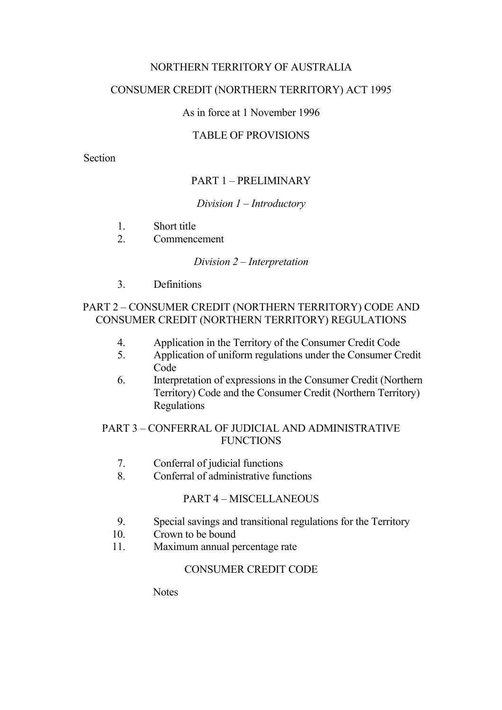# NORTHERN TERRITORY OF AUSTRALIA

## CONSUMER CREDIT (NORTHERN TERRITORY) ACT 1995

## As in force at 1 November 1996

## TABLE OF PROVISIONS

Section

# PART 1 – PRELIMINARY

## *Division 1* – *Introductory*

- 1. Short title
- 2. Commencement

### *Division 2* – *Interpretation*

3. Definitions

## PART 2 – CONSUMER CREDIT (NORTHERN TERRITORY) CODE AND CONSUMER CREDIT (NORTHERN TERRITORY) REGULATIONS

- 4. Application in the Territory of the Consumer Credit Code
- 5. Application of uniform regulations under the Consumer Credit Code
- 6. Interpretation of expressions in the Consumer Credit (Northern Territory) Code and the Consumer Credit (Northern Territory) Regulations

## PART 3 – CONFERRAL OF JUDICIAL AND ADMINISTRATIVE **FUNCTIONS**

- 7. Conferral of judicial functions
- 8. Conferral of administrative functions

## PART 4 – MISCELLANEOUS

- 9. Special savings and transitional regulations for the Territory
- 10. Crown to be bound
- 11. Maximum annual percentage rate

## CONSUMER CREDIT CODE

**Notes**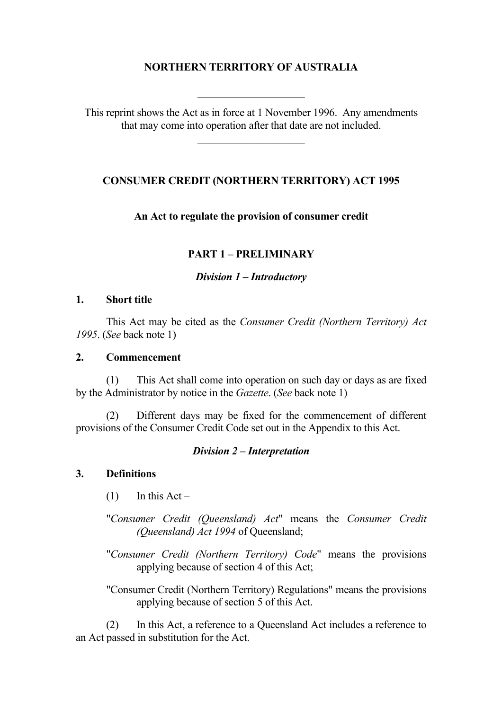# **NORTHERN TERRITORY OF AUSTRALIA**

This reprint shows the Act as in force at 1 November 1996. Any amendments that may come into operation after that date are not included.

## **CONSUMER CREDIT (NORTHERN TERRITORY) ACT 1995**

### **An Act to regulate the provision of consumer credit**

### **PART 1 – PRELIMINARY**

#### *Division 1* **–** *Introductory*

#### **1. Short title**

This Act may be cited as the *Consumer Credit (Northern Territory) Act 1995*. (*See* back note 1)

### **2. Commencement**

(1) This Act shall come into operation on such day or days as are fixed by the Administrator by notice in the *Gazette*. (*See* back note 1)

(2) Different days may be fixed for the commencement of different provisions of the Consumer Credit Code set out in the Appendix to this Act.

### *Division 2* **–** *Interpretation*

### **3. Definitions**

 $(1)$  In this Act –

"*Consumer Credit (Queensland) Act*" means the *Consumer Credit (Queensland) Act 1994* of Queensland;

"*Consumer Credit (Northern Territory) Code*" means the provisions applying because of section 4 of this Act;

"Consumer Credit (Northern Territory) Regulations" means the provisions applying because of section 5 of this Act.

(2) In this Act, a reference to a Queensland Act includes a reference to an Act passed in substitution for the Act.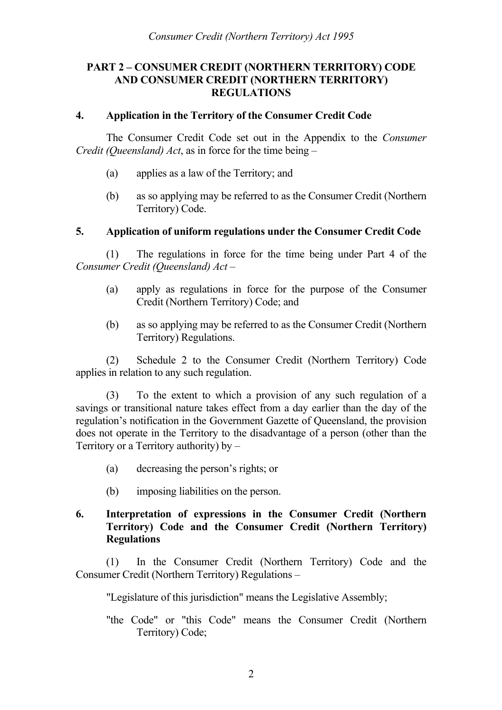## **PART 2 – CONSUMER CREDIT (NORTHERN TERRITORY) CODE AND CONSUMER CREDIT (NORTHERN TERRITORY) REGULATIONS**

## **4. Application in the Territory of the Consumer Credit Code**

The Consumer Credit Code set out in the Appendix to the *Consumer Credit (Queensland) Act*, as in force for the time being –

- (a) applies as a law of the Territory; and
- (b) as so applying may be referred to as the Consumer Credit (Northern Territory) Code.

### **5. Application of uniform regulations under the Consumer Credit Code**

(1) The regulations in force for the time being under Part 4 of the *Consumer Credit (Queensland) Act* –

- (a) apply as regulations in force for the purpose of the Consumer Credit (Northern Territory) Code; and
- (b) as so applying may be referred to as the Consumer Credit (Northern Territory) Regulations.

(2) Schedule 2 to the Consumer Credit (Northern Territory) Code applies in relation to any such regulation.

(3) To the extent to which a provision of any such regulation of a savings or transitional nature takes effect from a day earlier than the day of the regulation's notification in the Government Gazette of Queensland, the provision does not operate in the Territory to the disadvantage of a person (other than the Territory or a Territory authority) by –

- (a) decreasing the person's rights; or
- (b) imposing liabilities on the person.

## **6. Interpretation of expressions in the Consumer Credit (Northern Territory) Code and the Consumer Credit (Northern Territory) Regulations**

(1) In the Consumer Credit (Northern Territory) Code and the Consumer Credit (Northern Territory) Regulations –

"Legislature of this jurisdiction" means the Legislative Assembly;

"the Code" or "this Code" means the Consumer Credit (Northern Territory) Code;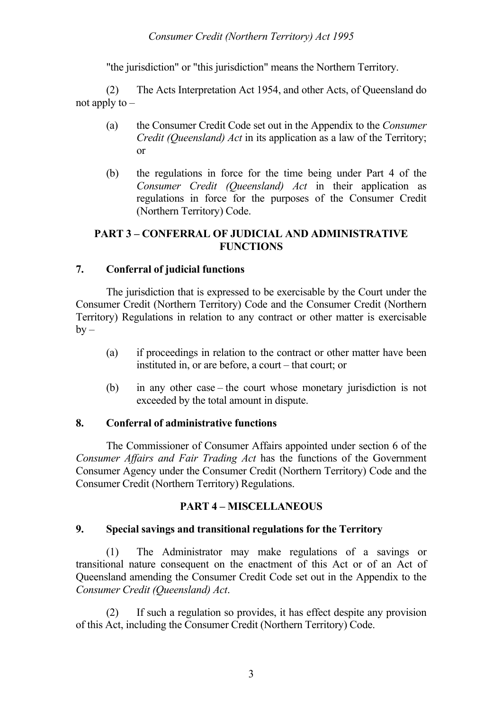"the jurisdiction" or "this jurisdiction" means the Northern Territory.

(2) The Acts Interpretation Act 1954, and other Acts, of Queensland do not apply to –

- (a) the Consumer Credit Code set out in the Appendix to the *Consumer Credit (Queensland) Act* in its application as a law of the Territory; or
- (b) the regulations in force for the time being under Part 4 of the *Consumer Credit (Queensland) Act* in their application as regulations in force for the purposes of the Consumer Credit (Northern Territory) Code.

## **PART 3 – CONFERRAL OF JUDICIAL AND ADMINISTRATIVE FUNCTIONS**

## **7. Conferral of judicial functions**

The jurisdiction that is expressed to be exercisable by the Court under the Consumer Credit (Northern Territory) Code and the Consumer Credit (Northern Territory) Regulations in relation to any contract or other matter is exercisable  $by -$ 

- (a) if proceedings in relation to the contract or other matter have been instituted in, or are before, a court – that court; or
- (b) in any other case the court whose monetary jurisdiction is not exceeded by the total amount in dispute.

## **8. Conferral of administrative functions**

The Commissioner of Consumer Affairs appointed under section 6 of the *Consumer Affairs and Fair Trading Act* has the functions of the Government Consumer Agency under the Consumer Credit (Northern Territory) Code and the Consumer Credit (Northern Territory) Regulations.

## **PART 4 – MISCELLANEOUS**

## **9. Special savings and transitional regulations for the Territory**

(1) The Administrator may make regulations of a savings or transitional nature consequent on the enactment of this Act or of an Act of Queensland amending the Consumer Credit Code set out in the Appendix to the *Consumer Credit (Queensland) Act*.

(2) If such a regulation so provides, it has effect despite any provision of this Act, including the Consumer Credit (Northern Territory) Code.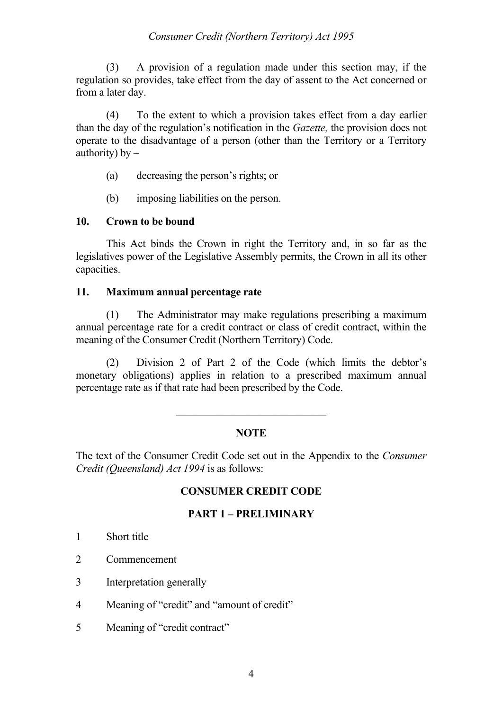## *Consumer Credit (Northern Territory) Act 1995*

(3) A provision of a regulation made under this section may, if the regulation so provides, take effect from the day of assent to the Act concerned or from a later day.

(4) To the extent to which a provision takes effect from a day earlier than the day of the regulation's notification in the *Gazette,* the provision does not operate to the disadvantage of a person (other than the Territory or a Territory authority)  $by -$ 

- (a) decreasing the person's rights; or
- (b) imposing liabilities on the person.

### **10. Crown to be bound**

This Act binds the Crown in right the Territory and, in so far as the legislatives power of the Legislative Assembly permits, the Crown in all its other capacities.

### **11. Maximum annual percentage rate**

(1) The Administrator may make regulations prescribing a maximum annual percentage rate for a credit contract or class of credit contract, within the meaning of the Consumer Credit (Northern Territory) Code.

(2) Division 2 of Part 2 of the Code (which limits the debtor's monetary obligations) applies in relation to a prescribed maximum annual percentage rate as if that rate had been prescribed by the Code.

## **NOTE**

The text of the Consumer Credit Code set out in the Appendix to the *Consumer Credit (Queensland) Act 1994* is as follows:

## **CONSUMER CREDIT CODE**

### **PART 1 – PRELIMINARY**

- 1 Short title
- 2 Commencement
- 3 Interpretation generally
- 4 Meaning of "credit" and "amount of credit"
- 5 Meaning of "credit contract"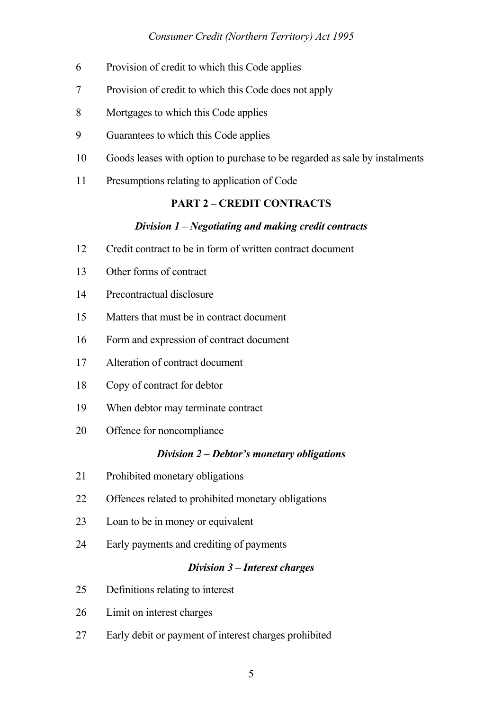## *Consumer Credit (Northern Territory) Act 1995*

- 6 Provision of credit to which this Code applies
- 7 Provision of credit to which this Code does not apply
- 8 Mortgages to which this Code applies
- 9 Guarantees to which this Code applies
- 10 Goods leases with option to purchase to be regarded as sale by instalments
- 11 Presumptions relating to application of Code

## **PART 2 – CREDIT CONTRACTS**

#### *Division 1 – Negotiating and making credit contracts*

- 12 Credit contract to be in form of written contract document
- 13 Other forms of contract
- 14 Precontractual disclosure
- 15 Matters that must be in contract document
- 16 Form and expression of contract document
- 17 Alteration of contract document
- 18 Copy of contract for debtor
- 19 When debtor may terminate contract
- 20 Offence for noncompliance

#### *Division 2 – Debtor's monetary obligations*

- 21 Prohibited monetary obligations
- 22 Offences related to prohibited monetary obligations
- 23 Loan to be in money or equivalent
- 24 Early payments and crediting of payments

## *Division 3 – Interest charges*

- 25 Definitions relating to interest
- 26 Limit on interest charges
- 27 Early debit or payment of interest charges prohibited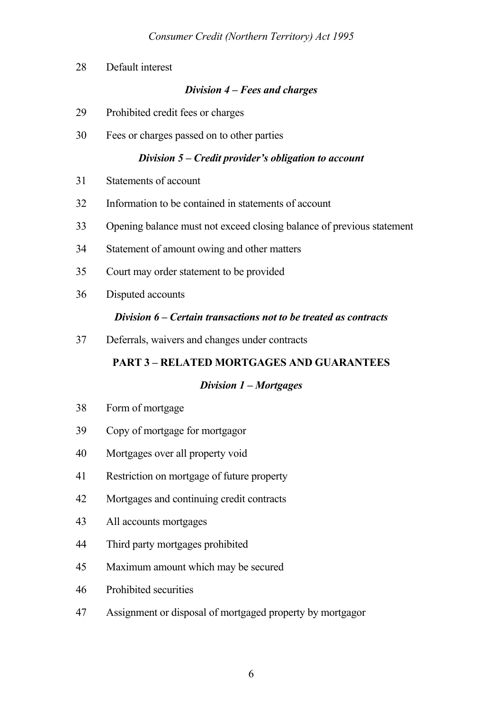28 Default interest

## *Division 4 – Fees and charges*

- 29 Prohibited credit fees or charges
- 30 Fees or charges passed on to other parties

## *Division 5 – Credit provider's obligation to account*

- 31 Statements of account
- 32 Information to be contained in statements of account
- 33 Opening balance must not exceed closing balance of previous statement
- 34 Statement of amount owing and other matters
- 35 Court may order statement to be provided
- 36 Disputed accounts

## *Division 6 – Certain transactions not to be treated as contracts*

37 Deferrals, waivers and changes under contracts

# **PART 3 – RELATED MORTGAGES AND GUARANTEES**

## *Division 1 – Mortgages*

- 38 Form of mortgage
- 39 Copy of mortgage for mortgagor
- 40 Mortgages over all property void
- 41 Restriction on mortgage of future property
- 42 Mortgages and continuing credit contracts
- 43 All accounts mortgages
- 44 Third party mortgages prohibited
- 45 Maximum amount which may be secured
- 46 Prohibited securities
- 47 Assignment or disposal of mortgaged property by mortgagor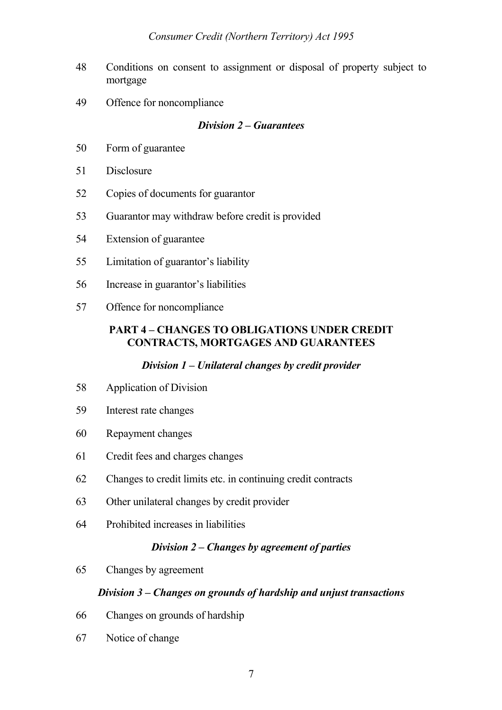- 48 Conditions on consent to assignment or disposal of property subject to mortgage
- 49 Offence for noncompliance

## *Division 2 – Guarantees*

- 50 Form of guarantee
- 51 Disclosure
- 52 Copies of documents for guarantor
- 53 Guarantor may withdraw before credit is provided
- 54 Extension of guarantee
- 55 Limitation of guarantor's liability
- 56 Increase in guarantor's liabilities
- 57 Offence for noncompliance

## **PART 4 – CHANGES TO OBLIGATIONS UNDER CREDIT CONTRACTS, MORTGAGES AND GUARANTEES**

## *Division 1 – Unilateral changes by credit provider*

- 58 Application of Division
- 59 Interest rate changes
- 60 Repayment changes
- 61 Credit fees and charges changes
- 62 Changes to credit limits etc. in continuing credit contracts
- 63 Other unilateral changes by credit provider
- 64 Prohibited increases in liabilities

### *Division 2 – Changes by agreement of parties*

65 Changes by agreement

### *Division 3 – Changes on grounds of hardship and unjust transactions*

- 66 Changes on grounds of hardship
- 67 Notice of change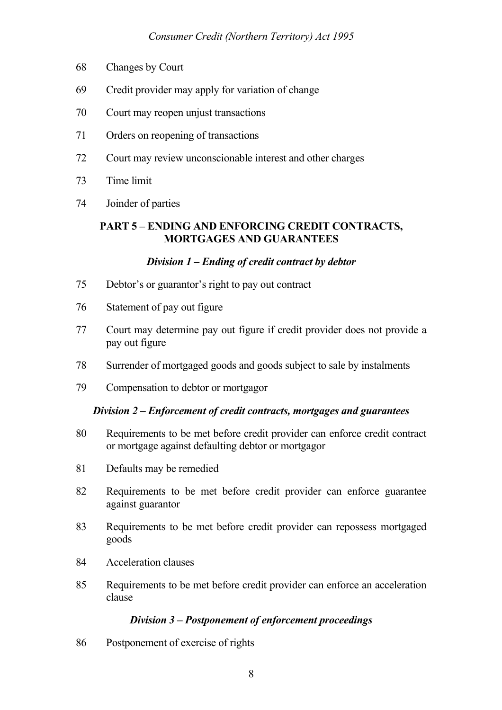- 68 Changes by Court
- 69 Credit provider may apply for variation of change
- 70 Court may reopen unjust transactions
- 71 Orders on reopening of transactions
- 72 Court may review unconscionable interest and other charges
- 73 Time limit
- 74 Joinder of parties

## **PART 5 – ENDING AND ENFORCING CREDIT CONTRACTS, MORTGAGES AND GUARANTEES**

### *Division 1 – Ending of credit contract by debtor*

- 75 Debtor's or guarantor's right to pay out contract
- 76 Statement of pay out figure
- 77 Court may determine pay out figure if credit provider does not provide a pay out figure
- 78 Surrender of mortgaged goods and goods subject to sale by instalments
- 79 Compensation to debtor or mortgagor

### *Division 2 – Enforcement of credit contracts, mortgages and guarantees*

- 80 Requirements to be met before credit provider can enforce credit contract or mortgage against defaulting debtor or mortgagor
- 81 Defaults may be remedied
- 82 Requirements to be met before credit provider can enforce guarantee against guarantor
- 83 Requirements to be met before credit provider can repossess mortgaged goods
- 84 Acceleration clauses
- 85 Requirements to be met before credit provider can enforce an acceleration clause

### *Division 3 – Postponement of enforcement proceedings*

86 Postponement of exercise of rights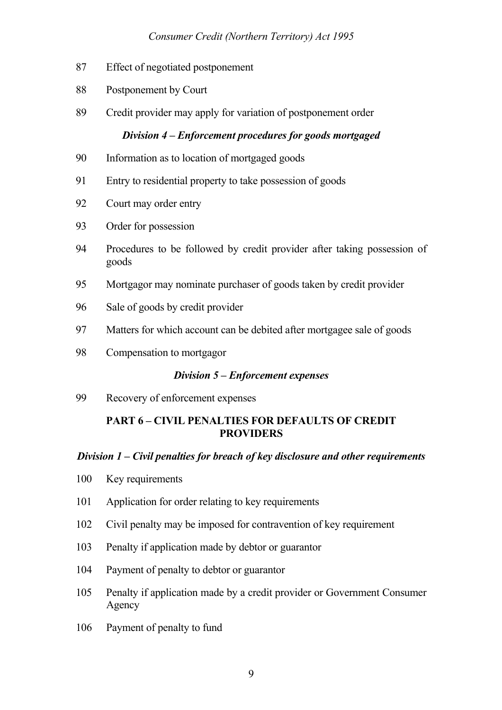## *Consumer Credit (Northern Territory) Act 1995*

- 87 Effect of negotiated postponement
- 88 Postponement by Court
- 89 Credit provider may apply for variation of postponement order

## *Division 4 – Enforcement procedures for goods mortgaged*

- 90 Information as to location of mortgaged goods
- 91 Entry to residential property to take possession of goods
- 92 Court may order entry
- 93 Order for possession
- 94 Procedures to be followed by credit provider after taking possession of goods
- 95 Mortgagor may nominate purchaser of goods taken by credit provider
- 96 Sale of goods by credit provider
- 97 Matters for which account can be debited after mortgagee sale of goods
- 98 Compensation to mortgagor

### *Division 5 – Enforcement expenses*

99 Recovery of enforcement expenses

## **PART 6 – CIVIL PENALTIES FOR DEFAULTS OF CREDIT PROVIDERS**

### *Division 1 – Civil penalties for breach of key disclosure and other requirements*

- 100 Key requirements
- 101 Application for order relating to key requirements
- 102 Civil penalty may be imposed for contravention of key requirement
- 103 Penalty if application made by debtor or guarantor
- 104 Payment of penalty to debtor or guarantor
- 105 Penalty if application made by a credit provider or Government Consumer Agency
- 106 Payment of penalty to fund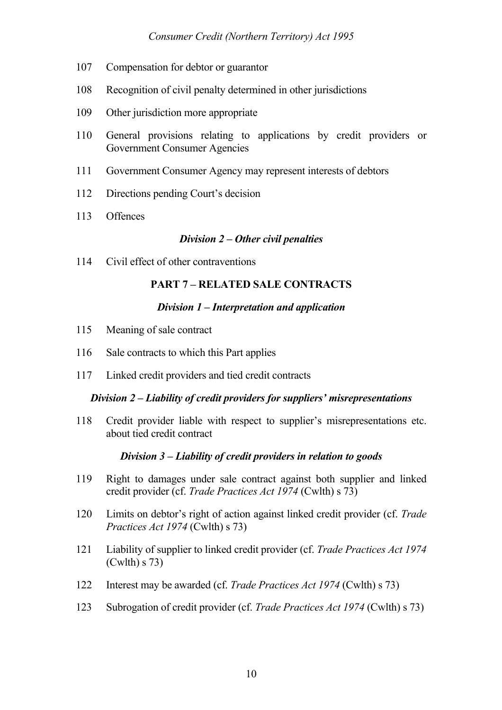- 107 Compensation for debtor or guarantor
- 108 Recognition of civil penalty determined in other jurisdictions
- 109 Other jurisdiction more appropriate
- 110 General provisions relating to applications by credit providers or Government Consumer Agencies
- 111 Government Consumer Agency may represent interests of debtors
- 112 Directions pending Court's decision
- 113 Offences

### *Division 2 – Other civil penalties*

114 Civil effect of other contraventions

## **PART 7 – RELATED SALE CONTRACTS**

### *Division 1 – Interpretation and application*

- 115 Meaning of sale contract
- 116 Sale contracts to which this Part applies
- 117 Linked credit providers and tied credit contracts

### *Division 2 – Liability of credit providers for suppliers' misrepresentations*

118 Credit provider liable with respect to supplier's misrepresentations etc. about tied credit contract

### *Division 3 – Liability of credit providers in relation to goods*

- 119 Right to damages under sale contract against both supplier and linked credit provider (cf. *Trade Practices Act 1974* (Cwlth) s 73)
- 120 Limits on debtor's right of action against linked credit provider (cf. *Trade Practices Act 1974* (Cwlth) s 73)
- 121 Liability of supplier to linked credit provider (cf. *Trade Practices Act 1974* (Cwlth) s 73)
- 122 Interest may be awarded (cf. *Trade Practices Act 1974* (Cwlth) s 73)
- 123 Subrogation of credit provider (cf. *Trade Practices Act 1974* (Cwlth) s 73)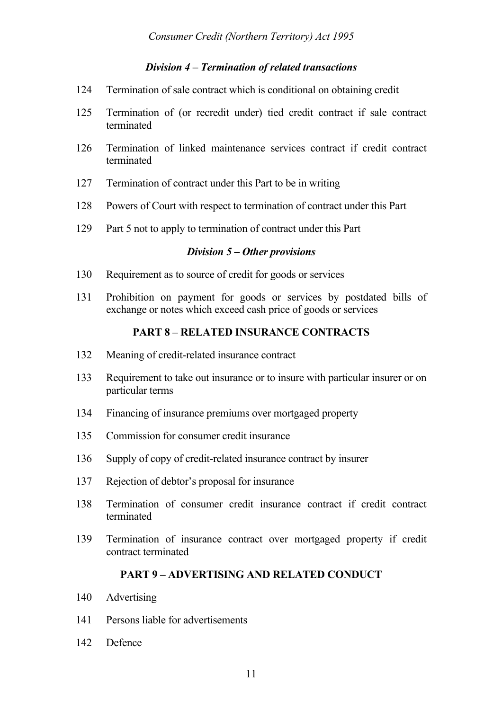## *Division 4 – Termination of related transactions*

- 124 Termination of sale contract which is conditional on obtaining credit
- 125 Termination of (or recredit under) tied credit contract if sale contract terminated
- 126 Termination of linked maintenance services contract if credit contract terminated
- 127 Termination of contract under this Part to be in writing
- 128 Powers of Court with respect to termination of contract under this Part
- 129 Part 5 not to apply to termination of contract under this Part

### *Division 5 – Other provisions*

- 130 Requirement as to source of credit for goods or services
- 131 Prohibition on payment for goods or services by postdated bills of exchange or notes which exceed cash price of goods or services

## **PART 8 – RELATED INSURANCE CONTRACTS**

- 132 Meaning of credit-related insurance contract
- 133 Requirement to take out insurance or to insure with particular insurer or on particular terms
- 134 Financing of insurance premiums over mortgaged property
- 135 Commission for consumer credit insurance
- 136 Supply of copy of credit-related insurance contract by insurer
- 137 Rejection of debtor's proposal for insurance
- 138 Termination of consumer credit insurance contract if credit contract terminated
- 139 Termination of insurance contract over mortgaged property if credit contract terminated

## **PART 9 – ADVERTISING AND RELATED CONDUCT**

- 140 Advertising
- 141 Persons liable for advertisements
- 142 Defence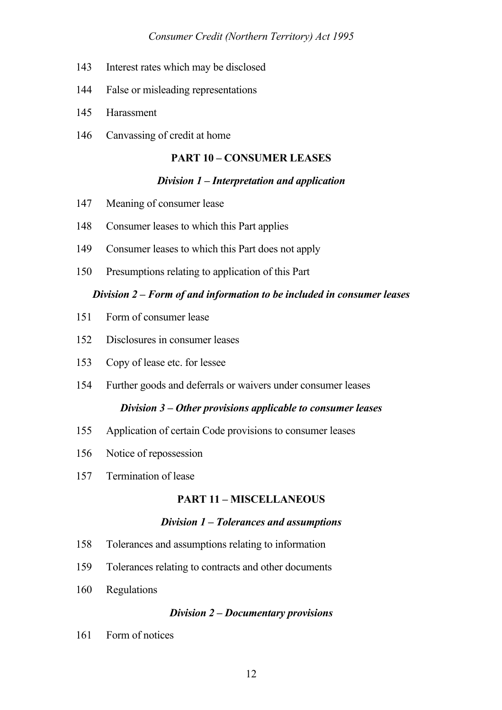- 143 Interest rates which may be disclosed
- 144 False or misleading representations
- 145 Harassment
- 146 Canvassing of credit at home

### **PART 10 – CONSUMER LEASES**

### *Division 1 – Interpretation and application*

- 147 Meaning of consumer lease
- 148 Consumer leases to which this Part applies
- 149 Consumer leases to which this Part does not apply
- 150 Presumptions relating to application of this Part

### *Division 2 – Form of and information to be included in consumer leases*

- 151 Form of consumer lease
- 152 Disclosures in consumer leases
- 153 Copy of lease etc. for lessee
- 154 Further goods and deferrals or waivers under consumer leases

### *Division 3 – Other provisions applicable to consumer leases*

- 155 Application of certain Code provisions to consumer leases
- 156 Notice of repossession
- 157 Termination of lease

## **PART 11 – MISCELLANEOUS**

### *Division 1 – Tolerances and assumptions*

- 158 Tolerances and assumptions relating to information
- 159 Tolerances relating to contracts and other documents
- 160 Regulations

### *Division 2 – Documentary provisions*

161 Form of notices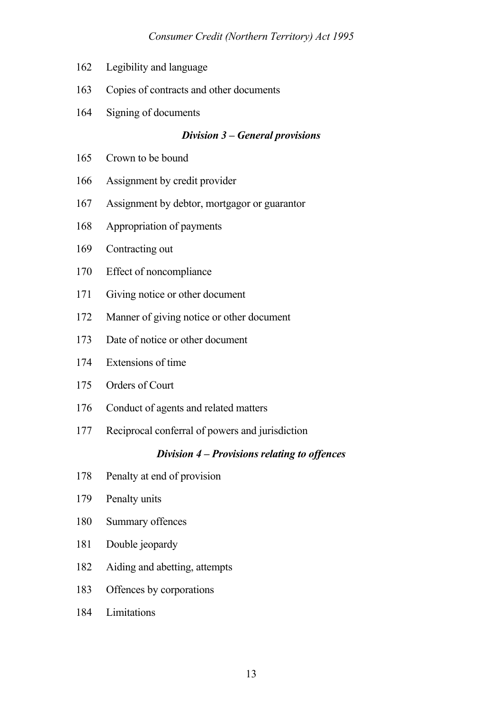- 162 Legibility and language
- 163 Copies of contracts and other documents
- 164 Signing of documents

### *Division 3 – General provisions*

- 165 Crown to be bound
- 166 Assignment by credit provider
- 167 Assignment by debtor, mortgagor or guarantor
- 168 Appropriation of payments
- 169 Contracting out
- 170 Effect of noncompliance
- 171 Giving notice or other document
- 172 Manner of giving notice or other document
- 173 Date of notice or other document
- 174 Extensions of time
- 175 Orders of Court
- 176 Conduct of agents and related matters
- 177 Reciprocal conferral of powers and jurisdiction

## *Division 4 – Provisions relating to offences*

- 178 Penalty at end of provision
- 179 Penalty units
- 180 Summary offences
- 181 Double jeopardy
- 182 Aiding and abetting, attempts
- 183 Offences by corporations
- 184 Limitations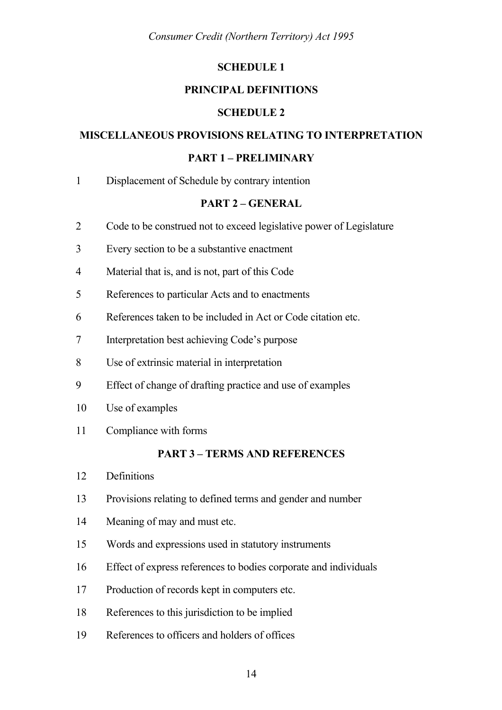*Consumer Credit (Northern Territory) Act 1995*

#### **SCHEDULE 1**

#### **PRINCIPAL DEFINITIONS**

#### **SCHEDULE 2**

#### **MISCELLANEOUS PROVISIONS RELATING TO INTERPRETATION**

#### **PART 1 – PRELIMINARY**

1 Displacement of Schedule by contrary intention

#### **PART 2 – GENERAL**

- 2 Code to be construed not to exceed legislative power of Legislature
- 3 Every section to be a substantive enactment
- 4 Material that is, and is not, part of this Code
- 5 References to particular Acts and to enactments
- 6 References taken to be included in Act or Code citation etc.
- 7 Interpretation best achieving Code's purpose
- 8 Use of extrinsic material in interpretation
- 9 Effect of change of drafting practice and use of examples
- 10 Use of examples
- 11 Compliance with forms

### **PART 3 – TERMS AND REFERENCES**

- 12 Definitions
- 13 Provisions relating to defined terms and gender and number
- 14 Meaning of may and must etc.
- 15 Words and expressions used in statutory instruments
- 16 Effect of express references to bodies corporate and individuals
- 17 Production of records kept in computers etc.
- 18 References to this jurisdiction to be implied
- 19 References to officers and holders of offices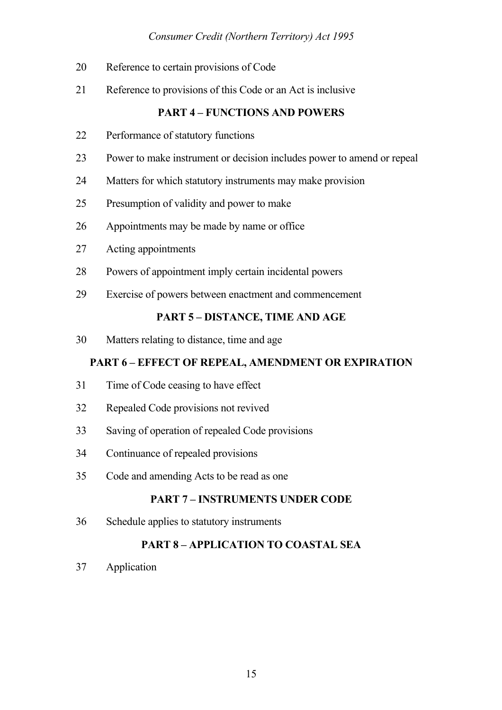## *Consumer Credit (Northern Territory) Act 1995*

- 20 Reference to certain provisions of Code
- 21 Reference to provisions of this Code or an Act is inclusive

## **PART 4 – FUNCTIONS AND POWERS**

- 22 Performance of statutory functions
- 23 Power to make instrument or decision includes power to amend or repeal
- 24 Matters for which statutory instruments may make provision
- 25 Presumption of validity and power to make
- 26 Appointments may be made by name or office
- 27 Acting appointments
- 28 Powers of appointment imply certain incidental powers
- 29 Exercise of powers between enactment and commencement

### **PART 5 – DISTANCE, TIME AND AGE**

30 Matters relating to distance, time and age

## **PART 6 – EFFECT OF REPEAL, AMENDMENT OR EXPIRATION**

- 31 Time of Code ceasing to have effect
- 32 Repealed Code provisions not revived
- 33 Saving of operation of repealed Code provisions
- 34 Continuance of repealed provisions
- 35 Code and amending Acts to be read as one

## **PART 7 – INSTRUMENTS UNDER CODE**

36 Schedule applies to statutory instruments

## **PART 8 – APPLICATION TO COASTAL SEA**

37 Application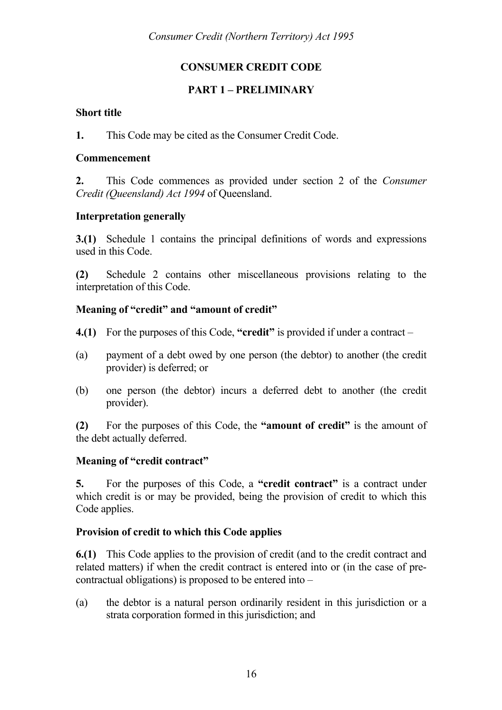# **CONSUMER CREDIT CODE**

## **PART 1 – PRELIMINARY**

## **Short title**

**1.** This Code may be cited as the Consumer Credit Code.

### **Commencement**

**2.** This Code commences as provided under section 2 of the *Consumer Credit (Queensland) Act 1994* of Queensland.

## **Interpretation generally**

**3.(1)** Schedule 1 contains the principal definitions of words and expressions used in this Code.

**(2)** Schedule 2 contains other miscellaneous provisions relating to the interpretation of this Code.

## **Meaning of "credit" and "amount of credit"**

- **4.(1)** For the purposes of this Code, **"credit"** is provided if under a contract –
- (a) payment of a debt owed by one person (the debtor) to another (the credit provider) is deferred; or
- (b) one person (the debtor) incurs a deferred debt to another (the credit provider).

**(2)** For the purposes of this Code, the **"amount of credit"** is the amount of the debt actually deferred.

## **Meaning of "credit contract"**

**5.** For the purposes of this Code, a **"credit contract"** is a contract under which credit is or may be provided, being the provision of credit to which this Code applies.

## **Provision of credit to which this Code applies**

**6.(1)** This Code applies to the provision of credit (and to the credit contract and related matters) if when the credit contract is entered into or (in the case of precontractual obligations) is proposed to be entered into –

(a) the debtor is a natural person ordinarily resident in this jurisdiction or a strata corporation formed in this jurisdiction; and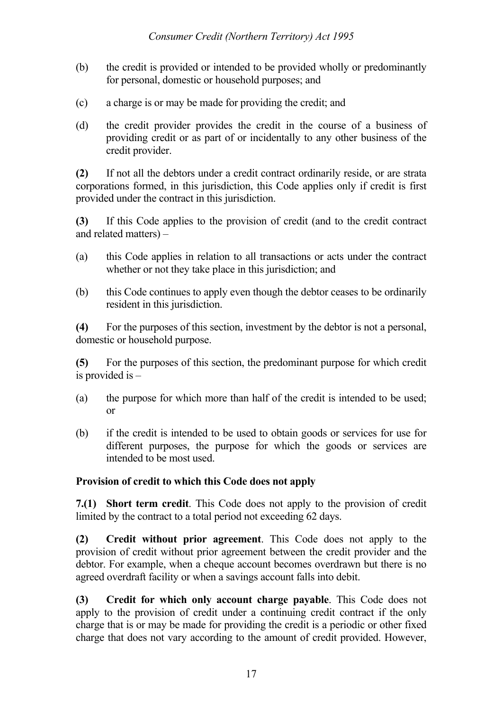- (b) the credit is provided or intended to be provided wholly or predominantly for personal, domestic or household purposes; and
- (c) a charge is or may be made for providing the credit; and
- (d) the credit provider provides the credit in the course of a business of providing credit or as part of or incidentally to any other business of the credit provider.

**(2)** If not all the debtors under a credit contract ordinarily reside, or are strata corporations formed, in this jurisdiction, this Code applies only if credit is first provided under the contract in this jurisdiction.

**(3)** If this Code applies to the provision of credit (and to the credit contract and related matters) –

- (a) this Code applies in relation to all transactions or acts under the contract whether or not they take place in this jurisdiction; and
- (b) this Code continues to apply even though the debtor ceases to be ordinarily resident in this jurisdiction.

**(4)** For the purposes of this section, investment by the debtor is not a personal, domestic or household purpose.

**(5)** For the purposes of this section, the predominant purpose for which credit is provided is –

- (a) the purpose for which more than half of the credit is intended to be used; or
- (b) if the credit is intended to be used to obtain goods or services for use for different purposes, the purpose for which the goods or services are intended to be most used.

# **Provision of credit to which this Code does not apply**

**7.(1) Short term credit**. This Code does not apply to the provision of credit limited by the contract to a total period not exceeding 62 days.

**(2) Credit without prior agreement**. This Code does not apply to the provision of credit without prior agreement between the credit provider and the debtor. For example, when a cheque account becomes overdrawn but there is no agreed overdraft facility or when a savings account falls into debit.

**(3) Credit for which only account charge payable**. This Code does not apply to the provision of credit under a continuing credit contract if the only charge that is or may be made for providing the credit is a periodic or other fixed charge that does not vary according to the amount of credit provided. However,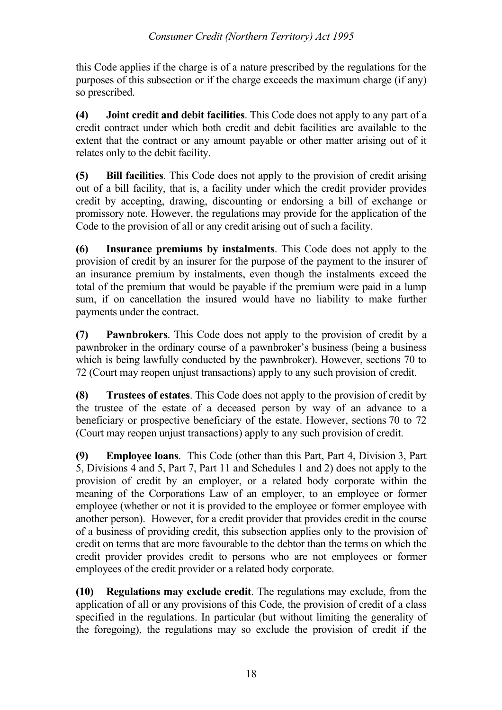this Code applies if the charge is of a nature prescribed by the regulations for the purposes of this subsection or if the charge exceeds the maximum charge (if any) so prescribed.

**(4) Joint credit and debit facilities**. This Code does not apply to any part of a credit contract under which both credit and debit facilities are available to the extent that the contract or any amount payable or other matter arising out of it relates only to the debit facility.

**(5) Bill facilities**. This Code does not apply to the provision of credit arising out of a bill facility, that is, a facility under which the credit provider provides credit by accepting, drawing, discounting or endorsing a bill of exchange or promissory note. However, the regulations may provide for the application of the Code to the provision of all or any credit arising out of such a facility.

**(6) Insurance premiums by instalments**. This Code does not apply to the provision of credit by an insurer for the purpose of the payment to the insurer of an insurance premium by instalments, even though the instalments exceed the total of the premium that would be payable if the premium were paid in a lump sum, if on cancellation the insured would have no liability to make further payments under the contract.

**(7) Pawnbrokers**. This Code does not apply to the provision of credit by a pawnbroker in the ordinary course of a pawnbroker's business (being a business which is being lawfully conducted by the pawnbroker). However, sections 70 to 72 (Court may reopen unjust transactions) apply to any such provision of credit.

**(8) Trustees of estates**. This Code does not apply to the provision of credit by the trustee of the estate of a deceased person by way of an advance to a beneficiary or prospective beneficiary of the estate. However, sections 70 to 72 (Court may reopen unjust transactions) apply to any such provision of credit.

**(9) Employee loans**. This Code (other than this Part, Part 4, Division 3, Part 5, Divisions 4 and 5, Part 7, Part 11 and Schedules 1 and 2) does not apply to the provision of credit by an employer, or a related body corporate within the meaning of the Corporations Law of an employer, to an employee or former employee (whether or not it is provided to the employee or former employee with another person). However, for a credit provider that provides credit in the course of a business of providing credit, this subsection applies only to the provision of credit on terms that are more favourable to the debtor than the terms on which the credit provider provides credit to persons who are not employees or former employees of the credit provider or a related body corporate.

**(10) Regulations may exclude credit**. The regulations may exclude, from the application of all or any provisions of this Code, the provision of credit of a class specified in the regulations. In particular (but without limiting the generality of the foregoing), the regulations may so exclude the provision of credit if the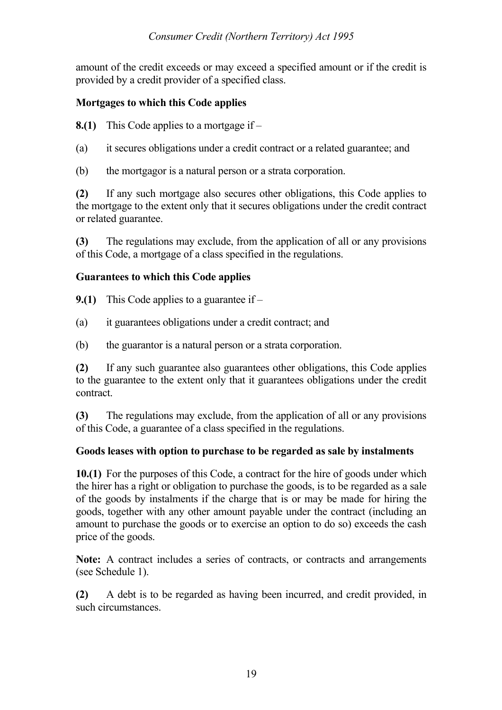amount of the credit exceeds or may exceed a specified amount or if the credit is provided by a credit provider of a specified class.

# **Mortgages to which this Code applies**

**8.(1)** This Code applies to a mortgage if –

- (a) it secures obligations under a credit contract or a related guarantee; and
- (b) the mortgagor is a natural person or a strata corporation.

**(2)** If any such mortgage also secures other obligations, this Code applies to the mortgage to the extent only that it secures obligations under the credit contract or related guarantee.

**(3)** The regulations may exclude, from the application of all or any provisions of this Code, a mortgage of a class specified in the regulations.

# **Guarantees to which this Code applies**

- **9.(1)** This Code applies to a guarantee if –
- (a) it guarantees obligations under a credit contract; and
- (b) the guarantor is a natural person or a strata corporation.

**(2)** If any such guarantee also guarantees other obligations, this Code applies to the guarantee to the extent only that it guarantees obligations under the credit contract.

**(3)** The regulations may exclude, from the application of all or any provisions of this Code, a guarantee of a class specified in the regulations.

# **Goods leases with option to purchase to be regarded as sale by instalments**

**10.(1)** For the purposes of this Code, a contract for the hire of goods under which the hirer has a right or obligation to purchase the goods, is to be regarded as a sale of the goods by instalments if the charge that is or may be made for hiring the goods, together with any other amount payable under the contract (including an amount to purchase the goods or to exercise an option to do so) exceeds the cash price of the goods.

**Note:** A contract includes a series of contracts, or contracts and arrangements (see Schedule 1).

**(2)** A debt is to be regarded as having been incurred, and credit provided, in such circumstances.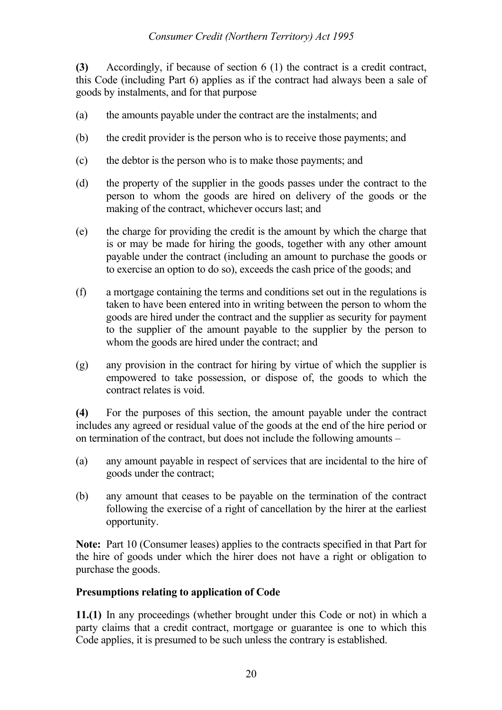**(3)** Accordingly, if because of section 6 (1) the contract is a credit contract, this Code (including Part 6) applies as if the contract had always been a sale of goods by instalments, and for that purpose

- (a) the amounts payable under the contract are the instalments; and
- (b) the credit provider is the person who is to receive those payments; and
- (c) the debtor is the person who is to make those payments; and
- (d) the property of the supplier in the goods passes under the contract to the person to whom the goods are hired on delivery of the goods or the making of the contract, whichever occurs last; and
- (e) the charge for providing the credit is the amount by which the charge that is or may be made for hiring the goods, together with any other amount payable under the contract (including an amount to purchase the goods or to exercise an option to do so), exceeds the cash price of the goods; and
- (f) a mortgage containing the terms and conditions set out in the regulations is taken to have been entered into in writing between the person to whom the goods are hired under the contract and the supplier as security for payment to the supplier of the amount payable to the supplier by the person to whom the goods are hired under the contract; and
- (g) any provision in the contract for hiring by virtue of which the supplier is empowered to take possession, or dispose of, the goods to which the contract relates is void.

**(4)** For the purposes of this section, the amount payable under the contract includes any agreed or residual value of the goods at the end of the hire period or on termination of the contract, but does not include the following amounts –

- (a) any amount payable in respect of services that are incidental to the hire of goods under the contract;
- (b) any amount that ceases to be payable on the termination of the contract following the exercise of a right of cancellation by the hirer at the earliest opportunity.

**Note:** Part 10 (Consumer leases) applies to the contracts specified in that Part for the hire of goods under which the hirer does not have a right or obligation to purchase the goods.

# **Presumptions relating to application of Code**

**11.(1)** In any proceedings (whether brought under this Code or not) in which a party claims that a credit contract, mortgage or guarantee is one to which this Code applies, it is presumed to be such unless the contrary is established.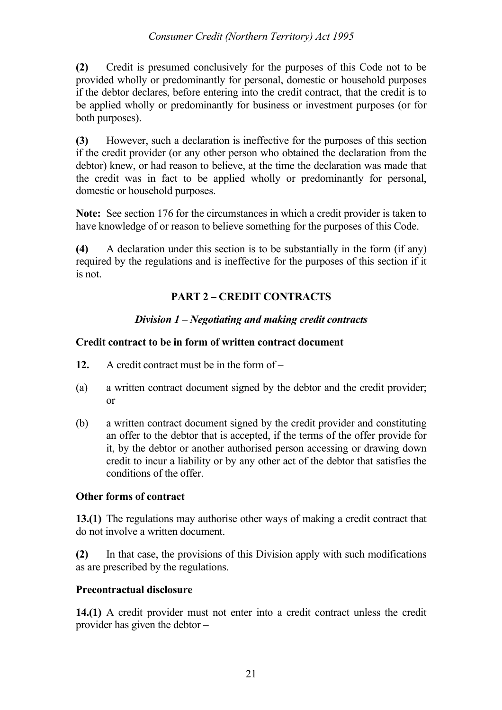## *Consumer Credit (Northern Territory) Act 1995*

**(2)** Credit is presumed conclusively for the purposes of this Code not to be provided wholly or predominantly for personal, domestic or household purposes if the debtor declares, before entering into the credit contract, that the credit is to be applied wholly or predominantly for business or investment purposes (or for both purposes).

**(3)** However, such a declaration is ineffective for the purposes of this section if the credit provider (or any other person who obtained the declaration from the debtor) knew, or had reason to believe, at the time the declaration was made that the credit was in fact to be applied wholly or predominantly for personal, domestic or household purposes.

**Note:** See section 176 for the circumstances in which a credit provider is taken to have knowledge of or reason to believe something for the purposes of this Code.

**(4)** A declaration under this section is to be substantially in the form (if any) required by the regulations and is ineffective for the purposes of this section if it is not.

# **PART 2 – CREDIT CONTRACTS**

# *Division 1 – Negotiating and making credit contracts*

## **Credit contract to be in form of written contract document**

- **12.** A credit contract must be in the form of –
- (a) a written contract document signed by the debtor and the credit provider; or
- (b) a written contract document signed by the credit provider and constituting an offer to the debtor that is accepted, if the terms of the offer provide for it, by the debtor or another authorised person accessing or drawing down credit to incur a liability or by any other act of the debtor that satisfies the conditions of the offer.

## **Other forms of contract**

**13.(1)** The regulations may authorise other ways of making a credit contract that do not involve a written document.

**(2)** In that case, the provisions of this Division apply with such modifications as are prescribed by the regulations.

# **Precontractual disclosure**

**14.(1)** A credit provider must not enter into a credit contract unless the credit provider has given the debtor –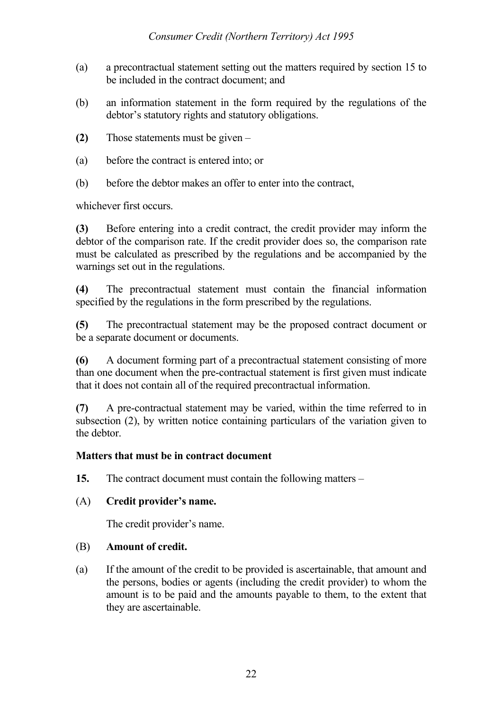- (a) a precontractual statement setting out the matters required by section 15 to be included in the contract document; and
- (b) an information statement in the form required by the regulations of the debtor's statutory rights and statutory obligations.
- **(2)** Those statements must be given –
- (a) before the contract is entered into; or
- (b) before the debtor makes an offer to enter into the contract,

whichever first occurs.

**(3)** Before entering into a credit contract, the credit provider may inform the debtor of the comparison rate. If the credit provider does so, the comparison rate must be calculated as prescribed by the regulations and be accompanied by the warnings set out in the regulations.

**(4)** The precontractual statement must contain the financial information specified by the regulations in the form prescribed by the regulations.

**(5)** The precontractual statement may be the proposed contract document or be a separate document or documents.

**(6)** A document forming part of a precontractual statement consisting of more than one document when the pre-contractual statement is first given must indicate that it does not contain all of the required precontractual information.

**(7)** A pre-contractual statement may be varied, within the time referred to in subsection (2), by written notice containing particulars of the variation given to the debtor.

## **Matters that must be in contract document**

**15.** The contract document must contain the following matters –

# (A) **Credit provider's name.**

The credit provider's name.

## (B) **Amount of credit.**

(a) If the amount of the credit to be provided is ascertainable, that amount and the persons, bodies or agents (including the credit provider) to whom the amount is to be paid and the amounts payable to them, to the extent that they are ascertainable.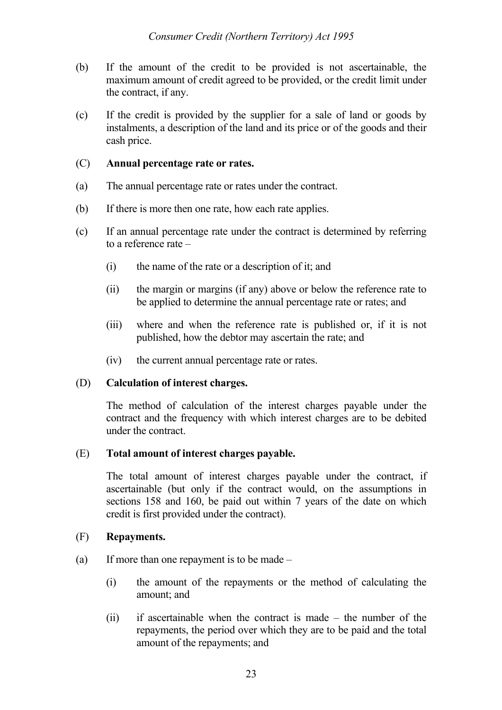- (b) If the amount of the credit to be provided is not ascertainable, the maximum amount of credit agreed to be provided, or the credit limit under the contract, if any.
- (c) If the credit is provided by the supplier for a sale of land or goods by instalments, a description of the land and its price or of the goods and their cash price.

## (C) **Annual percentage rate or rates.**

- (a) The annual percentage rate or rates under the contract.
- (b) If there is more then one rate, how each rate applies.
- (c) If an annual percentage rate under the contract is determined by referring to a reference rate –
	- (i) the name of the rate or a description of it; and
	- (ii) the margin or margins (if any) above or below the reference rate to be applied to determine the annual percentage rate or rates; and
	- (iii) where and when the reference rate is published or, if it is not published, how the debtor may ascertain the rate; and
	- (iv) the current annual percentage rate or rates.

### (D) **Calculation of interest charges.**

The method of calculation of the interest charges payable under the contract and the frequency with which interest charges are to be debited under the contract.

## (E) **Total amount of interest charges payable.**

The total amount of interest charges payable under the contract, if ascertainable (but only if the contract would, on the assumptions in sections 158 and 160, be paid out within 7 years of the date on which credit is first provided under the contract).

## (F) **Repayments.**

- (a) If more than one repayment is to be made
	- (i) the amount of the repayments or the method of calculating the amount; and
	- (ii) if ascertainable when the contract is made the number of the repayments, the period over which they are to be paid and the total amount of the repayments; and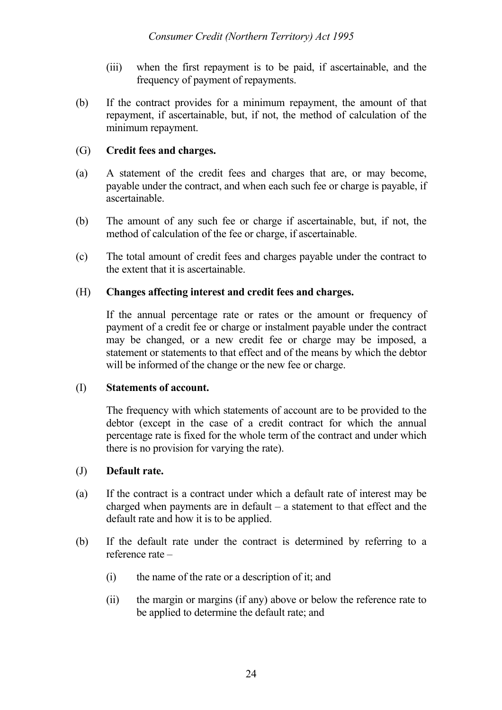- (iii) when the first repayment is to be paid, if ascertainable, and the frequency of payment of repayments.
- (b) If the contract provides for a minimum repayment, the amount of that repayment, if ascertainable, but, if not, the method of calculation of the minimum repayment.

## (G) **Credit fees and charges.**

- (a) A statement of the credit fees and charges that are, or may become, payable under the contract, and when each such fee or charge is payable, if ascertainable.
- (b) The amount of any such fee or charge if ascertainable, but, if not, the method of calculation of the fee or charge, if ascertainable.
- (c) The total amount of credit fees and charges payable under the contract to the extent that it is ascertainable.

## (H) **Changes affecting interest and credit fees and charges.**

If the annual percentage rate or rates or the amount or frequency of payment of a credit fee or charge or instalment payable under the contract may be changed, or a new credit fee or charge may be imposed, a statement or statements to that effect and of the means by which the debtor will be informed of the change or the new fee or charge.

## (I) **Statements of account.**

The frequency with which statements of account are to be provided to the debtor (except in the case of a credit contract for which the annual percentage rate is fixed for the whole term of the contract and under which there is no provision for varying the rate).

## (J) **Default rate.**

- (a) If the contract is a contract under which a default rate of interest may be charged when payments are in default – a statement to that effect and the default rate and how it is to be applied.
- (b) If the default rate under the contract is determined by referring to a reference rate –
	- (i) the name of the rate or a description of it; and
	- (ii) the margin or margins (if any) above or below the reference rate to be applied to determine the default rate; and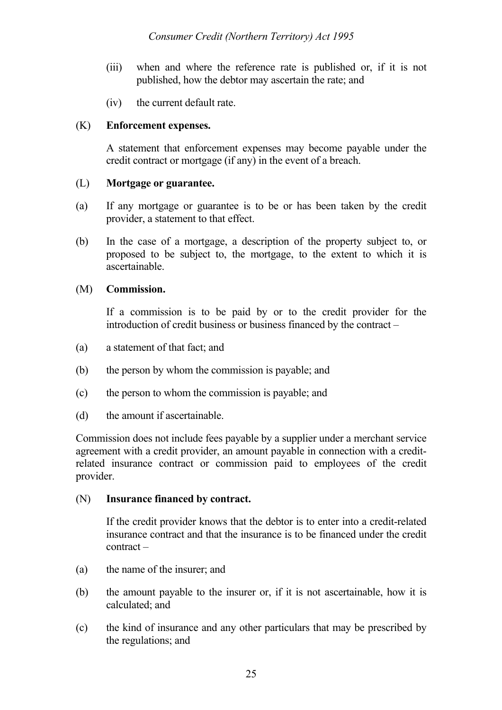- (iii) when and where the reference rate is published or, if it is not published, how the debtor may ascertain the rate; and
- (iv) the current default rate.

## (K) **Enforcement expenses.**

A statement that enforcement expenses may become payable under the credit contract or mortgage (if any) in the event of a breach.

### (L) **Mortgage or guarantee.**

- (a) If any mortgage or guarantee is to be or has been taken by the credit provider, a statement to that effect.
- (b) In the case of a mortgage, a description of the property subject to, or proposed to be subject to, the mortgage, to the extent to which it is ascertainable.

### (M) **Commission.**

If a commission is to be paid by or to the credit provider for the introduction of credit business or business financed by the contract –

- (a) a statement of that fact; and
- (b) the person by whom the commission is payable; and
- (c) the person to whom the commission is payable; and
- (d) the amount if ascertainable.

Commission does not include fees payable by a supplier under a merchant service agreement with a credit provider, an amount payable in connection with a creditrelated insurance contract or commission paid to employees of the credit provider.

### (N) **Insurance financed by contract.**

If the credit provider knows that the debtor is to enter into a credit-related insurance contract and that the insurance is to be financed under the credit contract –

- (a) the name of the insurer; and
- (b) the amount payable to the insurer or, if it is not ascertainable, how it is calculated; and
- (c) the kind of insurance and any other particulars that may be prescribed by the regulations; and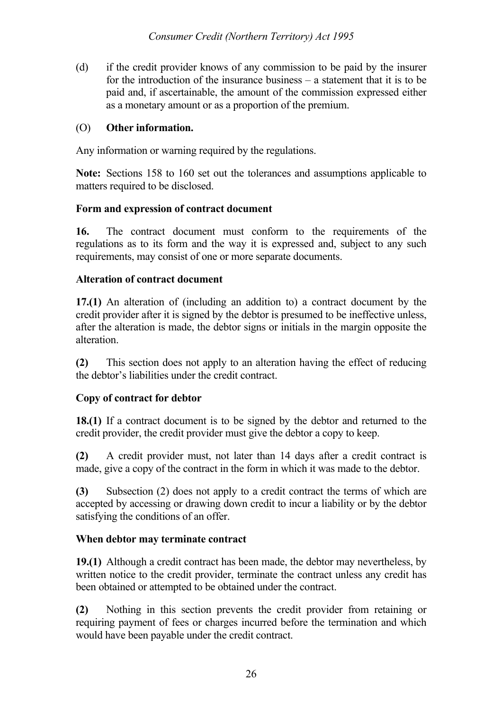(d) if the credit provider knows of any commission to be paid by the insurer for the introduction of the insurance business – a statement that it is to be paid and, if ascertainable, the amount of the commission expressed either as a monetary amount or as a proportion of the premium.

# (O) **Other information.**

Any information or warning required by the regulations.

**Note:** Sections 158 to 160 set out the tolerances and assumptions applicable to matters required to be disclosed.

## **Form and expression of contract document**

**16.** The contract document must conform to the requirements of the regulations as to its form and the way it is expressed and, subject to any such requirements, may consist of one or more separate documents.

# **Alteration of contract document**

**17.(1)** An alteration of (including an addition to) a contract document by the credit provider after it is signed by the debtor is presumed to be ineffective unless, after the alteration is made, the debtor signs or initials in the margin opposite the alteration.

**(2)** This section does not apply to an alteration having the effect of reducing the debtor's liabilities under the credit contract.

# **Copy of contract for debtor**

**18.(1)** If a contract document is to be signed by the debtor and returned to the credit provider, the credit provider must give the debtor a copy to keep.

**(2)** A credit provider must, not later than 14 days after a credit contract is made, give a copy of the contract in the form in which it was made to the debtor.

**(3)** Subsection (2) does not apply to a credit contract the terms of which are accepted by accessing or drawing down credit to incur a liability or by the debtor satisfying the conditions of an offer.

# **When debtor may terminate contract**

**19.(1)** Although a credit contract has been made, the debtor may nevertheless, by written notice to the credit provider, terminate the contract unless any credit has been obtained or attempted to be obtained under the contract.

**(2)** Nothing in this section prevents the credit provider from retaining or requiring payment of fees or charges incurred before the termination and which would have been payable under the credit contract.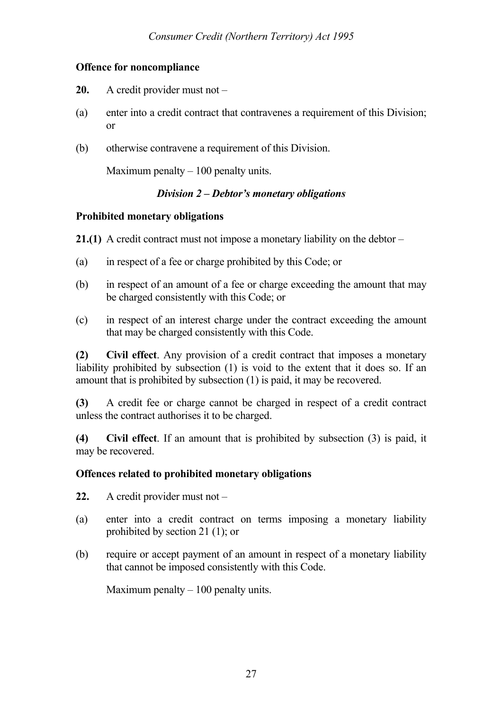## **Offence for noncompliance**

- **20.** A credit provider must not –
- (a) enter into a credit contract that contravenes a requirement of this Division; or
- (b) otherwise contravene a requirement of this Division.

Maximum penalty  $-100$  penalty units.

## *Division 2 – Debtor's monetary obligations*

### **Prohibited monetary obligations**

**21.(1)** A credit contract must not impose a monetary liability on the debtor –

- (a) in respect of a fee or charge prohibited by this Code; or
- (b) in respect of an amount of a fee or charge exceeding the amount that may be charged consistently with this Code; or
- (c) in respect of an interest charge under the contract exceeding the amount that may be charged consistently with this Code.

**(2) Civil effect**. Any provision of a credit contract that imposes a monetary liability prohibited by subsection (1) is void to the extent that it does so. If an amount that is prohibited by subsection (1) is paid, it may be recovered.

**(3)** A credit fee or charge cannot be charged in respect of a credit contract unless the contract authorises it to be charged.

**(4) Civil effect**. If an amount that is prohibited by subsection (3) is paid, it may be recovered.

## **Offences related to prohibited monetary obligations**

- **22.** A credit provider must not –
- (a) enter into a credit contract on terms imposing a monetary liability prohibited by section 21 (1); or
- (b) require or accept payment of an amount in respect of a monetary liability that cannot be imposed consistently with this Code.

Maximum penalty  $-100$  penalty units.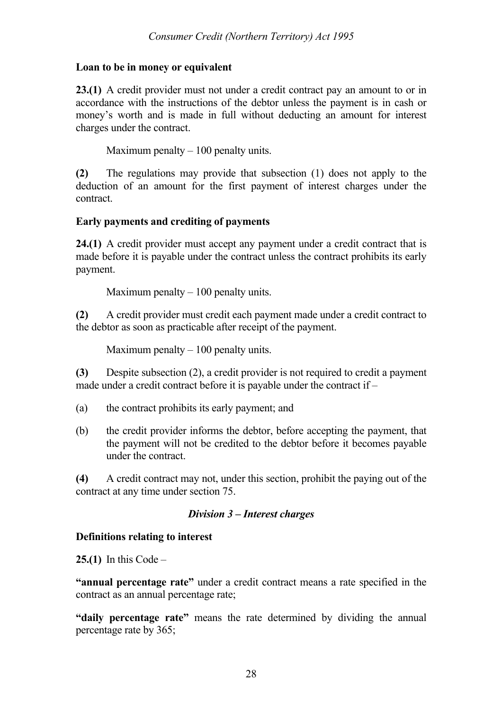## **Loan to be in money or equivalent**

**23.(1)** A credit provider must not under a credit contract pay an amount to or in accordance with the instructions of the debtor unless the payment is in cash or money's worth and is made in full without deducting an amount for interest charges under the contract.

Maximum penalty  $-100$  penalty units.

**(2)** The regulations may provide that subsection (1) does not apply to the deduction of an amount for the first payment of interest charges under the contract.

## **Early payments and crediting of payments**

**24.(1)** A credit provider must accept any payment under a credit contract that is made before it is payable under the contract unless the contract prohibits its early payment.

Maximum penalty  $-100$  penalty units.

**(2)** A credit provider must credit each payment made under a credit contract to the debtor as soon as practicable after receipt of the payment.

Maximum penalty  $-100$  penalty units.

**(3)** Despite subsection (2), a credit provider is not required to credit a payment made under a credit contract before it is payable under the contract if –

- (a) the contract prohibits its early payment; and
- (b) the credit provider informs the debtor, before accepting the payment, that the payment will not be credited to the debtor before it becomes payable under the contract.

**(4)** A credit contract may not, under this section, prohibit the paying out of the contract at any time under section 75.

## *Division 3 – Interest charges*

# **Definitions relating to interest**

**25.(1)** In this Code –

**"annual percentage rate"** under a credit contract means a rate specified in the contract as an annual percentage rate;

**"daily percentage rate"** means the rate determined by dividing the annual percentage rate by 365;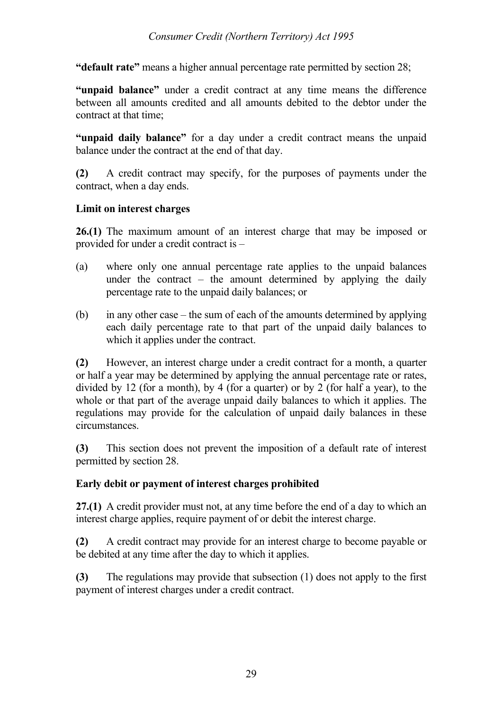**"default rate"** means a higher annual percentage rate permitted by section 28;

**"unpaid balance"** under a credit contract at any time means the difference between all amounts credited and all amounts debited to the debtor under the contract at that time;

**"unpaid daily balance"** for a day under a credit contract means the unpaid balance under the contract at the end of that day.

**(2)** A credit contract may specify, for the purposes of payments under the contract, when a day ends.

# **Limit on interest charges**

**26.(1)** The maximum amount of an interest charge that may be imposed or provided for under a credit contract is –

- (a) where only one annual percentage rate applies to the unpaid balances under the contract – the amount determined by applying the daily percentage rate to the unpaid daily balances; or
- (b) in any other case the sum of each of the amounts determined by applying each daily percentage rate to that part of the unpaid daily balances to which it applies under the contract.

**(2)** However, an interest charge under a credit contract for a month, a quarter or half a year may be determined by applying the annual percentage rate or rates, divided by 12 (for a month), by 4 (for a quarter) or by 2 (for half a year), to the whole or that part of the average unpaid daily balances to which it applies. The regulations may provide for the calculation of unpaid daily balances in these circumstances.

**(3)** This section does not prevent the imposition of a default rate of interest permitted by section 28.

# **Early debit or payment of interest charges prohibited**

**27.(1)** A credit provider must not, at any time before the end of a day to which an interest charge applies, require payment of or debit the interest charge.

**(2)** A credit contract may provide for an interest charge to become payable or be debited at any time after the day to which it applies.

**(3)** The regulations may provide that subsection (1) does not apply to the first payment of interest charges under a credit contract.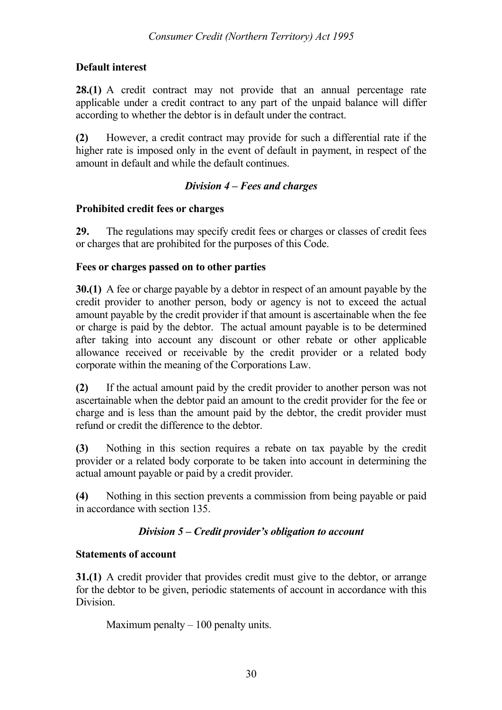# **Default interest**

**28.(1)** A credit contract may not provide that an annual percentage rate applicable under a credit contract to any part of the unpaid balance will differ according to whether the debtor is in default under the contract.

**(2)** However, a credit contract may provide for such a differential rate if the higher rate is imposed only in the event of default in payment, in respect of the amount in default and while the default continues.

# *Division 4 – Fees and charges*

# **Prohibited credit fees or charges**

**29.** The regulations may specify credit fees or charges or classes of credit fees or charges that are prohibited for the purposes of this Code.

# **Fees or charges passed on to other parties**

**30.(1)** A fee or charge payable by a debtor in respect of an amount payable by the credit provider to another person, body or agency is not to exceed the actual amount payable by the credit provider if that amount is ascertainable when the fee or charge is paid by the debtor. The actual amount payable is to be determined after taking into account any discount or other rebate or other applicable allowance received or receivable by the credit provider or a related body corporate within the meaning of the Corporations Law.

**(2)** If the actual amount paid by the credit provider to another person was not ascertainable when the debtor paid an amount to the credit provider for the fee or charge and is less than the amount paid by the debtor, the credit provider must refund or credit the difference to the debtor.

**(3)** Nothing in this section requires a rebate on tax payable by the credit provider or a related body corporate to be taken into account in determining the actual amount payable or paid by a credit provider.

**(4)** Nothing in this section prevents a commission from being payable or paid in accordance with section 135.

# *Division 5 – Credit provider's obligation to account*

# **Statements of account**

**31.(1)** A credit provider that provides credit must give to the debtor, or arrange for the debtor to be given, periodic statements of account in accordance with this Division.

Maximum penalty  $-100$  penalty units.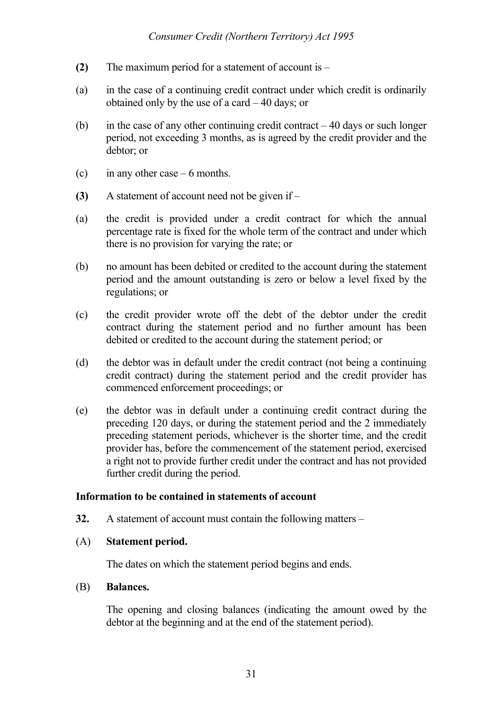- **(2)** The maximum period for a statement of account is –
- (a) in the case of a continuing credit contract under which credit is ordinarily obtained only by the use of a card – 40 days; or
- (b) in the case of any other continuing credit contract  $-40$  days or such longer period, not exceeding 3 months, as is agreed by the credit provider and the debtor; or
- (c) in any other case  $-6$  months.
- **(3)** A statement of account need not be given if –
- (a) the credit is provided under a credit contract for which the annual percentage rate is fixed for the whole term of the contract and under which there is no provision for varying the rate; or
- (b) no amount has been debited or credited to the account during the statement period and the amount outstanding is zero or below a level fixed by the regulations; or
- (c) the credit provider wrote off the debt of the debtor under the credit contract during the statement period and no further amount has been debited or credited to the account during the statement period; or
- (d) the debtor was in default under the credit contract (not being a continuing credit contract) during the statement period and the credit provider has commenced enforcement proceedings; or
- (e) the debtor was in default under a continuing credit contract during the preceding 120 days, or during the statement period and the 2 immediately preceding statement periods, whichever is the shorter time, and the credit provider has, before the commencement of the statement period, exercised a right not to provide further credit under the contract and has not provided further credit during the period.

### **Information to be contained in statements of account**

**32.** A statement of account must contain the following matters –

### (A) **Statement period.**

The dates on which the statement period begins and ends.

### (B) **Balances.**

The opening and closing balances (indicating the amount owed by the debtor at the beginning and at the end of the statement period).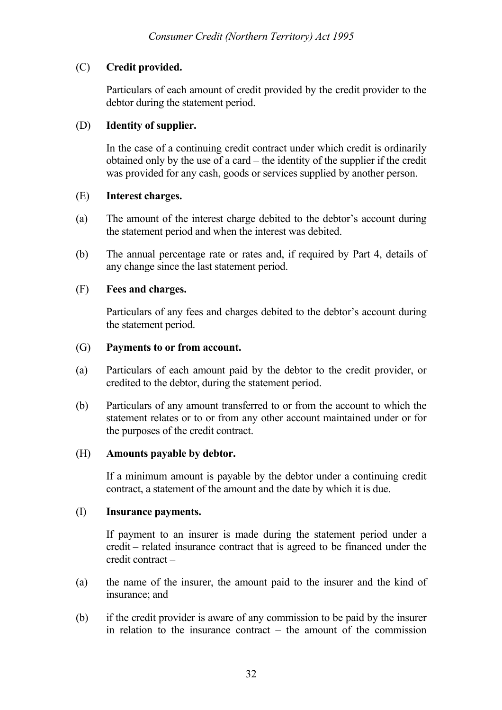## (C) **Credit provided.**

Particulars of each amount of credit provided by the credit provider to the debtor during the statement period.

## (D) **Identity of supplier.**

In the case of a continuing credit contract under which credit is ordinarily obtained only by the use of a card – the identity of the supplier if the credit was provided for any cash, goods or services supplied by another person.

## (E) **Interest charges.**

- (a) The amount of the interest charge debited to the debtor's account during the statement period and when the interest was debited.
- (b) The annual percentage rate or rates and, if required by Part 4, details of any change since the last statement period.

## (F) **Fees and charges.**

Particulars of any fees and charges debited to the debtor's account during the statement period.

## (G) **Payments to or from account.**

- (a) Particulars of each amount paid by the debtor to the credit provider, or credited to the debtor, during the statement period.
- (b) Particulars of any amount transferred to or from the account to which the statement relates or to or from any other account maintained under or for the purposes of the credit contract.

## (H) **Amounts payable by debtor.**

If a minimum amount is payable by the debtor under a continuing credit contract, a statement of the amount and the date by which it is due.

## (I) **Insurance payments.**

If payment to an insurer is made during the statement period under a credit – related insurance contract that is agreed to be financed under the credit contract –

- (a) the name of the insurer, the amount paid to the insurer and the kind of insurance; and
- (b) if the credit provider is aware of any commission to be paid by the insurer in relation to the insurance contract  $-$  the amount of the commission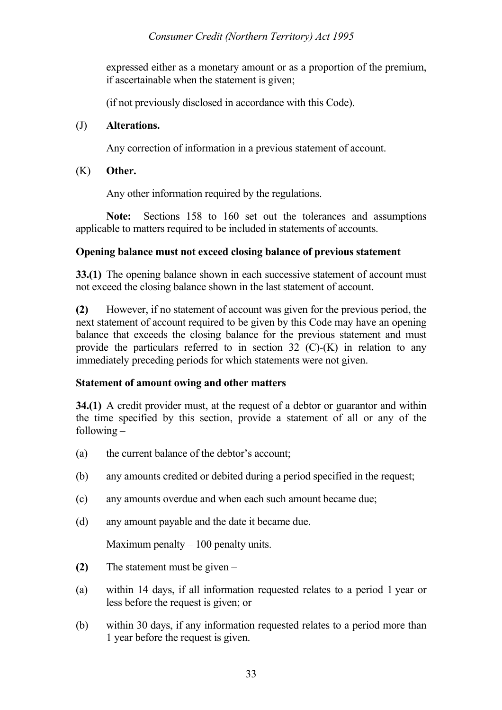expressed either as a monetary amount or as a proportion of the premium, if ascertainable when the statement is given;

(if not previously disclosed in accordance with this Code).

## (J) **Alterations.**

Any correction of information in a previous statement of account.

(K) **Other.**

Any other information required by the regulations.

**Note:** Sections 158 to 160 set out the tolerances and assumptions applicable to matters required to be included in statements of accounts.

## **Opening balance must not exceed closing balance of previous statement**

**33.(1)** The opening balance shown in each successive statement of account must not exceed the closing balance shown in the last statement of account.

**(2)** However, if no statement of account was given for the previous period, the next statement of account required to be given by this Code may have an opening balance that exceeds the closing balance for the previous statement and must provide the particulars referred to in section  $32$  (C)-(K) in relation to any immediately preceding periods for which statements were not given.

# **Statement of amount owing and other matters**

**34.(1)** A credit provider must, at the request of a debtor or guarantor and within the time specified by this section, provide a statement of all or any of the following –

- (a) the current balance of the debtor's account;
- (b) any amounts credited or debited during a period specified in the request;
- (c) any amounts overdue and when each such amount became due;
- (d) any amount payable and the date it became due.

Maximum penalty  $-100$  penalty units.

- **(2)** The statement must be given –
- (a) within 14 days, if all information requested relates to a period 1 year or less before the request is given; or
- (b) within 30 days, if any information requested relates to a period more than 1 year before the request is given.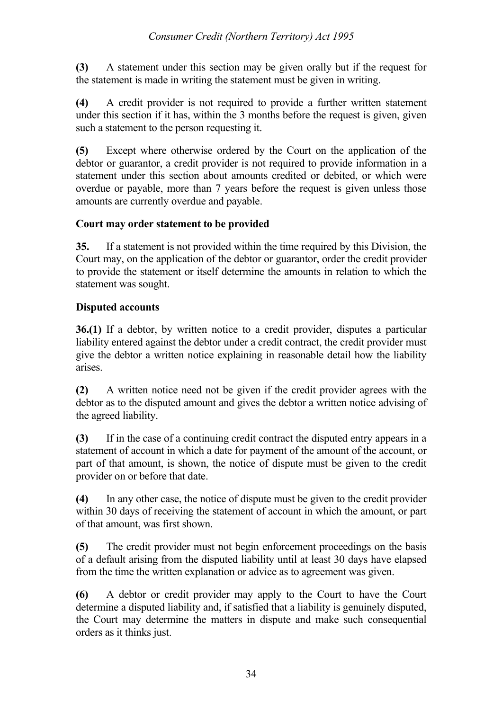**(3)** A statement under this section may be given orally but if the request for the statement is made in writing the statement must be given in writing.

**(4)** A credit provider is not required to provide a further written statement under this section if it has, within the 3 months before the request is given, given such a statement to the person requesting it.

**(5)** Except where otherwise ordered by the Court on the application of the debtor or guarantor, a credit provider is not required to provide information in a statement under this section about amounts credited or debited, or which were overdue or payable, more than 7 years before the request is given unless those amounts are currently overdue and payable.

# **Court may order statement to be provided**

**35.** If a statement is not provided within the time required by this Division, the Court may, on the application of the debtor or guarantor, order the credit provider to provide the statement or itself determine the amounts in relation to which the statement was sought.

# **Disputed accounts**

**36.(1)** If a debtor, by written notice to a credit provider, disputes a particular liability entered against the debtor under a credit contract, the credit provider must give the debtor a written notice explaining in reasonable detail how the liability arises.

**(2)** A written notice need not be given if the credit provider agrees with the debtor as to the disputed amount and gives the debtor a written notice advising of the agreed liability.

**(3)** If in the case of a continuing credit contract the disputed entry appears in a statement of account in which a date for payment of the amount of the account, or part of that amount, is shown, the notice of dispute must be given to the credit provider on or before that date.

**(4)** In any other case, the notice of dispute must be given to the credit provider within 30 days of receiving the statement of account in which the amount, or part of that amount, was first shown.

**(5)** The credit provider must not begin enforcement proceedings on the basis of a default arising from the disputed liability until at least 30 days have elapsed from the time the written explanation or advice as to agreement was given.

**(6)** A debtor or credit provider may apply to the Court to have the Court determine a disputed liability and, if satisfied that a liability is genuinely disputed, the Court may determine the matters in dispute and make such consequential orders as it thinks just.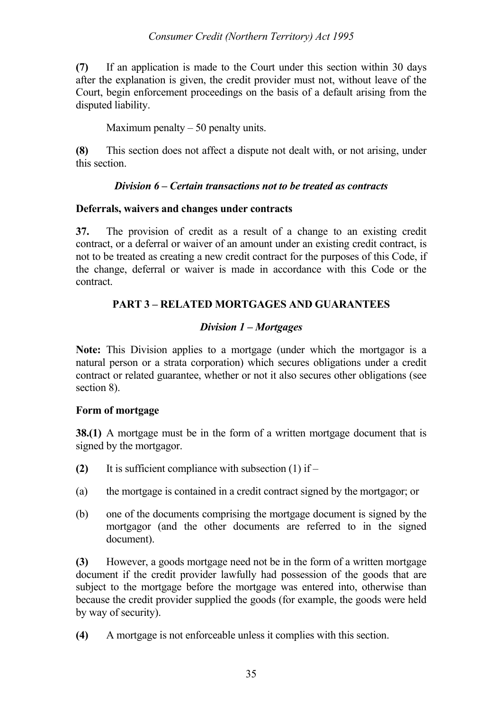## *Consumer Credit (Northern Territory) Act 1995*

**(7)** If an application is made to the Court under this section within 30 days after the explanation is given, the credit provider must not, without leave of the Court, begin enforcement proceedings on the basis of a default arising from the disputed liability.

Maximum penalty  $-50$  penalty units.

**(8)** This section does not affect a dispute not dealt with, or not arising, under this section.

## *Division 6 – Certain transactions not to be treated as contracts*

## **Deferrals, waivers and changes under contracts**

**37.** The provision of credit as a result of a change to an existing credit contract, or a deferral or waiver of an amount under an existing credit contract, is not to be treated as creating a new credit contract for the purposes of this Code, if the change, deferral or waiver is made in accordance with this Code or the contract.

# **PART 3 – RELATED MORTGAGES AND GUARANTEES**

# *Division 1 – Mortgages*

**Note:** This Division applies to a mortgage (under which the mortgagor is a natural person or a strata corporation) which secures obligations under a credit contract or related guarantee, whether or not it also secures other obligations (see section 8).

## **Form of mortgage**

**38.(1)** A mortgage must be in the form of a written mortgage document that is signed by the mortgagor.

- **(2)** It is sufficient compliance with subsection (1) if –
- (a) the mortgage is contained in a credit contract signed by the mortgagor; or
- (b) one of the documents comprising the mortgage document is signed by the mortgagor (and the other documents are referred to in the signed document).

**(3)** However, a goods mortgage need not be in the form of a written mortgage document if the credit provider lawfully had possession of the goods that are subject to the mortgage before the mortgage was entered into, otherwise than because the credit provider supplied the goods (for example, the goods were held by way of security).

**(4)** A mortgage is not enforceable unless it complies with this section.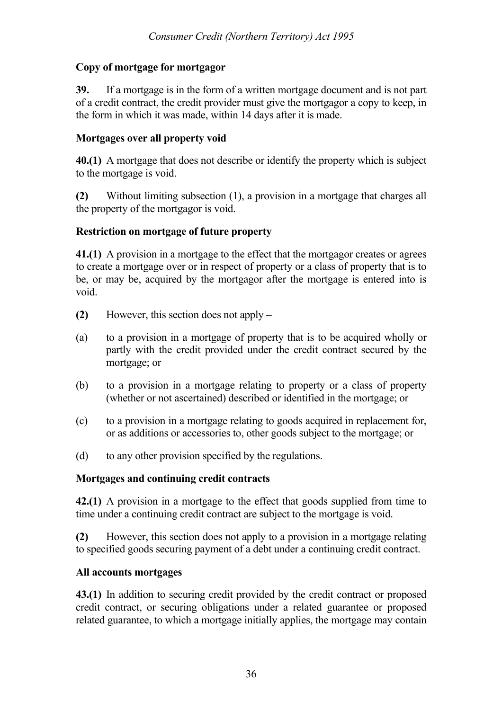# **Copy of mortgage for mortgagor**

**39.** If a mortgage is in the form of a written mortgage document and is not part of a credit contract, the credit provider must give the mortgagor a copy to keep, in the form in which it was made, within 14 days after it is made.

# **Mortgages over all property void**

**40.(1)** A mortgage that does not describe or identify the property which is subject to the mortgage is void.

**(2)** Without limiting subsection (1), a provision in a mortgage that charges all the property of the mortgagor is void.

### **Restriction on mortgage of future property**

**41.(1)** A provision in a mortgage to the effect that the mortgagor creates or agrees to create a mortgage over or in respect of property or a class of property that is to be, or may be, acquired by the mortgagor after the mortgage is entered into is void.

- **(2)** However, this section does not apply –
- (a) to a provision in a mortgage of property that is to be acquired wholly or partly with the credit provided under the credit contract secured by the mortgage; or
- (b) to a provision in a mortgage relating to property or a class of property (whether or not ascertained) described or identified in the mortgage; or
- (c) to a provision in a mortgage relating to goods acquired in replacement for, or as additions or accessories to, other goods subject to the mortgage; or
- (d) to any other provision specified by the regulations.

# **Mortgages and continuing credit contracts**

**42.(1)** A provision in a mortgage to the effect that goods supplied from time to time under a continuing credit contract are subject to the mortgage is void.

**(2)** However, this section does not apply to a provision in a mortgage relating to specified goods securing payment of a debt under a continuing credit contract.

# **All accounts mortgages**

**43.(1)** In addition to securing credit provided by the credit contract or proposed credit contract, or securing obligations under a related guarantee or proposed related guarantee, to which a mortgage initially applies, the mortgage may contain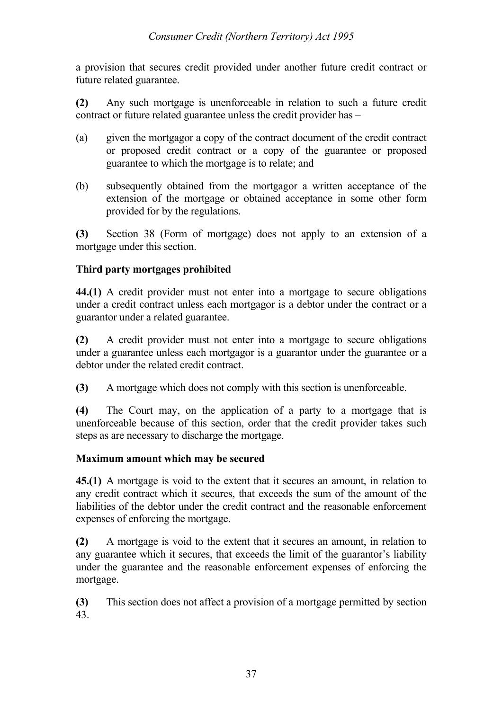a provision that secures credit provided under another future credit contract or future related guarantee.

**(2)** Any such mortgage is unenforceable in relation to such a future credit contract or future related guarantee unless the credit provider has –

- (a) given the mortgagor a copy of the contract document of the credit contract or proposed credit contract or a copy of the guarantee or proposed guarantee to which the mortgage is to relate; and
- (b) subsequently obtained from the mortgagor a written acceptance of the extension of the mortgage or obtained acceptance in some other form provided for by the regulations.

**(3)** Section 38 (Form of mortgage) does not apply to an extension of a mortgage under this section.

# **Third party mortgages prohibited**

**44.(1)** A credit provider must not enter into a mortgage to secure obligations under a credit contract unless each mortgagor is a debtor under the contract or a guarantor under a related guarantee.

**(2)** A credit provider must not enter into a mortgage to secure obligations under a guarantee unless each mortgagor is a guarantor under the guarantee or a debtor under the related credit contract.

**(3)** A mortgage which does not comply with this section is unenforceable.

**(4)** The Court may, on the application of a party to a mortgage that is unenforceable because of this section, order that the credit provider takes such steps as are necessary to discharge the mortgage.

# **Maximum amount which may be secured**

**45.(1)** A mortgage is void to the extent that it secures an amount, in relation to any credit contract which it secures, that exceeds the sum of the amount of the liabilities of the debtor under the credit contract and the reasonable enforcement expenses of enforcing the mortgage.

**(2)** A mortgage is void to the extent that it secures an amount, in relation to any guarantee which it secures, that exceeds the limit of the guarantor's liability under the guarantee and the reasonable enforcement expenses of enforcing the mortgage.

**(3)** This section does not affect a provision of a mortgage permitted by section 43.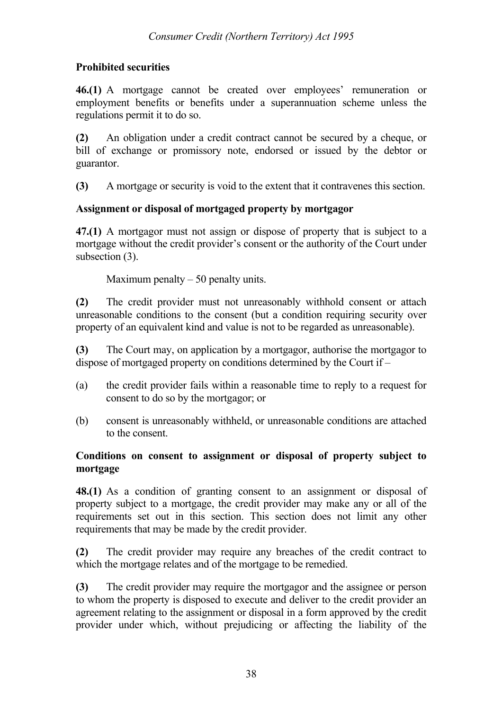# **Prohibited securities**

**46.(1)** A mortgage cannot be created over employees' remuneration or employment benefits or benefits under a superannuation scheme unless the regulations permit it to do so.

**(2)** An obligation under a credit contract cannot be secured by a cheque, or bill of exchange or promissory note, endorsed or issued by the debtor or guarantor.

**(3)** A mortgage or security is void to the extent that it contravenes this section.

# **Assignment or disposal of mortgaged property by mortgagor**

**47.(1)** A mortgagor must not assign or dispose of property that is subject to a mortgage without the credit provider's consent or the authority of the Court under subsection (3).

Maximum penalty  $-50$  penalty units.

**(2)** The credit provider must not unreasonably withhold consent or attach unreasonable conditions to the consent (but a condition requiring security over property of an equivalent kind and value is not to be regarded as unreasonable).

**(3)** The Court may, on application by a mortgagor, authorise the mortgagor to dispose of mortgaged property on conditions determined by the Court if –

- (a) the credit provider fails within a reasonable time to reply to a request for consent to do so by the mortgagor; or
- (b) consent is unreasonably withheld, or unreasonable conditions are attached to the consent.

# **Conditions on consent to assignment or disposal of property subject to mortgage**

**48.(1)** As a condition of granting consent to an assignment or disposal of property subject to a mortgage, the credit provider may make any or all of the requirements set out in this section. This section does not limit any other requirements that may be made by the credit provider.

**(2)** The credit provider may require any breaches of the credit contract to which the mortgage relates and of the mortgage to be remedied.

**(3)** The credit provider may require the mortgagor and the assignee or person to whom the property is disposed to execute and deliver to the credit provider an agreement relating to the assignment or disposal in a form approved by the credit provider under which, without prejudicing or affecting the liability of the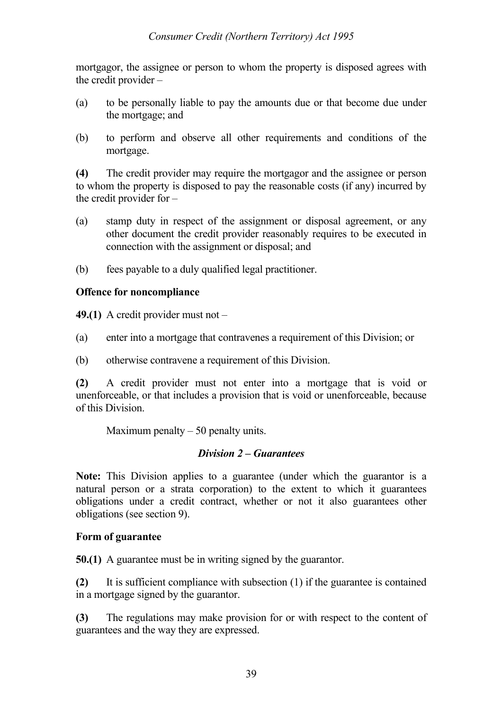mortgagor, the assignee or person to whom the property is disposed agrees with the credit provider –

- (a) to be personally liable to pay the amounts due or that become due under the mortgage; and
- (b) to perform and observe all other requirements and conditions of the mortgage.

**(4)** The credit provider may require the mortgagor and the assignee or person to whom the property is disposed to pay the reasonable costs (if any) incurred by the credit provider for –

- (a) stamp duty in respect of the assignment or disposal agreement, or any other document the credit provider reasonably requires to be executed in connection with the assignment or disposal; and
- (b) fees payable to a duly qualified legal practitioner.

# **Offence for noncompliance**

**49.(1)** A credit provider must not –

- (a) enter into a mortgage that contravenes a requirement of this Division; or
- (b) otherwise contravene a requirement of this Division.

**(2)** A credit provider must not enter into a mortgage that is void or unenforceable, or that includes a provision that is void or unenforceable, because of this Division.

Maximum penalty  $-50$  penalty units.

#### *Division 2 – Guarantees*

**Note:** This Division applies to a guarantee (under which the guarantor is a natural person or a strata corporation) to the extent to which it guarantees obligations under a credit contract, whether or not it also guarantees other obligations (see section 9).

# **Form of guarantee**

**50.(1)** A guarantee must be in writing signed by the guarantor.

**(2)** It is sufficient compliance with subsection (1) if the guarantee is contained in a mortgage signed by the guarantor.

**(3)** The regulations may make provision for or with respect to the content of guarantees and the way they are expressed.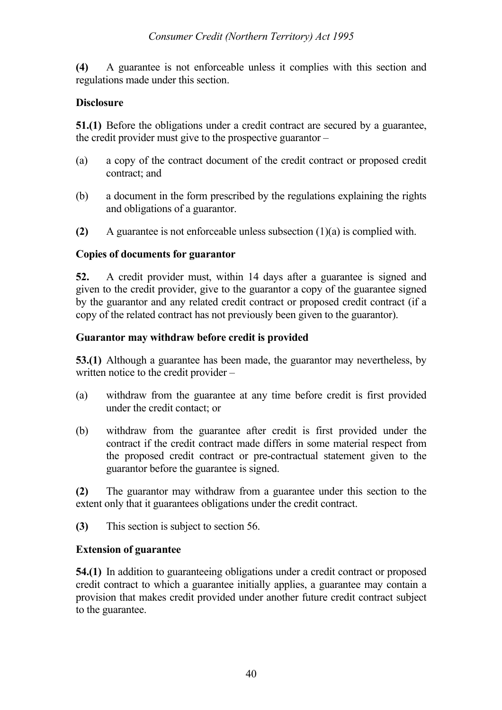**(4)** A guarantee is not enforceable unless it complies with this section and regulations made under this section.

# **Disclosure**

**51.(1)** Before the obligations under a credit contract are secured by a guarantee, the credit provider must give to the prospective guarantor –

- (a) a copy of the contract document of the credit contract or proposed credit contract; and
- (b) a document in the form prescribed by the regulations explaining the rights and obligations of a guarantor.
- **(2)** A guarantee is not enforceable unless subsection (1)(a) is complied with.

### **Copies of documents for guarantor**

**52.** A credit provider must, within 14 days after a guarantee is signed and given to the credit provider, give to the guarantor a copy of the guarantee signed by the guarantor and any related credit contract or proposed credit contract (if a copy of the related contract has not previously been given to the guarantor).

### **Guarantor may withdraw before credit is provided**

**53.(1)** Although a guarantee has been made, the guarantor may nevertheless, by written notice to the credit provider –

- (a) withdraw from the guarantee at any time before credit is first provided under the credit contact; or
- (b) withdraw from the guarantee after credit is first provided under the contract if the credit contract made differs in some material respect from the proposed credit contract or pre-contractual statement given to the guarantor before the guarantee is signed.

**(2)** The guarantor may withdraw from a guarantee under this section to the extent only that it guarantees obligations under the credit contract.

**(3)** This section is subject to section 56.

# **Extension of guarantee**

**54.(1)** In addition to guaranteeing obligations under a credit contract or proposed credit contract to which a guarantee initially applies, a guarantee may contain a provision that makes credit provided under another future credit contract subject to the guarantee.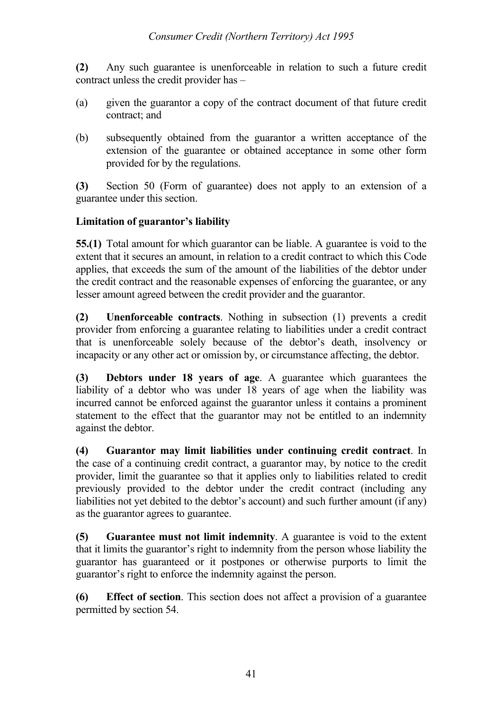**(2)** Any such guarantee is unenforceable in relation to such a future credit contract unless the credit provider has –

- (a) given the guarantor a copy of the contract document of that future credit contract; and
- (b) subsequently obtained from the guarantor a written acceptance of the extension of the guarantee or obtained acceptance in some other form provided for by the regulations.

**(3)** Section 50 (Form of guarantee) does not apply to an extension of a guarantee under this section.

# **Limitation of guarantor's liability**

**55.(1)** Total amount for which guarantor can be liable. A guarantee is void to the extent that it secures an amount, in relation to a credit contract to which this Code applies, that exceeds the sum of the amount of the liabilities of the debtor under the credit contract and the reasonable expenses of enforcing the guarantee, or any lesser amount agreed between the credit provider and the guarantor.

**(2) Unenforceable contracts**. Nothing in subsection (1) prevents a credit provider from enforcing a guarantee relating to liabilities under a credit contract that is unenforceable solely because of the debtor's death, insolvency or incapacity or any other act or omission by, or circumstance affecting, the debtor.

**(3) Debtors under 18 years of age**. A guarantee which guarantees the liability of a debtor who was under 18 years of age when the liability was incurred cannot be enforced against the guarantor unless it contains a prominent statement to the effect that the guarantor may not be entitled to an indemnity against the debtor.

**(4) Guarantor may limit liabilities under continuing credit contract**. In the case of a continuing credit contract, a guarantor may, by notice to the credit provider, limit the guarantee so that it applies only to liabilities related to credit previously provided to the debtor under the credit contract (including any liabilities not yet debited to the debtor's account) and such further amount (if any) as the guarantor agrees to guarantee.

**(5) Guarantee must not limit indemnity**. A guarantee is void to the extent that it limits the guarantor's right to indemnity from the person whose liability the guarantor has guaranteed or it postpones or otherwise purports to limit the guarantor's right to enforce the indemnity against the person.

**(6) Effect of section**. This section does not affect a provision of a guarantee permitted by section 54.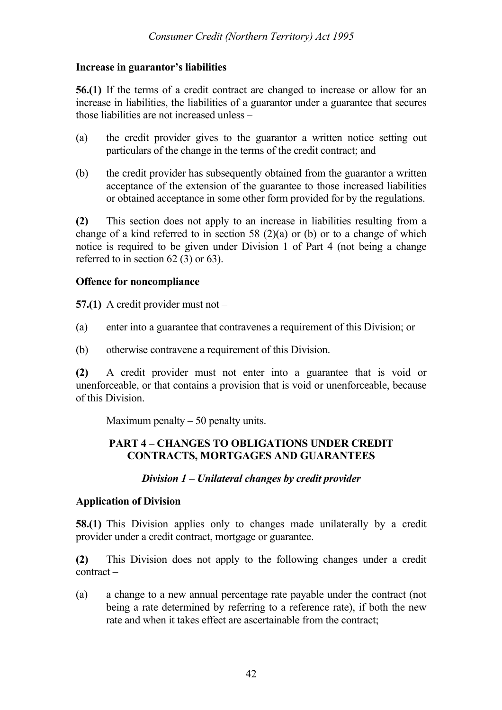#### **Increase in guarantor's liabilities**

**56.(1)** If the terms of a credit contract are changed to increase or allow for an increase in liabilities, the liabilities of a guarantor under a guarantee that secures those liabilities are not increased unless –

- (a) the credit provider gives to the guarantor a written notice setting out particulars of the change in the terms of the credit contract; and
- (b) the credit provider has subsequently obtained from the guarantor a written acceptance of the extension of the guarantee to those increased liabilities or obtained acceptance in some other form provided for by the regulations.

**(2)** This section does not apply to an increase in liabilities resulting from a change of a kind referred to in section 58 (2)(a) or (b) or to a change of which notice is required to be given under Division 1 of Part 4 (not being a change referred to in section 62 (3) or 63).

### **Offence for noncompliance**

**57.(1)** A credit provider must not –

- (a) enter into a guarantee that contravenes a requirement of this Division; or
- (b) otherwise contravene a requirement of this Division.

**(2)** A credit provider must not enter into a guarantee that is void or unenforceable, or that contains a provision that is void or unenforceable, because of this Division.

Maximum penalty  $-50$  penalty units.

### **PART 4 – CHANGES TO OBLIGATIONS UNDER CREDIT CONTRACTS, MORTGAGES AND GUARANTEES**

#### *Division 1 – Unilateral changes by credit provider*

#### **Application of Division**

**58.(1)** This Division applies only to changes made unilaterally by a credit provider under a credit contract, mortgage or guarantee.

**(2)** This Division does not apply to the following changes under a credit contract –

(a) a change to a new annual percentage rate payable under the contract (not being a rate determined by referring to a reference rate), if both the new rate and when it takes effect are ascertainable from the contract;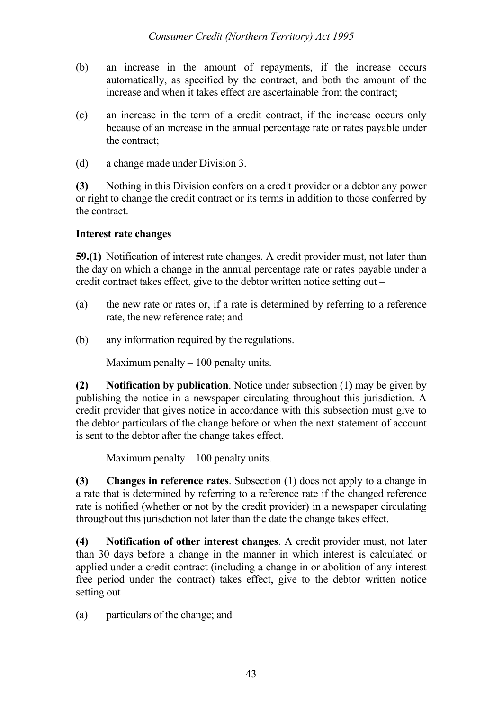- (b) an increase in the amount of repayments, if the increase occurs automatically, as specified by the contract, and both the amount of the increase and when it takes effect are ascertainable from the contract;
- (c) an increase in the term of a credit contract, if the increase occurs only because of an increase in the annual percentage rate or rates payable under the contract;
- (d) a change made under Division 3.

**(3)** Nothing in this Division confers on a credit provider or a debtor any power or right to change the credit contract or its terms in addition to those conferred by the contract.

### **Interest rate changes**

**59.(1)** Notification of interest rate changes. A credit provider must, not later than the day on which a change in the annual percentage rate or rates payable under a credit contract takes effect, give to the debtor written notice setting out –

- (a) the new rate or rates or, if a rate is determined by referring to a reference rate, the new reference rate; and
- (b) any information required by the regulations.

Maximum penalty  $-100$  penalty units.

**(2) Notification by publication**. Notice under subsection (1) may be given by publishing the notice in a newspaper circulating throughout this jurisdiction. A credit provider that gives notice in accordance with this subsection must give to the debtor particulars of the change before or when the next statement of account is sent to the debtor after the change takes effect.

Maximum penalty  $-100$  penalty units.

**(3) Changes in reference rates**. Subsection (1) does not apply to a change in a rate that is determined by referring to a reference rate if the changed reference rate is notified (whether or not by the credit provider) in a newspaper circulating throughout this jurisdiction not later than the date the change takes effect.

**(4) Notification of other interest changes**. A credit provider must, not later than 30 days before a change in the manner in which interest is calculated or applied under a credit contract (including a change in or abolition of any interest free period under the contract) takes effect, give to the debtor written notice setting out  $-$ 

(a) particulars of the change; and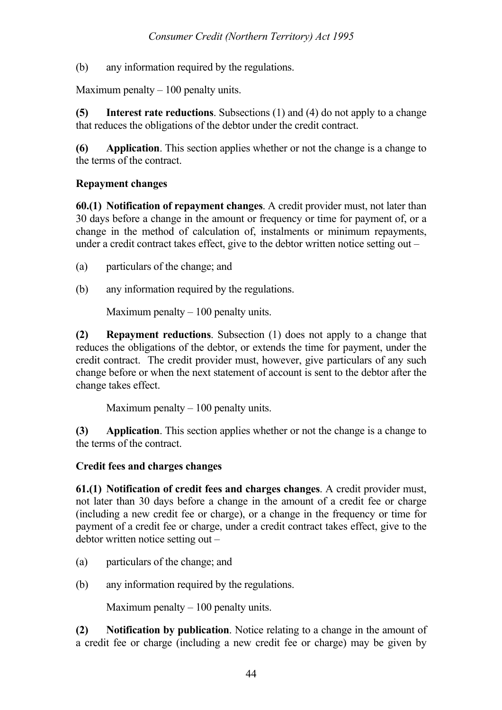(b) any information required by the regulations.

Maximum penalty  $-100$  penalty units.

**(5) Interest rate reductions**. Subsections (1) and (4) do not apply to a change that reduces the obligations of the debtor under the credit contract.

**(6) Application**. This section applies whether or not the change is a change to the terms of the contract.

## **Repayment changes**

**60.(1) Notification of repayment changes**. A credit provider must, not later than 30 days before a change in the amount or frequency or time for payment of, or a change in the method of calculation of, instalments or minimum repayments, under a credit contract takes effect, give to the debtor written notice setting out –

- (a) particulars of the change; and
- (b) any information required by the regulations.

Maximum penalty  $-100$  penalty units.

**(2) Repayment reductions**. Subsection (1) does not apply to a change that reduces the obligations of the debtor, or extends the time for payment, under the credit contract. The credit provider must, however, give particulars of any such change before or when the next statement of account is sent to the debtor after the change takes effect.

Maximum penalty  $-100$  penalty units.

**(3) Application**. This section applies whether or not the change is a change to the terms of the contract.

#### **Credit fees and charges changes**

**61.(1) Notification of credit fees and charges changes**. A credit provider must, not later than 30 days before a change in the amount of a credit fee or charge (including a new credit fee or charge), or a change in the frequency or time for payment of a credit fee or charge, under a credit contract takes effect, give to the debtor written notice setting out –

- (a) particulars of the change; and
- (b) any information required by the regulations.

Maximum penalty  $-100$  penalty units.

**(2) Notification by publication**. Notice relating to a change in the amount of a credit fee or charge (including a new credit fee or charge) may be given by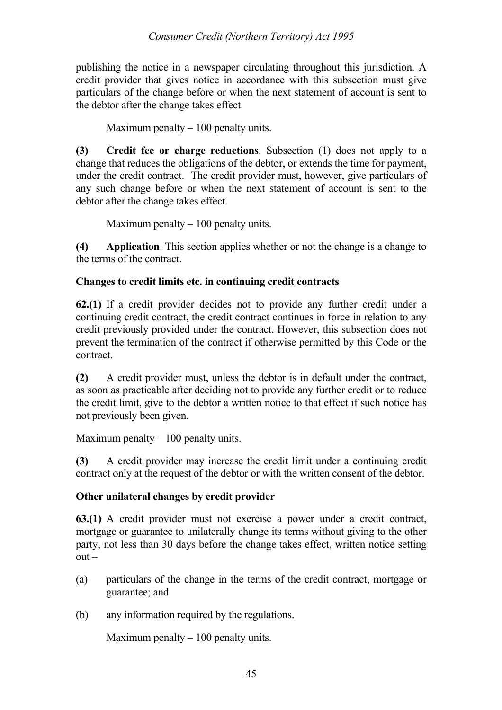publishing the notice in a newspaper circulating throughout this jurisdiction. A credit provider that gives notice in accordance with this subsection must give particulars of the change before or when the next statement of account is sent to the debtor after the change takes effect.

Maximum penalty  $-100$  penalty units.

**(3) Credit fee or charge reductions**. Subsection (1) does not apply to a change that reduces the obligations of the debtor, or extends the time for payment, under the credit contract. The credit provider must, however, give particulars of any such change before or when the next statement of account is sent to the debtor after the change takes effect.

Maximum penalty  $-100$  penalty units.

**(4) Application**. This section applies whether or not the change is a change to the terms of the contract.

# **Changes to credit limits etc. in continuing credit contracts**

**62.(1)** If a credit provider decides not to provide any further credit under a continuing credit contract, the credit contract continues in force in relation to any credit previously provided under the contract. However, this subsection does not prevent the termination of the contract if otherwise permitted by this Code or the contract.

**(2)** A credit provider must, unless the debtor is in default under the contract, as soon as practicable after deciding not to provide any further credit or to reduce the credit limit, give to the debtor a written notice to that effect if such notice has not previously been given.

Maximum penalty  $-100$  penalty units.

**(3)** A credit provider may increase the credit limit under a continuing credit contract only at the request of the debtor or with the written consent of the debtor.

# **Other unilateral changes by credit provider**

**63.(1)** A credit provider must not exercise a power under a credit contract, mortgage or guarantee to unilaterally change its terms without giving to the other party, not less than 30 days before the change takes effect, written notice setting  $out -$ 

- (a) particulars of the change in the terms of the credit contract, mortgage or guarantee; and
- (b) any information required by the regulations.

Maximum penalty  $-100$  penalty units.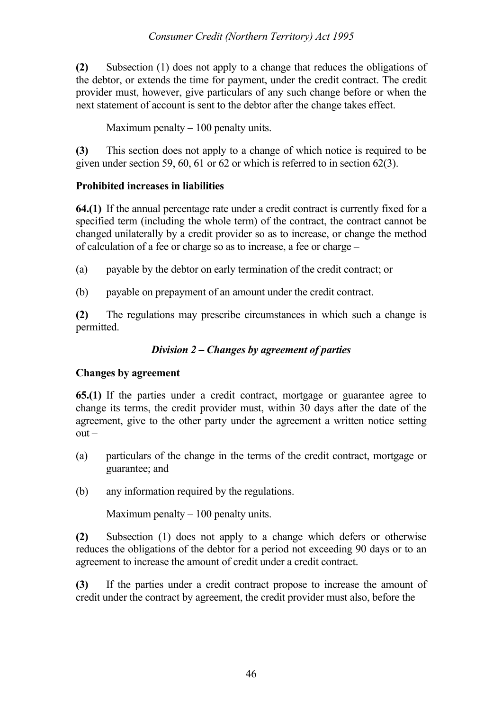### *Consumer Credit (Northern Territory) Act 1995*

**(2)** Subsection (1) does not apply to a change that reduces the obligations of the debtor, or extends the time for payment, under the credit contract. The credit provider must, however, give particulars of any such change before or when the next statement of account is sent to the debtor after the change takes effect.

Maximum penalty  $-100$  penalty units.

**(3)** This section does not apply to a change of which notice is required to be given under section 59, 60, 61 or 62 or which is referred to in section 62(3).

### **Prohibited increases in liabilities**

**64.(1)** If the annual percentage rate under a credit contract is currently fixed for a specified term (including the whole term) of the contract, the contract cannot be changed unilaterally by a credit provider so as to increase, or change the method of calculation of a fee or charge so as to increase, a fee or charge –

(a) payable by the debtor on early termination of the credit contract; or

(b) payable on prepayment of an amount under the credit contract.

**(2)** The regulations may prescribe circumstances in which such a change is permitted.

# *Division 2 – Changes by agreement of parties*

# **Changes by agreement**

**65.(1)** If the parties under a credit contract, mortgage or guarantee agree to change its terms, the credit provider must, within 30 days after the date of the agreement, give to the other party under the agreement a written notice setting  $out -$ 

- (a) particulars of the change in the terms of the credit contract, mortgage or guarantee; and
- (b) any information required by the regulations.

Maximum penalty  $-100$  penalty units.

**(2)** Subsection (1) does not apply to a change which defers or otherwise reduces the obligations of the debtor for a period not exceeding 90 days or to an agreement to increase the amount of credit under a credit contract.

**(3)** If the parties under a credit contract propose to increase the amount of credit under the contract by agreement, the credit provider must also, before the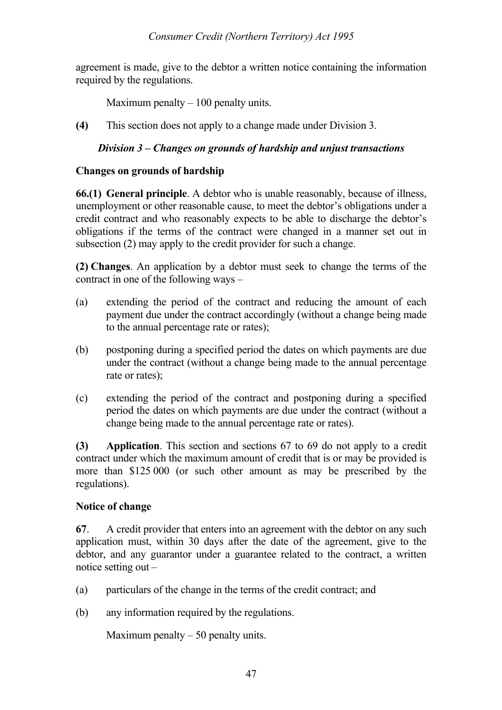agreement is made, give to the debtor a written notice containing the information required by the regulations.

Maximum penalty  $-100$  penalty units.

**(4)** This section does not apply to a change made under Division 3.

### *Division 3 – Changes on grounds of hardship and unjust transactions*

#### **Changes on grounds of hardship**

**66.(1) General principle**. A debtor who is unable reasonably, because of illness, unemployment or other reasonable cause, to meet the debtor's obligations under a credit contract and who reasonably expects to be able to discharge the debtor's obligations if the terms of the contract were changed in a manner set out in subsection (2) may apply to the credit provider for such a change.

**(2) Changes**. An application by a debtor must seek to change the terms of the contract in one of the following ways –

- (a) extending the period of the contract and reducing the amount of each payment due under the contract accordingly (without a change being made to the annual percentage rate or rates);
- (b) postponing during a specified period the dates on which payments are due under the contract (without a change being made to the annual percentage rate or rates);
- (c) extending the period of the contract and postponing during a specified period the dates on which payments are due under the contract (without a change being made to the annual percentage rate or rates).

**(3) Application**. This section and sections 67 to 69 do not apply to a credit contract under which the maximum amount of credit that is or may be provided is more than \$125 000 (or such other amount as may be prescribed by the regulations).

#### **Notice of change**

**67**. A credit provider that enters into an agreement with the debtor on any such application must, within 30 days after the date of the agreement, give to the debtor, and any guarantor under a guarantee related to the contract, a written notice setting out –

- (a) particulars of the change in the terms of the credit contract; and
- (b) any information required by the regulations.

Maximum penalty  $-50$  penalty units.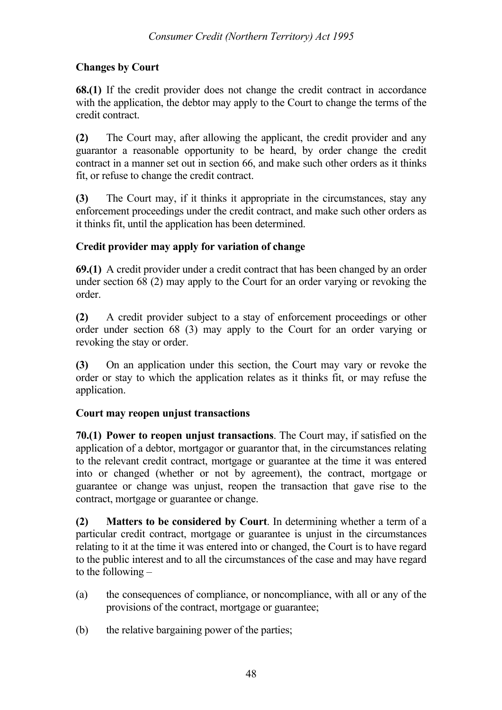# **Changes by Court**

**68.(1)** If the credit provider does not change the credit contract in accordance with the application, the debtor may apply to the Court to change the terms of the credit contract.

**(2)** The Court may, after allowing the applicant, the credit provider and any guarantor a reasonable opportunity to be heard, by order change the credit contract in a manner set out in section 66, and make such other orders as it thinks fit, or refuse to change the credit contract.

**(3)** The Court may, if it thinks it appropriate in the circumstances, stay any enforcement proceedings under the credit contract, and make such other orders as it thinks fit, until the application has been determined.

# **Credit provider may apply for variation of change**

**69.(1)** A credit provider under a credit contract that has been changed by an order under section 68 (2) may apply to the Court for an order varying or revoking the order.

**(2)** A credit provider subject to a stay of enforcement proceedings or other order under section 68 (3) may apply to the Court for an order varying or revoking the stay or order.

**(3)** On an application under this section, the Court may vary or revoke the order or stay to which the application relates as it thinks fit, or may refuse the application.

# **Court may reopen unjust transactions**

**70.(1) Power to reopen unjust transactions**. The Court may, if satisfied on the application of a debtor, mortgagor or guarantor that, in the circumstances relating to the relevant credit contract, mortgage or guarantee at the time it was entered into or changed (whether or not by agreement), the contract, mortgage or guarantee or change was unjust, reopen the transaction that gave rise to the contract, mortgage or guarantee or change.

**(2) Matters to be considered by Court**. In determining whether a term of a particular credit contract, mortgage or guarantee is unjust in the circumstances relating to it at the time it was entered into or changed, the Court is to have regard to the public interest and to all the circumstances of the case and may have regard to the following –

- (a) the consequences of compliance, or noncompliance, with all or any of the provisions of the contract, mortgage or guarantee;
- (b) the relative bargaining power of the parties;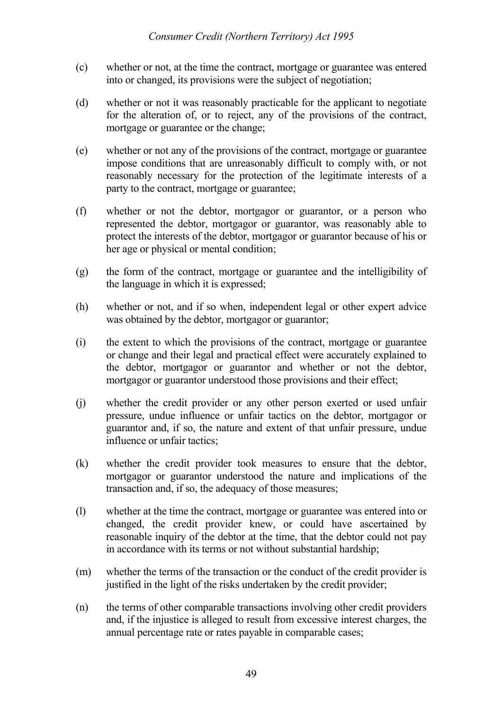- (c) whether or not, at the time the contract, mortgage or guarantee was entered into or changed, its provisions were the subject of negotiation;
- (d) whether or not it was reasonably practicable for the applicant to negotiate for the alteration of, or to reject, any of the provisions of the contract, mortgage or guarantee or the change;
- (e) whether or not any of the provisions of the contract, mortgage or guarantee impose conditions that are unreasonably difficult to comply with, or not reasonably necessary for the protection of the legitimate interests of a party to the contract, mortgage or guarantee;
- (f) whether or not the debtor, mortgagor or guarantor, or a person who represented the debtor, mortgagor or guarantor, was reasonably able to protect the interests of the debtor, mortgagor or guarantor because of his or her age or physical or mental condition;
- (g) the form of the contract, mortgage or guarantee and the intelligibility of the language in which it is expressed;
- (h) whether or not, and if so when, independent legal or other expert advice was obtained by the debtor, mortgagor or guarantor;
- (i) the extent to which the provisions of the contract, mortgage or guarantee or change and their legal and practical effect were accurately explained to the debtor, mortgagor or guarantor and whether or not the debtor, mortgagor or guarantor understood those provisions and their effect;
- (j) whether the credit provider or any other person exerted or used unfair pressure, undue influence or unfair tactics on the debtor, mortgagor or guarantor and, if so, the nature and extent of that unfair pressure, undue influence or unfair tactics;
- (k) whether the credit provider took measures to ensure that the debtor, mortgagor or guarantor understood the nature and implications of the transaction and, if so, the adequacy of those measures;
- (l) whether at the time the contract, mortgage or guarantee was entered into or changed, the credit provider knew, or could have ascertained by reasonable inquiry of the debtor at the time, that the debtor could not pay in accordance with its terms or not without substantial hardship;
- (m) whether the terms of the transaction or the conduct of the credit provider is justified in the light of the risks undertaken by the credit provider;
- (n) the terms of other comparable transactions involving other credit providers and, if the injustice is alleged to result from excessive interest charges, the annual percentage rate or rates payable in comparable cases;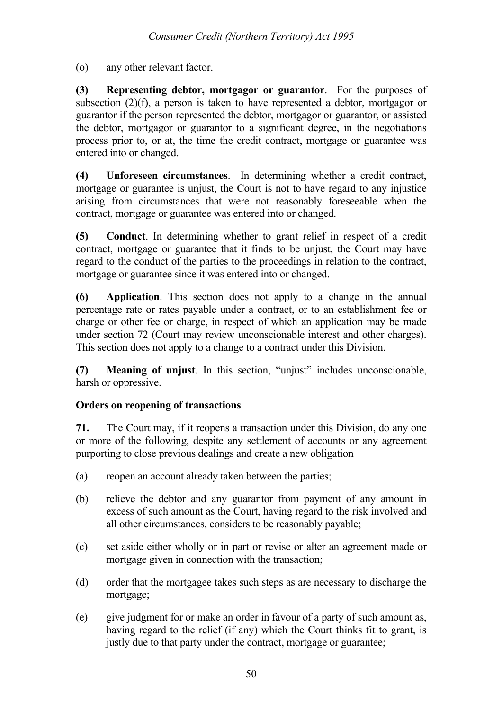(o) any other relevant factor.

**(3) Representing debtor, mortgagor or guarantor**. For the purposes of subsection (2)(f), a person is taken to have represented a debtor, mortgagor or guarantor if the person represented the debtor, mortgagor or guarantor, or assisted the debtor, mortgagor or guarantor to a significant degree, in the negotiations process prior to, or at, the time the credit contract, mortgage or guarantee was entered into or changed.

**(4) Unforeseen circumstances**. In determining whether a credit contract, mortgage or guarantee is unjust, the Court is not to have regard to any injustice arising from circumstances that were not reasonably foreseeable when the contract, mortgage or guarantee was entered into or changed.

**(5) Conduct**. In determining whether to grant relief in respect of a credit contract, mortgage or guarantee that it finds to be unjust, the Court may have regard to the conduct of the parties to the proceedings in relation to the contract, mortgage or guarantee since it was entered into or changed.

**(6) Application**. This section does not apply to a change in the annual percentage rate or rates payable under a contract, or to an establishment fee or charge or other fee or charge, in respect of which an application may be made under section 72 (Court may review unconscionable interest and other charges). This section does not apply to a change to a contract under this Division.

**(7) Meaning of unjust**. In this section, "unjust" includes unconscionable, harsh or oppressive.

# **Orders on reopening of transactions**

**71.** The Court may, if it reopens a transaction under this Division, do any one or more of the following, despite any settlement of accounts or any agreement purporting to close previous dealings and create a new obligation –

- (a) reopen an account already taken between the parties;
- (b) relieve the debtor and any guarantor from payment of any amount in excess of such amount as the Court, having regard to the risk involved and all other circumstances, considers to be reasonably payable;
- (c) set aside either wholly or in part or revise or alter an agreement made or mortgage given in connection with the transaction;
- (d) order that the mortgagee takes such steps as are necessary to discharge the mortgage;
- (e) give judgment for or make an order in favour of a party of such amount as, having regard to the relief (if any) which the Court thinks fit to grant, is justly due to that party under the contract, mortgage or guarantee;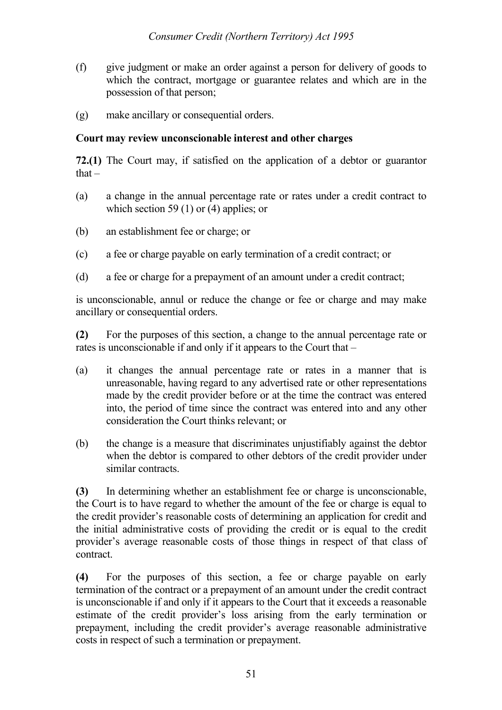- (f) give judgment or make an order against a person for delivery of goods to which the contract, mortgage or guarantee relates and which are in the possession of that person;
- (g) make ancillary or consequential orders.

#### **Court may review unconscionable interest and other charges**

**72.(1)** The Court may, if satisfied on the application of a debtor or guarantor  $that -$ 

- (a) a change in the annual percentage rate or rates under a credit contract to which section 59 (1) or (4) applies; or
- (b) an establishment fee or charge; or
- (c) a fee or charge payable on early termination of a credit contract; or
- (d) a fee or charge for a prepayment of an amount under a credit contract;

is unconscionable, annul or reduce the change or fee or charge and may make ancillary or consequential orders.

**(2)** For the purposes of this section, a change to the annual percentage rate or rates is unconscionable if and only if it appears to the Court that –

- (a) it changes the annual percentage rate or rates in a manner that is unreasonable, having regard to any advertised rate or other representations made by the credit provider before or at the time the contract was entered into, the period of time since the contract was entered into and any other consideration the Court thinks relevant; or
- (b) the change is a measure that discriminates unjustifiably against the debtor when the debtor is compared to other debtors of the credit provider under similar contracts.

**(3)** In determining whether an establishment fee or charge is unconscionable, the Court is to have regard to whether the amount of the fee or charge is equal to the credit provider's reasonable costs of determining an application for credit and the initial administrative costs of providing the credit or is equal to the credit provider's average reasonable costs of those things in respect of that class of contract.

**(4)** For the purposes of this section, a fee or charge payable on early termination of the contract or a prepayment of an amount under the credit contract is unconscionable if and only if it appears to the Court that it exceeds a reasonable estimate of the credit provider's loss arising from the early termination or prepayment, including the credit provider's average reasonable administrative costs in respect of such a termination or prepayment.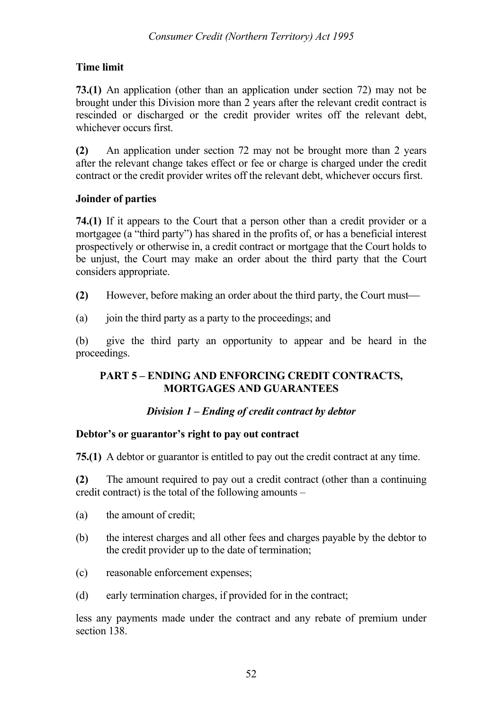# **Time limit**

**73.(1)** An application (other than an application under section 72) may not be brought under this Division more than 2 years after the relevant credit contract is rescinded or discharged or the credit provider writes off the relevant debt, whichever occurs first.

**(2)** An application under section 72 may not be brought more than 2 years after the relevant change takes effect or fee or charge is charged under the credit contract or the credit provider writes off the relevant debt, whichever occurs first.

# **Joinder of parties**

**74.(1)** If it appears to the Court that a person other than a credit provider or a mortgagee (a "third party") has shared in the profits of, or has a beneficial interest prospectively or otherwise in, a credit contract or mortgage that the Court holds to be unjust, the Court may make an order about the third party that the Court considers appropriate.

- **(2)** However, before making an order about the third party, the Court must
- (a) join the third party as a party to the proceedings; and

(b) give the third party an opportunity to appear and be heard in the proceedings.

# **PART 5 – ENDING AND ENFORCING CREDIT CONTRACTS, MORTGAGES AND GUARANTEES**

# *Division 1 – Ending of credit contract by debtor*

# **Debtor's or guarantor's right to pay out contract**

**75.(1)** A debtor or guarantor is entitled to pay out the credit contract at any time.

**(2)** The amount required to pay out a credit contract (other than a continuing credit contract) is the total of the following amounts –

- (a) the amount of credit;
- (b) the interest charges and all other fees and charges payable by the debtor to the credit provider up to the date of termination;
- (c) reasonable enforcement expenses;
- (d) early termination charges, if provided for in the contract;

less any payments made under the contract and any rebate of premium under section 138.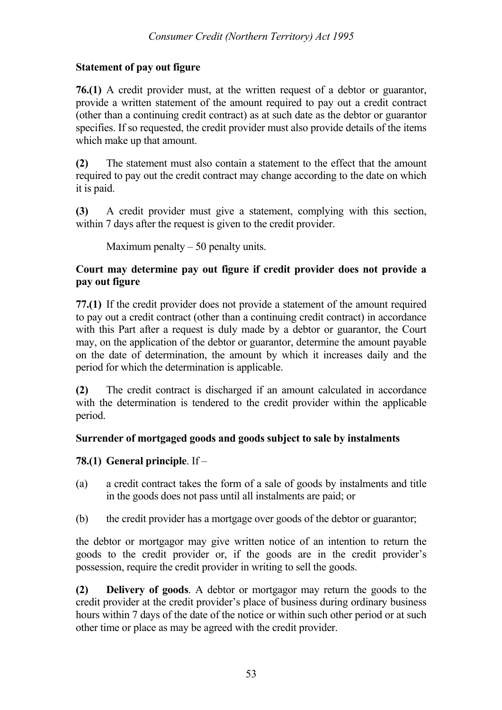# **Statement of pay out figure**

**76.(1)** A credit provider must, at the written request of a debtor or guarantor, provide a written statement of the amount required to pay out a credit contract (other than a continuing credit contract) as at such date as the debtor or guarantor specifies. If so requested, the credit provider must also provide details of the items which make up that amount.

**(2)** The statement must also contain a statement to the effect that the amount required to pay out the credit contract may change according to the date on which it is paid.

**(3)** A credit provider must give a statement, complying with this section, within 7 days after the request is given to the credit provider.

Maximum penalty  $-50$  penalty units.

# **Court may determine pay out figure if credit provider does not provide a pay out figure**

**77.(1)** If the credit provider does not provide a statement of the amount required to pay out a credit contract (other than a continuing credit contract) in accordance with this Part after a request is duly made by a debtor or guarantor, the Court may, on the application of the debtor or guarantor, determine the amount payable on the date of determination, the amount by which it increases daily and the period for which the determination is applicable.

**(2)** The credit contract is discharged if an amount calculated in accordance with the determination is tendered to the credit provider within the applicable period.

# **Surrender of mortgaged goods and goods subject to sale by instalments**

# **78.(1) General principle**. If –

- (a) a credit contract takes the form of a sale of goods by instalments and title in the goods does not pass until all instalments are paid; or
- (b) the credit provider has a mortgage over goods of the debtor or guarantor;

the debtor or mortgagor may give written notice of an intention to return the goods to the credit provider or, if the goods are in the credit provider's possession, require the credit provider in writing to sell the goods.

**(2) Delivery of goods**. A debtor or mortgagor may return the goods to the credit provider at the credit provider's place of business during ordinary business hours within 7 days of the date of the notice or within such other period or at such other time or place as may be agreed with the credit provider.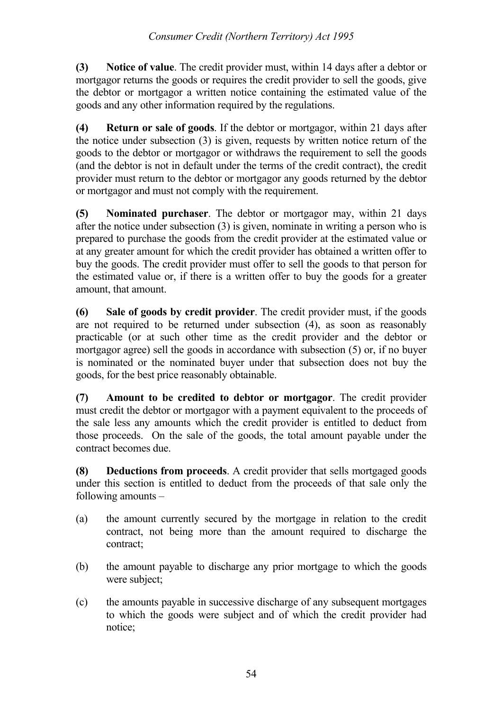**(3) Notice of value**. The credit provider must, within 14 days after a debtor or mortgagor returns the goods or requires the credit provider to sell the goods, give the debtor or mortgagor a written notice containing the estimated value of the goods and any other information required by the regulations.

**(4) Return or sale of goods**. If the debtor or mortgagor, within 21 days after the notice under subsection (3) is given, requests by written notice return of the goods to the debtor or mortgagor or withdraws the requirement to sell the goods (and the debtor is not in default under the terms of the credit contract), the credit provider must return to the debtor or mortgagor any goods returned by the debtor or mortgagor and must not comply with the requirement.

**(5) Nominated purchaser**. The debtor or mortgagor may, within 21 days after the notice under subsection (3) is given, nominate in writing a person who is prepared to purchase the goods from the credit provider at the estimated value or at any greater amount for which the credit provider has obtained a written offer to buy the goods. The credit provider must offer to sell the goods to that person for the estimated value or, if there is a written offer to buy the goods for a greater amount, that amount.

**(6) Sale of goods by credit provider**. The credit provider must, if the goods are not required to be returned under subsection (4), as soon as reasonably practicable (or at such other time as the credit provider and the debtor or mortgagor agree) sell the goods in accordance with subsection (5) or, if no buyer is nominated or the nominated buyer under that subsection does not buy the goods, for the best price reasonably obtainable.

**(7) Amount to be credited to debtor or mortgagor**. The credit provider must credit the debtor or mortgagor with a payment equivalent to the proceeds of the sale less any amounts which the credit provider is entitled to deduct from those proceeds. On the sale of the goods, the total amount payable under the contract becomes due.

**(8) Deductions from proceeds**. A credit provider that sells mortgaged goods under this section is entitled to deduct from the proceeds of that sale only the following amounts –

- (a) the amount currently secured by the mortgage in relation to the credit contract, not being more than the amount required to discharge the contract;
- (b) the amount payable to discharge any prior mortgage to which the goods were subject;
- (c) the amounts payable in successive discharge of any subsequent mortgages to which the goods were subject and of which the credit provider had notice;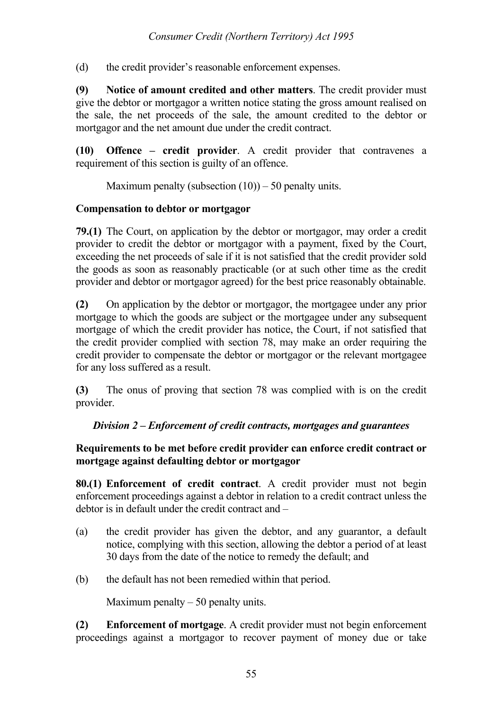(d) the credit provider's reasonable enforcement expenses.

**(9) Notice of amount credited and other matters**. The credit provider must give the debtor or mortgagor a written notice stating the gross amount realised on the sale, the net proceeds of the sale, the amount credited to the debtor or mortgagor and the net amount due under the credit contract.

**(10) Offence – credit provider**. A credit provider that contravenes a requirement of this section is guilty of an offence.

Maximum penalty (subsection  $(10)$ ) – 50 penalty units.

#### **Compensation to debtor or mortgagor**

**79.(1)** The Court, on application by the debtor or mortgagor, may order a credit provider to credit the debtor or mortgagor with a payment, fixed by the Court, exceeding the net proceeds of sale if it is not satisfied that the credit provider sold the goods as soon as reasonably practicable (or at such other time as the credit provider and debtor or mortgagor agreed) for the best price reasonably obtainable.

**(2)** On application by the debtor or mortgagor, the mortgagee under any prior mortgage to which the goods are subject or the mortgagee under any subsequent mortgage of which the credit provider has notice, the Court, if not satisfied that the credit provider complied with section 78, may make an order requiring the credit provider to compensate the debtor or mortgagor or the relevant mortgagee for any loss suffered as a result.

**(3)** The onus of proving that section 78 was complied with is on the credit provider.

# *Division 2 – Enforcement of credit contracts, mortgages and guarantees*

### **Requirements to be met before credit provider can enforce credit contract or mortgage against defaulting debtor or mortgagor**

**80.(1) Enforcement of credit contract**. A credit provider must not begin enforcement proceedings against a debtor in relation to a credit contract unless the debtor is in default under the credit contract and –

- (a) the credit provider has given the debtor, and any guarantor, a default notice, complying with this section, allowing the debtor a period of at least 30 days from the date of the notice to remedy the default; and
- (b) the default has not been remedied within that period.

Maximum penalty  $-50$  penalty units.

**(2) Enforcement of mortgage**. A credit provider must not begin enforcement proceedings against a mortgagor to recover payment of money due or take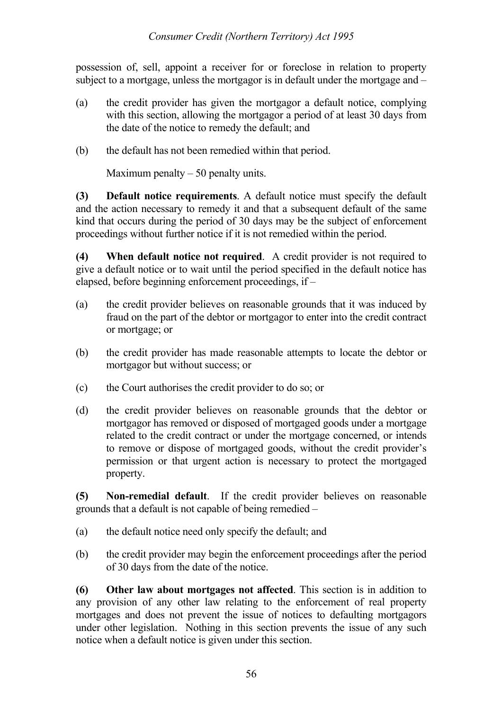possession of, sell, appoint a receiver for or foreclose in relation to property subject to a mortgage, unless the mortgagor is in default under the mortgage and –

- (a) the credit provider has given the mortgagor a default notice, complying with this section, allowing the mortgagor a period of at least 30 days from the date of the notice to remedy the default; and
- (b) the default has not been remedied within that period.

Maximum penalty  $-50$  penalty units.

**(3) Default notice requirements**. A default notice must specify the default and the action necessary to remedy it and that a subsequent default of the same kind that occurs during the period of 30 days may be the subject of enforcement proceedings without further notice if it is not remedied within the period.

**(4) When default notice not required**. A credit provider is not required to give a default notice or to wait until the period specified in the default notice has elapsed, before beginning enforcement proceedings, if –

- (a) the credit provider believes on reasonable grounds that it was induced by fraud on the part of the debtor or mortgagor to enter into the credit contract or mortgage; or
- (b) the credit provider has made reasonable attempts to locate the debtor or mortgagor but without success; or
- (c) the Court authorises the credit provider to do so; or
- (d) the credit provider believes on reasonable grounds that the debtor or mortgagor has removed or disposed of mortgaged goods under a mortgage related to the credit contract or under the mortgage concerned, or intends to remove or dispose of mortgaged goods, without the credit provider's permission or that urgent action is necessary to protect the mortgaged property.

**(5) Non-remedial default**. If the credit provider believes on reasonable grounds that a default is not capable of being remedied –

- (a) the default notice need only specify the default; and
- (b) the credit provider may begin the enforcement proceedings after the period of 30 days from the date of the notice.

**(6) Other law about mortgages not affected**. This section is in addition to any provision of any other law relating to the enforcement of real property mortgages and does not prevent the issue of notices to defaulting mortgagors under other legislation. Nothing in this section prevents the issue of any such notice when a default notice is given under this section.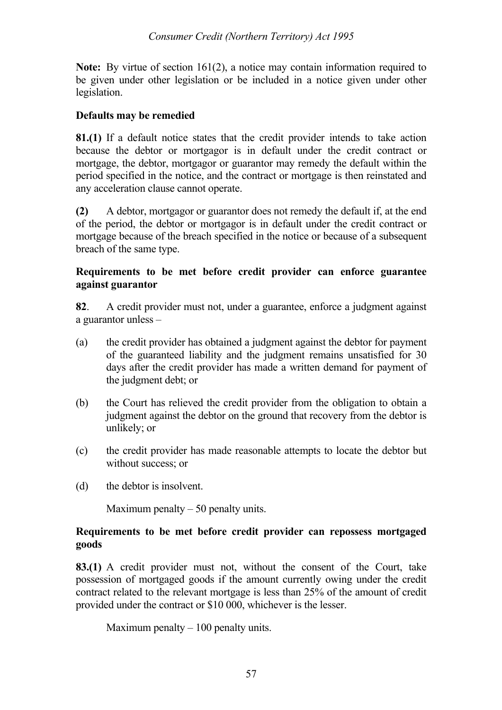**Note:** By virtue of section 161(2), a notice may contain information required to be given under other legislation or be included in a notice given under other legislation.

# **Defaults may be remedied**

**81.(1)** If a default notice states that the credit provider intends to take action because the debtor or mortgagor is in default under the credit contract or mortgage, the debtor, mortgagor or guarantor may remedy the default within the period specified in the notice, and the contract or mortgage is then reinstated and any acceleration clause cannot operate.

**(2)** A debtor, mortgagor or guarantor does not remedy the default if, at the end of the period, the debtor or mortgagor is in default under the credit contract or mortgage because of the breach specified in the notice or because of a subsequent breach of the same type.

## **Requirements to be met before credit provider can enforce guarantee against guarantor**

**82**. A credit provider must not, under a guarantee, enforce a judgment against a guarantor unless –

- (a) the credit provider has obtained a judgment against the debtor for payment of the guaranteed liability and the judgment remains unsatisfied for 30 days after the credit provider has made a written demand for payment of the judgment debt; or
- (b) the Court has relieved the credit provider from the obligation to obtain a judgment against the debtor on the ground that recovery from the debtor is unlikely; or
- (c) the credit provider has made reasonable attempts to locate the debtor but without success; or
- (d) the debtor is insolvent.

Maximum penalty  $-50$  penalty units.

# **Requirements to be met before credit provider can repossess mortgaged goods**

**83.(1)** A credit provider must not, without the consent of the Court, take possession of mortgaged goods if the amount currently owing under the credit contract related to the relevant mortgage is less than 25% of the amount of credit provided under the contract or \$10 000, whichever is the lesser.

Maximum penalty  $-100$  penalty units.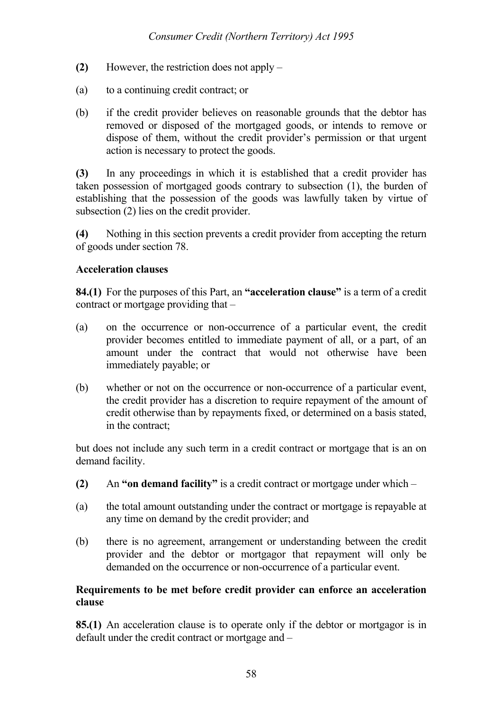- **(2)** However, the restriction does not apply –
- (a) to a continuing credit contract; or
- (b) if the credit provider believes on reasonable grounds that the debtor has removed or disposed of the mortgaged goods, or intends to remove or dispose of them, without the credit provider's permission or that urgent action is necessary to protect the goods.

**(3)** In any proceedings in which it is established that a credit provider has taken possession of mortgaged goods contrary to subsection (1), the burden of establishing that the possession of the goods was lawfully taken by virtue of subsection (2) lies on the credit provider.

**(4)** Nothing in this section prevents a credit provider from accepting the return of goods under section 78.

### **Acceleration clauses**

**84.(1)** For the purposes of this Part, an **"acceleration clause"** is a term of a credit contract or mortgage providing that –

- (a) on the occurrence or non-occurrence of a particular event, the credit provider becomes entitled to immediate payment of all, or a part, of an amount under the contract that would not otherwise have been immediately payable; or
- (b) whether or not on the occurrence or non-occurrence of a particular event, the credit provider has a discretion to require repayment of the amount of credit otherwise than by repayments fixed, or determined on a basis stated, in the contract;

but does not include any such term in a credit contract or mortgage that is an on demand facility.

- **(2)** An **"on demand facility"** is a credit contract or mortgage under which –
- (a) the total amount outstanding under the contract or mortgage is repayable at any time on demand by the credit provider; and
- (b) there is no agreement, arrangement or understanding between the credit provider and the debtor or mortgagor that repayment will only be demanded on the occurrence or non-occurrence of a particular event.

### **Requirements to be met before credit provider can enforce an acceleration clause**

**85.(1)** An acceleration clause is to operate only if the debtor or mortgagor is in default under the credit contract or mortgage and –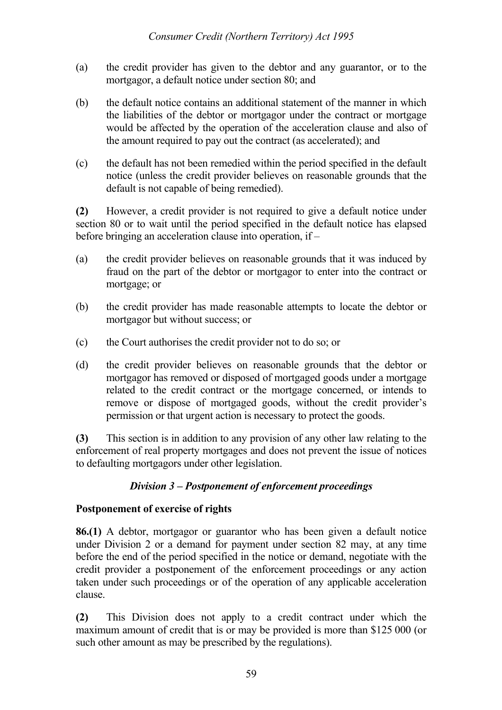- (a) the credit provider has given to the debtor and any guarantor, or to the mortgagor, a default notice under section 80; and
- (b) the default notice contains an additional statement of the manner in which the liabilities of the debtor or mortgagor under the contract or mortgage would be affected by the operation of the acceleration clause and also of the amount required to pay out the contract (as accelerated); and
- (c) the default has not been remedied within the period specified in the default notice (unless the credit provider believes on reasonable grounds that the default is not capable of being remedied).

**(2)** However, a credit provider is not required to give a default notice under section 80 or to wait until the period specified in the default notice has elapsed before bringing an acceleration clause into operation, if –

- (a) the credit provider believes on reasonable grounds that it was induced by fraud on the part of the debtor or mortgagor to enter into the contract or mortgage; or
- (b) the credit provider has made reasonable attempts to locate the debtor or mortgagor but without success; or
- (c) the Court authorises the credit provider not to do so; or
- (d) the credit provider believes on reasonable grounds that the debtor or mortgagor has removed or disposed of mortgaged goods under a mortgage related to the credit contract or the mortgage concerned, or intends to remove or dispose of mortgaged goods, without the credit provider's permission or that urgent action is necessary to protect the goods.

**(3)** This section is in addition to any provision of any other law relating to the enforcement of real property mortgages and does not prevent the issue of notices to defaulting mortgagors under other legislation.

# *Division 3 – Postponement of enforcement proceedings*

# **Postponement of exercise of rights**

**86.(1)** A debtor, mortgagor or guarantor who has been given a default notice under Division 2 or a demand for payment under section 82 may, at any time before the end of the period specified in the notice or demand, negotiate with the credit provider a postponement of the enforcement proceedings or any action taken under such proceedings or of the operation of any applicable acceleration clause.

**(2)** This Division does not apply to a credit contract under which the maximum amount of credit that is or may be provided is more than \$125 000 (or such other amount as may be prescribed by the regulations).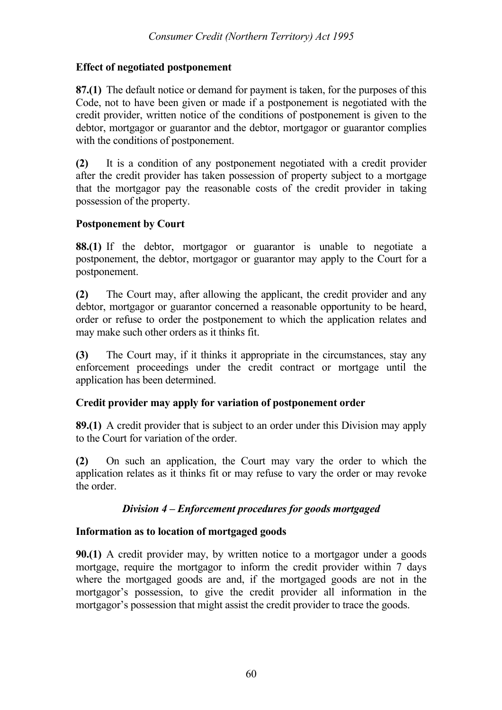### **Effect of negotiated postponement**

**87.(1)** The default notice or demand for payment is taken, for the purposes of this Code, not to have been given or made if a postponement is negotiated with the credit provider, written notice of the conditions of postponement is given to the debtor, mortgagor or guarantor and the debtor, mortgagor or guarantor complies with the conditions of postponement.

**(2)** It is a condition of any postponement negotiated with a credit provider after the credit provider has taken possession of property subject to a mortgage that the mortgagor pay the reasonable costs of the credit provider in taking possession of the property.

#### **Postponement by Court**

**88.(1)** If the debtor, mortgagor or guarantor is unable to negotiate a postponement, the debtor, mortgagor or guarantor may apply to the Court for a postponement.

**(2)** The Court may, after allowing the applicant, the credit provider and any debtor, mortgagor or guarantor concerned a reasonable opportunity to be heard, order or refuse to order the postponement to which the application relates and may make such other orders as it thinks fit.

**(3)** The Court may, if it thinks it appropriate in the circumstances, stay any enforcement proceedings under the credit contract or mortgage until the application has been determined.

# **Credit provider may apply for variation of postponement order**

**89.(1)** A credit provider that is subject to an order under this Division may apply to the Court for variation of the order.

**(2)** On such an application, the Court may vary the order to which the application relates as it thinks fit or may refuse to vary the order or may revoke the order

# *Division 4 – Enforcement procedures for goods mortgaged*

#### **Information as to location of mortgaged goods**

**90.(1)** A credit provider may, by written notice to a mortgagor under a goods mortgage, require the mortgagor to inform the credit provider within 7 days where the mortgaged goods are and, if the mortgaged goods are not in the mortgagor's possession, to give the credit provider all information in the mortgagor's possession that might assist the credit provider to trace the goods.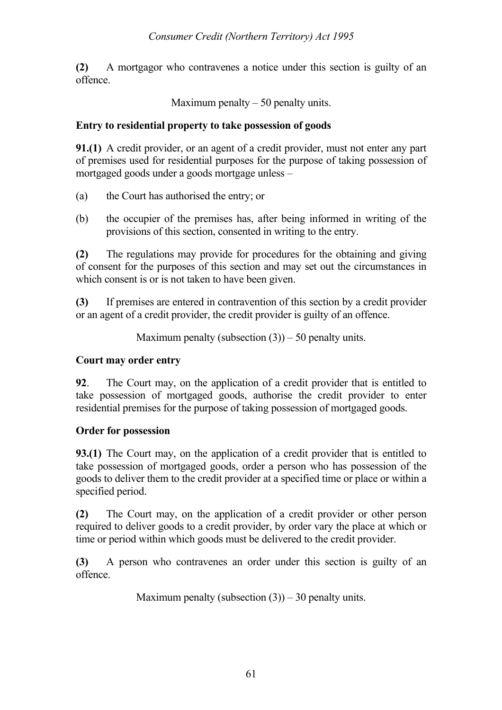**(2)** A mortgagor who contravenes a notice under this section is guilty of an offence.

Maximum penalty  $-50$  penalty units.

### **Entry to residential property to take possession of goods**

**91.(1)** A credit provider, or an agent of a credit provider, must not enter any part of premises used for residential purposes for the purpose of taking possession of mortgaged goods under a goods mortgage unless –

- (a) the Court has authorised the entry; or
- (b) the occupier of the premises has, after being informed in writing of the provisions of this section, consented in writing to the entry.

**(2)** The regulations may provide for procedures for the obtaining and giving of consent for the purposes of this section and may set out the circumstances in which consent is or is not taken to have been given.

**(3)** If premises are entered in contravention of this section by a credit provider or an agent of a credit provider, the credit provider is guilty of an offence.

Maximum penalty (subsection  $(3)$ ) – 50 penalty units.

## **Court may order entry**

**92**. The Court may, on the application of a credit provider that is entitled to take possession of mortgaged goods, authorise the credit provider to enter residential premises for the purpose of taking possession of mortgaged goods.

# **Order for possession**

**93.(1)** The Court may, on the application of a credit provider that is entitled to take possession of mortgaged goods, order a person who has possession of the goods to deliver them to the credit provider at a specified time or place or within a specified period.

**(2)** The Court may, on the application of a credit provider or other person required to deliver goods to a credit provider, by order vary the place at which or time or period within which goods must be delivered to the credit provider.

**(3)** A person who contravenes an order under this section is guilty of an offence.

Maximum penalty (subsection  $(3)$ ) – 30 penalty units.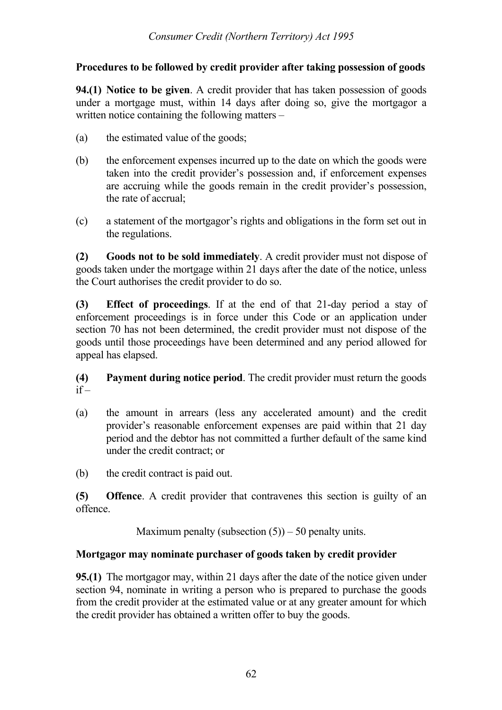# **Procedures to be followed by credit provider after taking possession of goods**

**94.(1) Notice to be given**. A credit provider that has taken possession of goods under a mortgage must, within 14 days after doing so, give the mortgagor a written notice containing the following matters –

- (a) the estimated value of the goods;
- (b) the enforcement expenses incurred up to the date on which the goods were taken into the credit provider's possession and, if enforcement expenses are accruing while the goods remain in the credit provider's possession, the rate of accrual;
- (c) a statement of the mortgagor's rights and obligations in the form set out in the regulations.

**(2) Goods not to be sold immediately**. A credit provider must not dispose of goods taken under the mortgage within 21 days after the date of the notice, unless the Court authorises the credit provider to do so.

**(3) Effect of proceedings**. If at the end of that 21-day period a stay of enforcement proceedings is in force under this Code or an application under section 70 has not been determined, the credit provider must not dispose of the goods until those proceedings have been determined and any period allowed for appeal has elapsed.

# **(4) Payment during notice period**. The credit provider must return the goods  $if -$

(a) the amount in arrears (less any accelerated amount) and the credit provider's reasonable enforcement expenses are paid within that 21 day period and the debtor has not committed a further default of the same kind under the credit contract; or

(b) the credit contract is paid out.

**(5) Offence**. A credit provider that contravenes this section is guilty of an offence.

Maximum penalty (subsection  $(5)$ ) – 50 penalty units.

# **Mortgagor may nominate purchaser of goods taken by credit provider**

**95.(1)** The mortgagor may, within 21 days after the date of the notice given under section 94, nominate in writing a person who is prepared to purchase the goods from the credit provider at the estimated value or at any greater amount for which the credit provider has obtained a written offer to buy the goods.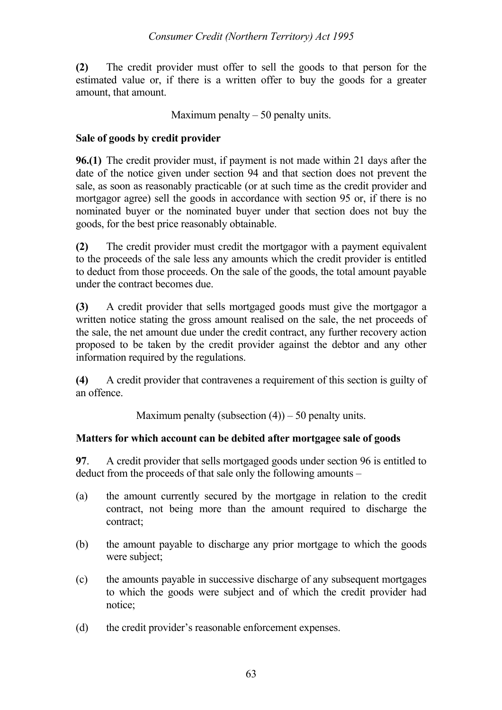**(2)** The credit provider must offer to sell the goods to that person for the estimated value or, if there is a written offer to buy the goods for a greater amount, that amount.

Maximum penalty  $-50$  penalty units.

# **Sale of goods by credit provider**

**96.(1)** The credit provider must, if payment is not made within 21 days after the date of the notice given under section 94 and that section does not prevent the sale, as soon as reasonably practicable (or at such time as the credit provider and mortgagor agree) sell the goods in accordance with section 95 or, if there is no nominated buyer or the nominated buyer under that section does not buy the goods, for the best price reasonably obtainable.

**(2)** The credit provider must credit the mortgagor with a payment equivalent to the proceeds of the sale less any amounts which the credit provider is entitled to deduct from those proceeds. On the sale of the goods, the total amount payable under the contract becomes due.

**(3)** A credit provider that sells mortgaged goods must give the mortgagor a written notice stating the gross amount realised on the sale, the net proceeds of the sale, the net amount due under the credit contract, any further recovery action proposed to be taken by the credit provider against the debtor and any other information required by the regulations.

**(4)** A credit provider that contravenes a requirement of this section is guilty of an offence.

Maximum penalty (subsection  $(4)$ ) – 50 penalty units.

# **Matters for which account can be debited after mortgagee sale of goods**

**97**. A credit provider that sells mortgaged goods under section 96 is entitled to deduct from the proceeds of that sale only the following amounts –

- (a) the amount currently secured by the mortgage in relation to the credit contract, not being more than the amount required to discharge the contract;
- (b) the amount payable to discharge any prior mortgage to which the goods were subject;
- (c) the amounts payable in successive discharge of any subsequent mortgages to which the goods were subject and of which the credit provider had notice;
- (d) the credit provider's reasonable enforcement expenses.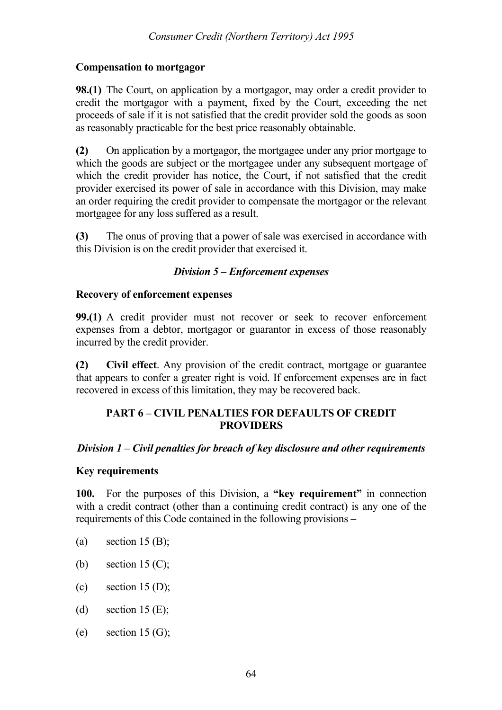#### **Compensation to mortgagor**

**98.(1)** The Court, on application by a mortgagor, may order a credit provider to credit the mortgagor with a payment, fixed by the Court, exceeding the net proceeds of sale if it is not satisfied that the credit provider sold the goods as soon as reasonably practicable for the best price reasonably obtainable.

**(2)** On application by a mortgagor, the mortgagee under any prior mortgage to which the goods are subject or the mortgagee under any subsequent mortgage of which the credit provider has notice, the Court, if not satisfied that the credit provider exercised its power of sale in accordance with this Division, may make an order requiring the credit provider to compensate the mortgagor or the relevant mortgagee for any loss suffered as a result.

**(3)** The onus of proving that a power of sale was exercised in accordance with this Division is on the credit provider that exercised it.

### *Division 5 – Enforcement expenses*

#### **Recovery of enforcement expenses**

**99.(1)** A credit provider must not recover or seek to recover enforcement expenses from a debtor, mortgagor or guarantor in excess of those reasonably incurred by the credit provider.

**(2) Civil effect**. Any provision of the credit contract, mortgage or guarantee that appears to confer a greater right is void. If enforcement expenses are in fact recovered in excess of this limitation, they may be recovered back.

#### **PART 6 – CIVIL PENALTIES FOR DEFAULTS OF CREDIT PROVIDERS**

#### *Division 1 – Civil penalties for breach of key disclosure and other requirements*

#### **Key requirements**

**100.** For the purposes of this Division, a **"key requirement"** in connection with a credit contract (other than a continuing credit contract) is any one of the requirements of this Code contained in the following provisions –

- (a) section  $15 \text{ (B)}$ ;
- (b) section  $15 \, (C)$ ;
- (c) section  $15$  (D):
- (d) section 15 (E);
- (e) section  $15 \text{ (G)}$ ;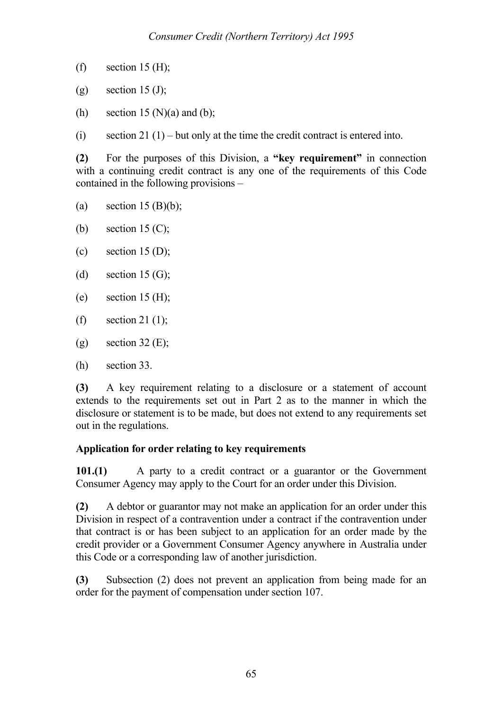- (f) section 15 (H);
- (g) section  $15 \text{ (J)}$ ;
- (h) section 15 (N)(a) and (b);
- (i) section 21 (1) but only at the time the credit contract is entered into.

**(2)** For the purposes of this Division, a **"key requirement"** in connection with a continuing credit contract is any one of the requirements of this Code contained in the following provisions –

- (a) section  $15 \text{ (B)(b)}$ ;
- (b) section 15  $(C)$ ;
- (c) section  $15 \text{ (D)}$ ;
- (d) section  $15 \text{ (G)}$ ;
- (e) section  $15 \text{ (H)}$ ;
- (f) section 21 (1):
- (g) section 32 (E);
- (h) section 33.

**(3)** A key requirement relating to a disclosure or a statement of account extends to the requirements set out in Part 2 as to the manner in which the disclosure or statement is to be made, but does not extend to any requirements set out in the regulations.

# **Application for order relating to key requirements**

**101.(1)** A party to a credit contract or a guarantor or the Government Consumer Agency may apply to the Court for an order under this Division.

**(2)** A debtor or guarantor may not make an application for an order under this Division in respect of a contravention under a contract if the contravention under that contract is or has been subject to an application for an order made by the credit provider or a Government Consumer Agency anywhere in Australia under this Code or a corresponding law of another jurisdiction.

**(3)** Subsection (2) does not prevent an application from being made for an order for the payment of compensation under section 107.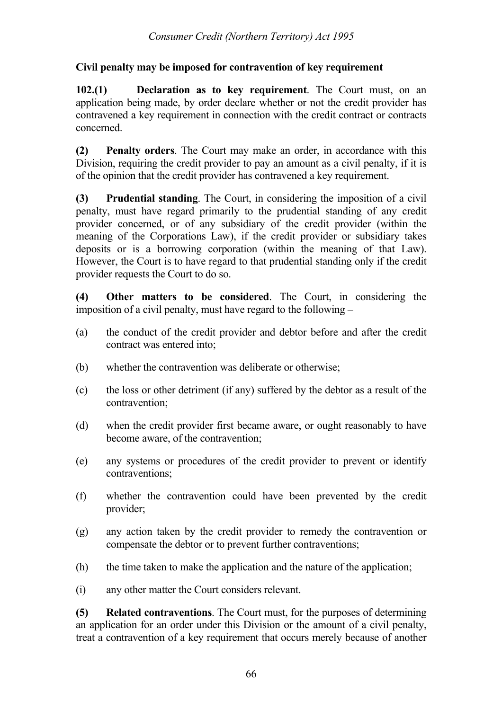# **Civil penalty may be imposed for contravention of key requirement**

**102.(1) Declaration as to key requirement**. The Court must, on an application being made, by order declare whether or not the credit provider has contravened a key requirement in connection with the credit contract or contracts concerned.

**(2) Penalty orders**. The Court may make an order, in accordance with this Division, requiring the credit provider to pay an amount as a civil penalty, if it is of the opinion that the credit provider has contravened a key requirement.

**(3) Prudential standing**. The Court, in considering the imposition of a civil penalty, must have regard primarily to the prudential standing of any credit provider concerned, or of any subsidiary of the credit provider (within the meaning of the Corporations Law), if the credit provider or subsidiary takes deposits or is a borrowing corporation (within the meaning of that Law). However, the Court is to have regard to that prudential standing only if the credit provider requests the Court to do so.

**(4) Other matters to be considered**. The Court, in considering the imposition of a civil penalty, must have regard to the following –

- (a) the conduct of the credit provider and debtor before and after the credit contract was entered into;
- (b) whether the contravention was deliberate or otherwise;
- (c) the loss or other detriment (if any) suffered by the debtor as a result of the contravention;
- (d) when the credit provider first became aware, or ought reasonably to have become aware, of the contravention;
- (e) any systems or procedures of the credit provider to prevent or identify contraventions;
- (f) whether the contravention could have been prevented by the credit provider;
- (g) any action taken by the credit provider to remedy the contravention or compensate the debtor or to prevent further contraventions;
- (h) the time taken to make the application and the nature of the application;
- (i) any other matter the Court considers relevant.

**(5) Related contraventions**. The Court must, for the purposes of determining an application for an order under this Division or the amount of a civil penalty, treat a contravention of a key requirement that occurs merely because of another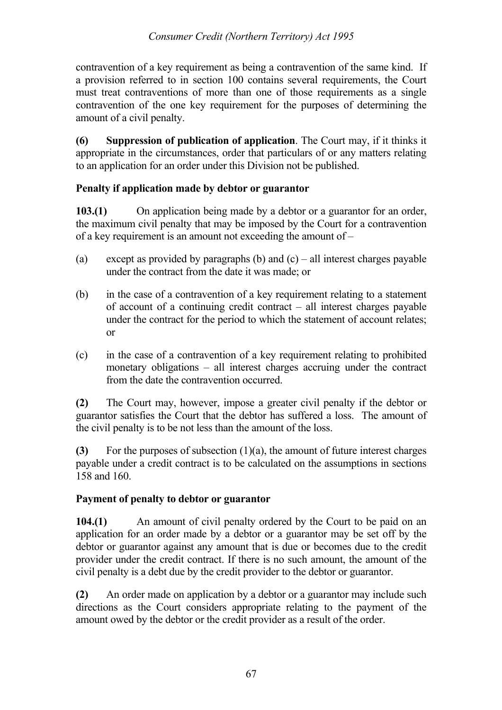contravention of a key requirement as being a contravention of the same kind. If a provision referred to in section 100 contains several requirements, the Court must treat contraventions of more than one of those requirements as a single contravention of the one key requirement for the purposes of determining the amount of a civil penalty.

**(6) Suppression of publication of application**. The Court may, if it thinks it appropriate in the circumstances, order that particulars of or any matters relating to an application for an order under this Division not be published.

# **Penalty if application made by debtor or guarantor**

**103.(1)** On application being made by a debtor or a guarantor for an order, the maximum civil penalty that may be imposed by the Court for a contravention of a key requirement is an amount not exceeding the amount of –

- (a) except as provided by paragraphs (b) and (c) all interest charges payable under the contract from the date it was made; or
- (b) in the case of a contravention of a key requirement relating to a statement of account of a continuing credit contract – all interest charges payable under the contract for the period to which the statement of account relates; or
- (c) in the case of a contravention of a key requirement relating to prohibited monetary obligations – all interest charges accruing under the contract from the date the contravention occurred.

**(2)** The Court may, however, impose a greater civil penalty if the debtor or guarantor satisfies the Court that the debtor has suffered a loss. The amount of the civil penalty is to be not less than the amount of the loss.

**(3)** For the purposes of subsection (1)(a), the amount of future interest charges payable under a credit contract is to be calculated on the assumptions in sections 158 and 160.

# **Payment of penalty to debtor or guarantor**

**104.(1)** An amount of civil penalty ordered by the Court to be paid on an application for an order made by a debtor or a guarantor may be set off by the debtor or guarantor against any amount that is due or becomes due to the credit provider under the credit contract. If there is no such amount, the amount of the civil penalty is a debt due by the credit provider to the debtor or guarantor.

**(2)** An order made on application by a debtor or a guarantor may include such directions as the Court considers appropriate relating to the payment of the amount owed by the debtor or the credit provider as a result of the order.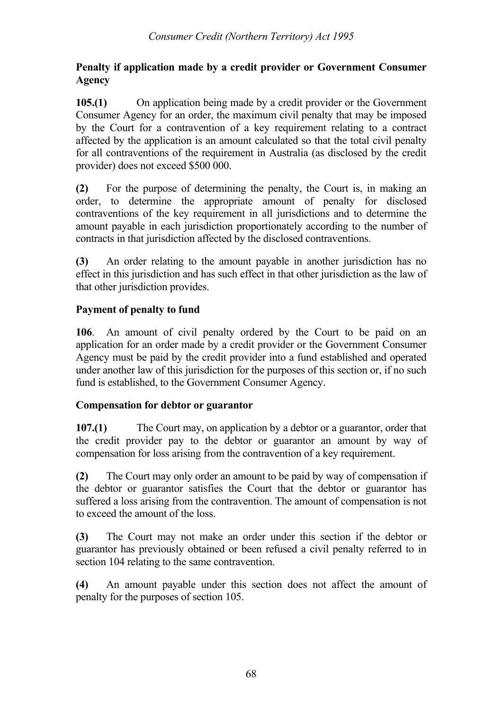## **Penalty if application made by a credit provider or Government Consumer Agency**

**105.(1)** On application being made by a credit provider or the Government Consumer Agency for an order, the maximum civil penalty that may be imposed by the Court for a contravention of a key requirement relating to a contract affected by the application is an amount calculated so that the total civil penalty for all contraventions of the requirement in Australia (as disclosed by the credit provider) does not exceed \$500 000.

**(2)** For the purpose of determining the penalty, the Court is, in making an order, to determine the appropriate amount of penalty for disclosed contraventions of the key requirement in all jurisdictions and to determine the amount payable in each jurisdiction proportionately according to the number of contracts in that jurisdiction affected by the disclosed contraventions.

**(3)** An order relating to the amount payable in another jurisdiction has no effect in this jurisdiction and has such effect in that other jurisdiction as the law of that other jurisdiction provides.

# **Payment of penalty to fund**

**106**. An amount of civil penalty ordered by the Court to be paid on an application for an order made by a credit provider or the Government Consumer Agency must be paid by the credit provider into a fund established and operated under another law of this jurisdiction for the purposes of this section or, if no such fund is established, to the Government Consumer Agency.

# **Compensation for debtor or guarantor**

**107.(1)** The Court may, on application by a debtor or a guarantor, order that the credit provider pay to the debtor or guarantor an amount by way of compensation for loss arising from the contravention of a key requirement.

**(2)** The Court may only order an amount to be paid by way of compensation if the debtor or guarantor satisfies the Court that the debtor or guarantor has suffered a loss arising from the contravention. The amount of compensation is not to exceed the amount of the loss.

**(3)** The Court may not make an order under this section if the debtor or guarantor has previously obtained or been refused a civil penalty referred to in section 104 relating to the same contravention.

**(4)** An amount payable under this section does not affect the amount of penalty for the purposes of section 105.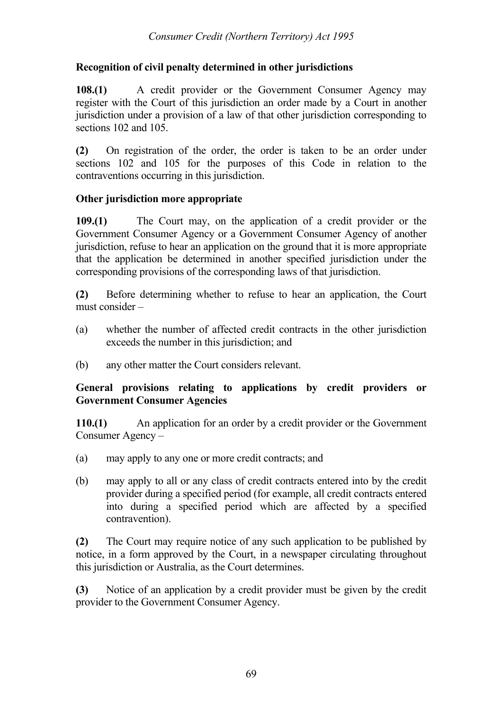## **Recognition of civil penalty determined in other jurisdictions**

**108.(1)** A credit provider or the Government Consumer Agency may register with the Court of this jurisdiction an order made by a Court in another jurisdiction under a provision of a law of that other jurisdiction corresponding to sections 102 and 105.

**(2)** On registration of the order, the order is taken to be an order under sections 102 and 105 for the purposes of this Code in relation to the contraventions occurring in this jurisdiction.

### **Other jurisdiction more appropriate**

**109.(1)** The Court may, on the application of a credit provider or the Government Consumer Agency or a Government Consumer Agency of another jurisdiction, refuse to hear an application on the ground that it is more appropriate that the application be determined in another specified jurisdiction under the corresponding provisions of the corresponding laws of that jurisdiction.

**(2)** Before determining whether to refuse to hear an application, the Court must consider –

- (a) whether the number of affected credit contracts in the other jurisdiction exceeds the number in this jurisdiction; and
- (b) any other matter the Court considers relevant.

### **General provisions relating to applications by credit providers or Government Consumer Agencies**

**110.(1)** An application for an order by a credit provider or the Government Consumer Agency –

- (a) may apply to any one or more credit contracts; and
- (b) may apply to all or any class of credit contracts entered into by the credit provider during a specified period (for example, all credit contracts entered into during a specified period which are affected by a specified contravention).

**(2)** The Court may require notice of any such application to be published by notice, in a form approved by the Court, in a newspaper circulating throughout this jurisdiction or Australia, as the Court determines.

**(3)** Notice of an application by a credit provider must be given by the credit provider to the Government Consumer Agency.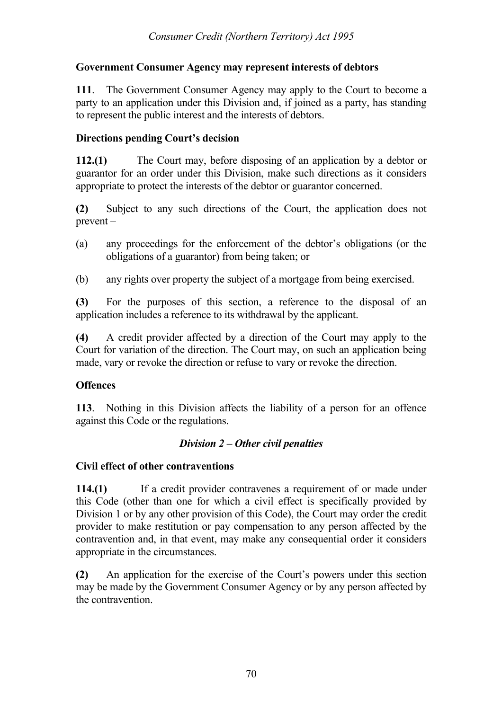# **Government Consumer Agency may represent interests of debtors**

**111**. The Government Consumer Agency may apply to the Court to become a party to an application under this Division and, if joined as a party, has standing to represent the public interest and the interests of debtors.

### **Directions pending Court's decision**

**112.(1)** The Court may, before disposing of an application by a debtor or guarantor for an order under this Division, make such directions as it considers appropriate to protect the interests of the debtor or guarantor concerned.

**(2)** Subject to any such directions of the Court, the application does not prevent –

- (a) any proceedings for the enforcement of the debtor's obligations (or the obligations of a guarantor) from being taken; or
- (b) any rights over property the subject of a mortgage from being exercised.

**(3)** For the purposes of this section, a reference to the disposal of an application includes a reference to its withdrawal by the applicant.

**(4)** A credit provider affected by a direction of the Court may apply to the Court for variation of the direction. The Court may, on such an application being made, vary or revoke the direction or refuse to vary or revoke the direction.

# **Offences**

**113**. Nothing in this Division affects the liability of a person for an offence against this Code or the regulations.

# *Division 2 – Other civil penalties*

#### **Civil effect of other contraventions**

**114.(1)** If a credit provider contravenes a requirement of or made under this Code (other than one for which a civil effect is specifically provided by Division 1 or by any other provision of this Code), the Court may order the credit provider to make restitution or pay compensation to any person affected by the contravention and, in that event, may make any consequential order it considers appropriate in the circumstances.

**(2)** An application for the exercise of the Court's powers under this section may be made by the Government Consumer Agency or by any person affected by the contravention.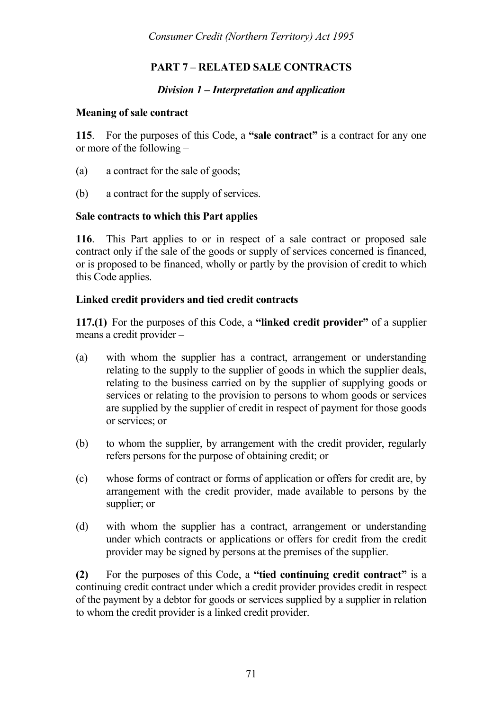# **PART 7 – RELATED SALE CONTRACTS**

#### *Division 1 – Interpretation and application*

#### **Meaning of sale contract**

**115**. For the purposes of this Code, a **"sale contract"** is a contract for any one or more of the following –

- (a) a contract for the sale of goods;
- (b) a contract for the supply of services.

#### **Sale contracts to which this Part applies**

**116**. This Part applies to or in respect of a sale contract or proposed sale contract only if the sale of the goods or supply of services concerned is financed, or is proposed to be financed, wholly or partly by the provision of credit to which this Code applies.

#### **Linked credit providers and tied credit contracts**

**117.(1)** For the purposes of this Code, a **"linked credit provider"** of a supplier means a credit provider –

- (a) with whom the supplier has a contract, arrangement or understanding relating to the supply to the supplier of goods in which the supplier deals, relating to the business carried on by the supplier of supplying goods or services or relating to the provision to persons to whom goods or services are supplied by the supplier of credit in respect of payment for those goods or services; or
- (b) to whom the supplier, by arrangement with the credit provider, regularly refers persons for the purpose of obtaining credit; or
- (c) whose forms of contract or forms of application or offers for credit are, by arrangement with the credit provider, made available to persons by the supplier; or
- (d) with whom the supplier has a contract, arrangement or understanding under which contracts or applications or offers for credit from the credit provider may be signed by persons at the premises of the supplier.

**(2)** For the purposes of this Code, a **"tied continuing credit contract"** is a continuing credit contract under which a credit provider provides credit in respect of the payment by a debtor for goods or services supplied by a supplier in relation to whom the credit provider is a linked credit provider.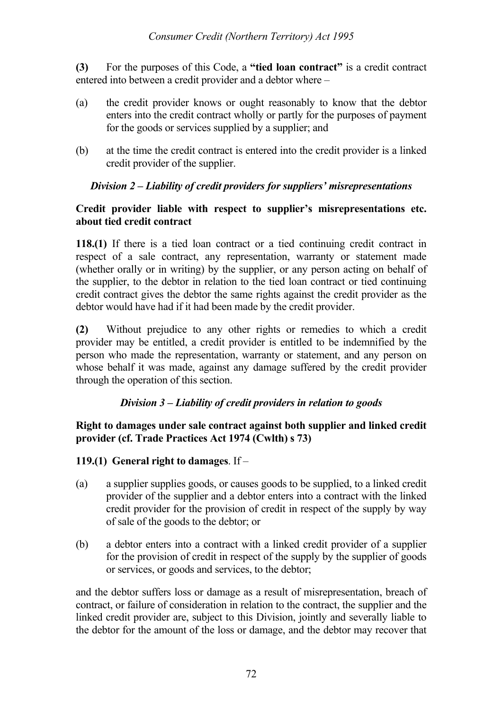**(3)** For the purposes of this Code, a **"tied loan contract"** is a credit contract entered into between a credit provider and a debtor where –

- (a) the credit provider knows or ought reasonably to know that the debtor enters into the credit contract wholly or partly for the purposes of payment for the goods or services supplied by a supplier; and
- (b) at the time the credit contract is entered into the credit provider is a linked credit provider of the supplier.

## *Division 2 – Liability of credit providers for suppliers' misrepresentations*

#### **Credit provider liable with respect to supplier's misrepresentations etc. about tied credit contract**

**118.(1)** If there is a tied loan contract or a tied continuing credit contract in respect of a sale contract, any representation, warranty or statement made (whether orally or in writing) by the supplier, or any person acting on behalf of the supplier, to the debtor in relation to the tied loan contract or tied continuing credit contract gives the debtor the same rights against the credit provider as the debtor would have had if it had been made by the credit provider.

**(2)** Without prejudice to any other rights or remedies to which a credit provider may be entitled, a credit provider is entitled to be indemnified by the person who made the representation, warranty or statement, and any person on whose behalf it was made, against any damage suffered by the credit provider through the operation of this section.

## *Division 3 – Liability of credit providers in relation to goods*

### **Right to damages under sale contract against both supplier and linked credit provider (cf. Trade Practices Act 1974 (Cwlth) s 73)**

## **119.(1) General right to damages**. If –

- (a) a supplier supplies goods, or causes goods to be supplied, to a linked credit provider of the supplier and a debtor enters into a contract with the linked credit provider for the provision of credit in respect of the supply by way of sale of the goods to the debtor; or
- (b) a debtor enters into a contract with a linked credit provider of a supplier for the provision of credit in respect of the supply by the supplier of goods or services, or goods and services, to the debtor;

and the debtor suffers loss or damage as a result of misrepresentation, breach of contract, or failure of consideration in relation to the contract, the supplier and the linked credit provider are, subject to this Division, jointly and severally liable to the debtor for the amount of the loss or damage, and the debtor may recover that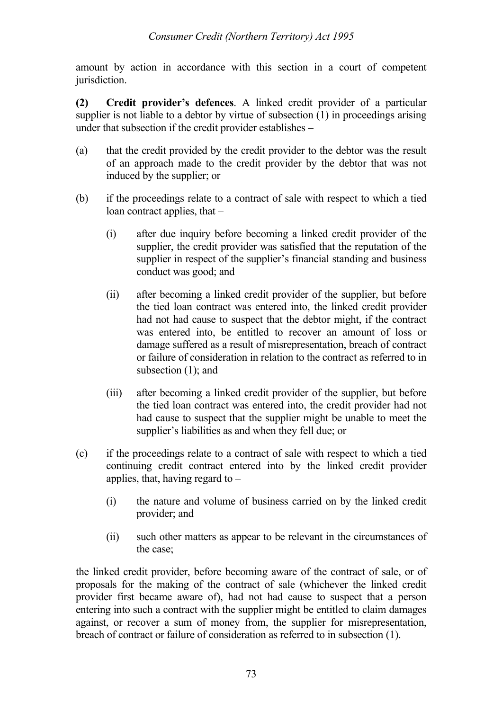amount by action in accordance with this section in a court of competent jurisdiction.

**(2) Credit provider's defences**. A linked credit provider of a particular supplier is not liable to a debtor by virtue of subsection (1) in proceedings arising under that subsection if the credit provider establishes –

- (a) that the credit provided by the credit provider to the debtor was the result of an approach made to the credit provider by the debtor that was not induced by the supplier; or
- (b) if the proceedings relate to a contract of sale with respect to which a tied loan contract applies, that –
	- (i) after due inquiry before becoming a linked credit provider of the supplier, the credit provider was satisfied that the reputation of the supplier in respect of the supplier's financial standing and business conduct was good; and
	- (ii) after becoming a linked credit provider of the supplier, but before the tied loan contract was entered into, the linked credit provider had not had cause to suspect that the debtor might, if the contract was entered into, be entitled to recover an amount of loss or damage suffered as a result of misrepresentation, breach of contract or failure of consideration in relation to the contract as referred to in subsection (1); and
	- (iii) after becoming a linked credit provider of the supplier, but before the tied loan contract was entered into, the credit provider had not had cause to suspect that the supplier might be unable to meet the supplier's liabilities as and when they fell due; or
- (c) if the proceedings relate to a contract of sale with respect to which a tied continuing credit contract entered into by the linked credit provider applies, that, having regard to –
	- (i) the nature and volume of business carried on by the linked credit provider; and
	- (ii) such other matters as appear to be relevant in the circumstances of the case;

the linked credit provider, before becoming aware of the contract of sale, or of proposals for the making of the contract of sale (whichever the linked credit provider first became aware of), had not had cause to suspect that a person entering into such a contract with the supplier might be entitled to claim damages against, or recover a sum of money from, the supplier for misrepresentation, breach of contract or failure of consideration as referred to in subsection (1).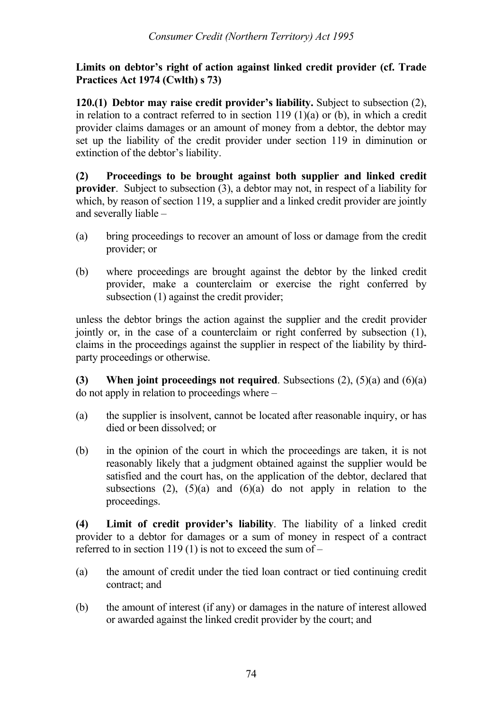### **Limits on debtor's right of action against linked credit provider (cf. Trade Practices Act 1974 (Cwlth) s 73)**

**120.(1) Debtor may raise credit provider's liability.** Subject to subsection (2), in relation to a contract referred to in section 119 (1)(a) or (b), in which a credit provider claims damages or an amount of money from a debtor, the debtor may set up the liability of the credit provider under section 119 in diminution or extinction of the debtor's liability.

**(2) Proceedings to be brought against both supplier and linked credit provider**. Subject to subsection (3), a debtor may not, in respect of a liability for which, by reason of section 119, a supplier and a linked credit provider are jointly and severally liable –

- (a) bring proceedings to recover an amount of loss or damage from the credit provider; or
- (b) where proceedings are brought against the debtor by the linked credit provider, make a counterclaim or exercise the right conferred by subsection (1) against the credit provider;

unless the debtor brings the action against the supplier and the credit provider jointly or, in the case of a counterclaim or right conferred by subsection (1), claims in the proceedings against the supplier in respect of the liability by thirdparty proceedings or otherwise.

**(3) When joint proceedings not required**. Subsections (2), (5)(a) and (6)(a) do not apply in relation to proceedings where –

- (a) the supplier is insolvent, cannot be located after reasonable inquiry, or has died or been dissolved; or
- (b) in the opinion of the court in which the proceedings are taken, it is not reasonably likely that a judgment obtained against the supplier would be satisfied and the court has, on the application of the debtor, declared that subsections (2),  $(5)(a)$  and  $(6)(a)$  do not apply in relation to the proceedings.

**(4) Limit of credit provider's liability**. The liability of a linked credit provider to a debtor for damages or a sum of money in respect of a contract referred to in section 119 (1) is not to exceed the sum of  $-$ 

- (a) the amount of credit under the tied loan contract or tied continuing credit contract; and
- (b) the amount of interest (if any) or damages in the nature of interest allowed or awarded against the linked credit provider by the court; and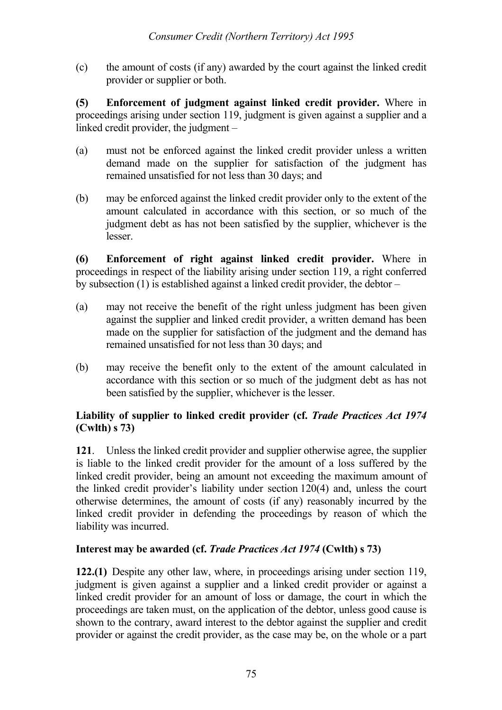(c) the amount of costs (if any) awarded by the court against the linked credit provider or supplier or both.

**(5) Enforcement of judgment against linked credit provider.** Where in proceedings arising under section 119, judgment is given against a supplier and a linked credit provider, the judgment –

- (a) must not be enforced against the linked credit provider unless a written demand made on the supplier for satisfaction of the judgment has remained unsatisfied for not less than 30 days; and
- (b) may be enforced against the linked credit provider only to the extent of the amount calculated in accordance with this section, or so much of the judgment debt as has not been satisfied by the supplier, whichever is the lesser.

**(6) Enforcement of right against linked credit provider.** Where in proceedings in respect of the liability arising under section 119, a right conferred by subsection (1) is established against a linked credit provider, the debtor –

- (a) may not receive the benefit of the right unless judgment has been given against the supplier and linked credit provider, a written demand has been made on the supplier for satisfaction of the judgment and the demand has remained unsatisfied for not less than 30 days; and
- (b) may receive the benefit only to the extent of the amount calculated in accordance with this section or so much of the judgment debt as has not been satisfied by the supplier, whichever is the lesser.

## **Liability of supplier to linked credit provider (cf.** *Trade Practices Act 1974* **(Cwlth) s 73)**

**121**. Unless the linked credit provider and supplier otherwise agree, the supplier is liable to the linked credit provider for the amount of a loss suffered by the linked credit provider, being an amount not exceeding the maximum amount of the linked credit provider's liability under section 120(4) and, unless the court otherwise determines, the amount of costs (if any) reasonably incurred by the linked credit provider in defending the proceedings by reason of which the liability was incurred.

# **Interest may be awarded (cf.** *Trade Practices Act 1974* **(Cwlth) s 73)**

**122.(1)** Despite any other law, where, in proceedings arising under section 119, judgment is given against a supplier and a linked credit provider or against a linked credit provider for an amount of loss or damage, the court in which the proceedings are taken must, on the application of the debtor, unless good cause is shown to the contrary, award interest to the debtor against the supplier and credit provider or against the credit provider, as the case may be, on the whole or a part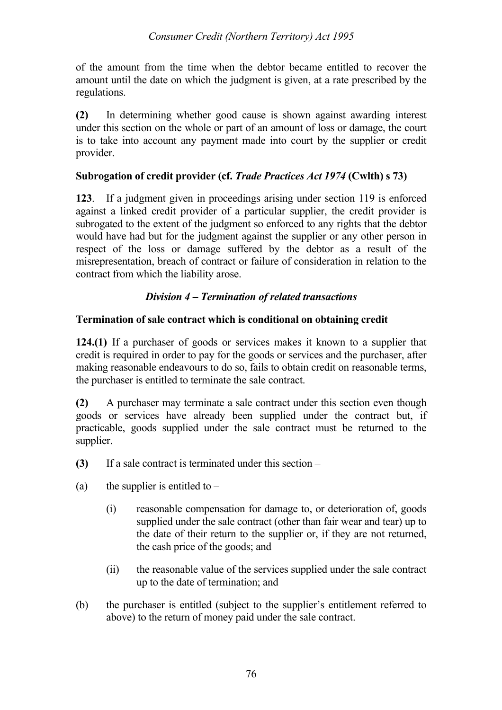of the amount from the time when the debtor became entitled to recover the amount until the date on which the judgment is given, at a rate prescribed by the regulations.

**(2)** In determining whether good cause is shown against awarding interest under this section on the whole or part of an amount of loss or damage, the court is to take into account any payment made into court by the supplier or credit provider.

## **Subrogation of credit provider (cf.** *Trade Practices Act 1974* **(Cwlth) s 73)**

**123**. If a judgment given in proceedings arising under section 119 is enforced against a linked credit provider of a particular supplier, the credit provider is subrogated to the extent of the judgment so enforced to any rights that the debtor would have had but for the judgment against the supplier or any other person in respect of the loss or damage suffered by the debtor as a result of the misrepresentation, breach of contract or failure of consideration in relation to the contract from which the liability arose.

# *Division 4 – Termination of related transactions*

## **Termination of sale contract which is conditional on obtaining credit**

**124.(1)** If a purchaser of goods or services makes it known to a supplier that credit is required in order to pay for the goods or services and the purchaser, after making reasonable endeavours to do so, fails to obtain credit on reasonable terms, the purchaser is entitled to terminate the sale contract.

**(2)** A purchaser may terminate a sale contract under this section even though goods or services have already been supplied under the contract but, if practicable, goods supplied under the sale contract must be returned to the supplier.

- **(3)** If a sale contract is terminated under this section –
- (a) the supplier is entitled to  $-$ 
	- (i) reasonable compensation for damage to, or deterioration of, goods supplied under the sale contract (other than fair wear and tear) up to the date of their return to the supplier or, if they are not returned, the cash price of the goods; and
	- (ii) the reasonable value of the services supplied under the sale contract up to the date of termination; and
- (b) the purchaser is entitled (subject to the supplier's entitlement referred to above) to the return of money paid under the sale contract.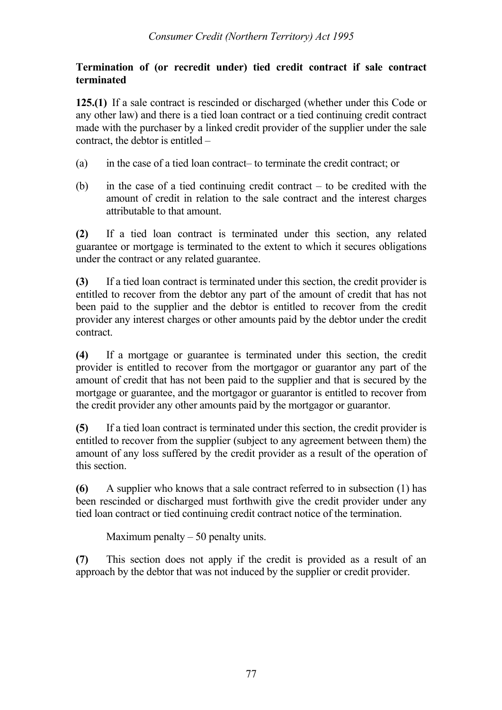### **Termination of (or recredit under) tied credit contract if sale contract terminated**

**125.(1)** If a sale contract is rescinded or discharged (whether under this Code or any other law) and there is a tied loan contract or a tied continuing credit contract made with the purchaser by a linked credit provider of the supplier under the sale contract, the debtor is entitled –

- (a) in the case of a tied loan contract– to terminate the credit contract; or
- (b) in the case of a tied continuing credit contract to be credited with the amount of credit in relation to the sale contract and the interest charges attributable to that amount.

**(2)** If a tied loan contract is terminated under this section, any related guarantee or mortgage is terminated to the extent to which it secures obligations under the contract or any related guarantee.

**(3)** If a tied loan contract is terminated under this section, the credit provider is entitled to recover from the debtor any part of the amount of credit that has not been paid to the supplier and the debtor is entitled to recover from the credit provider any interest charges or other amounts paid by the debtor under the credit contract.

**(4)** If a mortgage or guarantee is terminated under this section, the credit provider is entitled to recover from the mortgagor or guarantor any part of the amount of credit that has not been paid to the supplier and that is secured by the mortgage or guarantee, and the mortgagor or guarantor is entitled to recover from the credit provider any other amounts paid by the mortgagor or guarantor.

**(5)** If a tied loan contract is terminated under this section, the credit provider is entitled to recover from the supplier (subject to any agreement between them) the amount of any loss suffered by the credit provider as a result of the operation of this section.

**(6)** A supplier who knows that a sale contract referred to in subsection (1) has been rescinded or discharged must forthwith give the credit provider under any tied loan contract or tied continuing credit contract notice of the termination.

Maximum penalty  $-50$  penalty units.

**(7)** This section does not apply if the credit is provided as a result of an approach by the debtor that was not induced by the supplier or credit provider.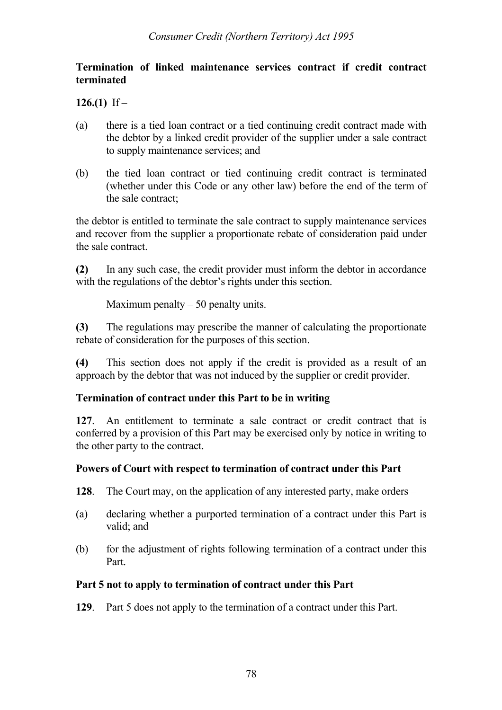## **Termination of linked maintenance services contract if credit contract terminated**

**126.(1)** If –

- (a) there is a tied loan contract or a tied continuing credit contract made with the debtor by a linked credit provider of the supplier under a sale contract to supply maintenance services; and
- (b) the tied loan contract or tied continuing credit contract is terminated (whether under this Code or any other law) before the end of the term of the sale contract;

the debtor is entitled to terminate the sale contract to supply maintenance services and recover from the supplier a proportionate rebate of consideration paid under the sale contract.

**(2)** In any such case, the credit provider must inform the debtor in accordance with the regulations of the debtor's rights under this section.

Maximum penalty  $-50$  penalty units.

**(3)** The regulations may prescribe the manner of calculating the proportionate rebate of consideration for the purposes of this section.

**(4)** This section does not apply if the credit is provided as a result of an approach by the debtor that was not induced by the supplier or credit provider.

## **Termination of contract under this Part to be in writing**

**127**. An entitlement to terminate a sale contract or credit contract that is conferred by a provision of this Part may be exercised only by notice in writing to the other party to the contract.

# **Powers of Court with respect to termination of contract under this Part**

- **128**. The Court may, on the application of any interested party, make orders –
- (a) declaring whether a purported termination of a contract under this Part is valid; and
- (b) for the adjustment of rights following termination of a contract under this Part.

## **Part 5 not to apply to termination of contract under this Part**

**129**. Part 5 does not apply to the termination of a contract under this Part.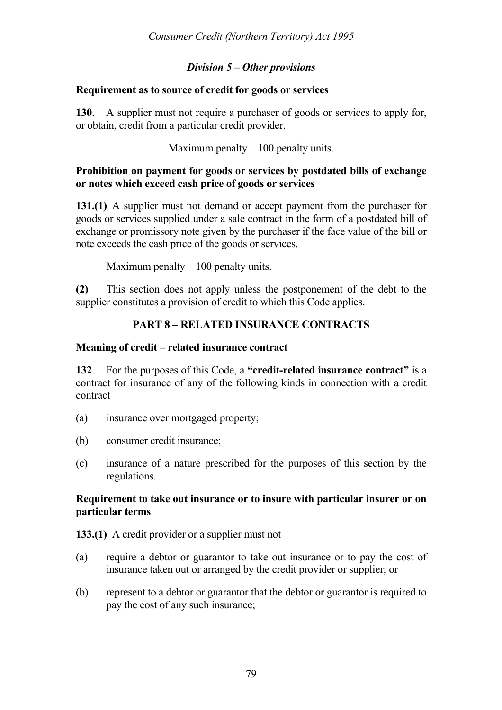### *Division 5 – Other provisions*

#### **Requirement as to source of credit for goods or services**

**130**. A supplier must not require a purchaser of goods or services to apply for, or obtain, credit from a particular credit provider.

Maximum penalty  $-100$  penalty units.

#### **Prohibition on payment for goods or services by postdated bills of exchange or notes which exceed cash price of goods or services**

**131.(1)** A supplier must not demand or accept payment from the purchaser for goods or services supplied under a sale contract in the form of a postdated bill of exchange or promissory note given by the purchaser if the face value of the bill or note exceeds the cash price of the goods or services.

Maximum penalty  $-100$  penalty units.

**(2)** This section does not apply unless the postponement of the debt to the supplier constitutes a provision of credit to which this Code applies.

## **PART 8 – RELATED INSURANCE CONTRACTS**

#### **Meaning of credit – related insurance contract**

**132**. For the purposes of this Code, a **"credit-related insurance contract"** is a contract for insurance of any of the following kinds in connection with a credit contract –

- (a) insurance over mortgaged property;
- (b) consumer credit insurance;
- (c) insurance of a nature prescribed for the purposes of this section by the regulations.

#### **Requirement to take out insurance or to insure with particular insurer or on particular terms**

**133.(1)** A credit provider or a supplier must not –

- (a) require a debtor or guarantor to take out insurance or to pay the cost of insurance taken out or arranged by the credit provider or supplier; or
- (b) represent to a debtor or guarantor that the debtor or guarantor is required to pay the cost of any such insurance;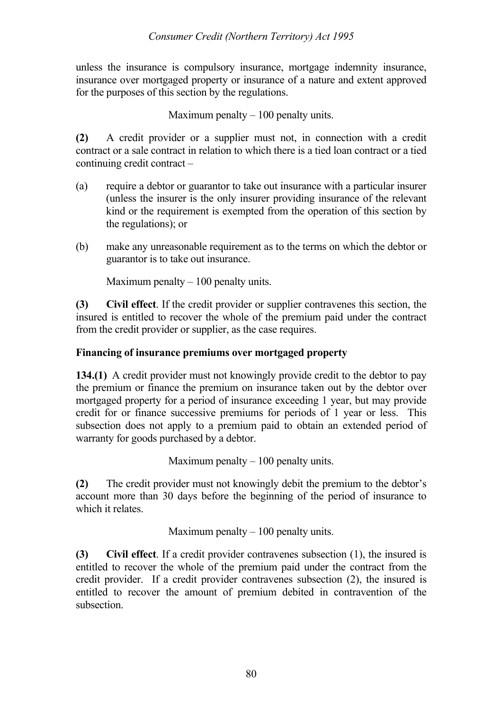unless the insurance is compulsory insurance, mortgage indemnity insurance, insurance over mortgaged property or insurance of a nature and extent approved for the purposes of this section by the regulations.

Maximum penalty  $-100$  penalty units.

**(2)** A credit provider or a supplier must not, in connection with a credit contract or a sale contract in relation to which there is a tied loan contract or a tied continuing credit contract –

- (a) require a debtor or guarantor to take out insurance with a particular insurer (unless the insurer is the only insurer providing insurance of the relevant kind or the requirement is exempted from the operation of this section by the regulations); or
- (b) make any unreasonable requirement as to the terms on which the debtor or guarantor is to take out insurance.

Maximum penalty  $-100$  penalty units.

**(3) Civil effect**. If the credit provider or supplier contravenes this section, the insured is entitled to recover the whole of the premium paid under the contract from the credit provider or supplier, as the case requires.

## **Financing of insurance premiums over mortgaged property**

**134.(1)** A credit provider must not knowingly provide credit to the debtor to pay the premium or finance the premium on insurance taken out by the debtor over mortgaged property for a period of insurance exceeding 1 year, but may provide credit for or finance successive premiums for periods of 1 year or less. This subsection does not apply to a premium paid to obtain an extended period of warranty for goods purchased by a debtor.

Maximum penalty  $-100$  penalty units.

**(2)** The credit provider must not knowingly debit the premium to the debtor's account more than 30 days before the beginning of the period of insurance to which it relates

Maximum penalty  $-100$  penalty units.

**(3) Civil effect**. If a credit provider contravenes subsection (1), the insured is entitled to recover the whole of the premium paid under the contract from the credit provider. If a credit provider contravenes subsection (2), the insured is entitled to recover the amount of premium debited in contravention of the subsection.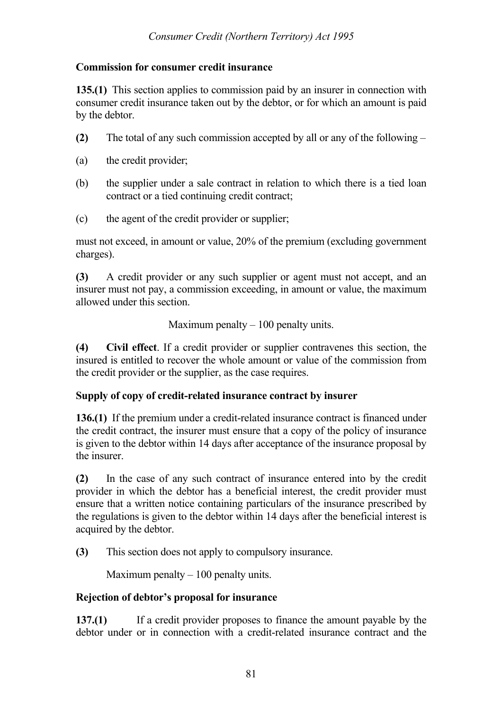### **Commission for consumer credit insurance**

**135.(1)** This section applies to commission paid by an insurer in connection with consumer credit insurance taken out by the debtor, or for which an amount is paid by the debtor.

- **(2)** The total of any such commission accepted by all or any of the following –
- (a) the credit provider;
- (b) the supplier under a sale contract in relation to which there is a tied loan contract or a tied continuing credit contract;
- (c) the agent of the credit provider or supplier;

must not exceed, in amount or value, 20% of the premium (excluding government charges).

**(3)** A credit provider or any such supplier or agent must not accept, and an insurer must not pay, a commission exceeding, in amount or value, the maximum allowed under this section.

Maximum penalty  $-100$  penalty units.

**(4) Civil effect**. If a credit provider or supplier contravenes this section, the insured is entitled to recover the whole amount or value of the commission from the credit provider or the supplier, as the case requires.

## **Supply of copy of credit-related insurance contract by insurer**

**136.(1)** If the premium under a credit-related insurance contract is financed under the credit contract, the insurer must ensure that a copy of the policy of insurance is given to the debtor within 14 days after acceptance of the insurance proposal by the insurer.

**(2)** In the case of any such contract of insurance entered into by the credit provider in which the debtor has a beneficial interest, the credit provider must ensure that a written notice containing particulars of the insurance prescribed by the regulations is given to the debtor within 14 days after the beneficial interest is acquired by the debtor.

**(3)** This section does not apply to compulsory insurance.

Maximum penalty  $-100$  penalty units.

## **Rejection of debtor's proposal for insurance**

**137.(1)** If a credit provider proposes to finance the amount payable by the debtor under or in connection with a credit-related insurance contract and the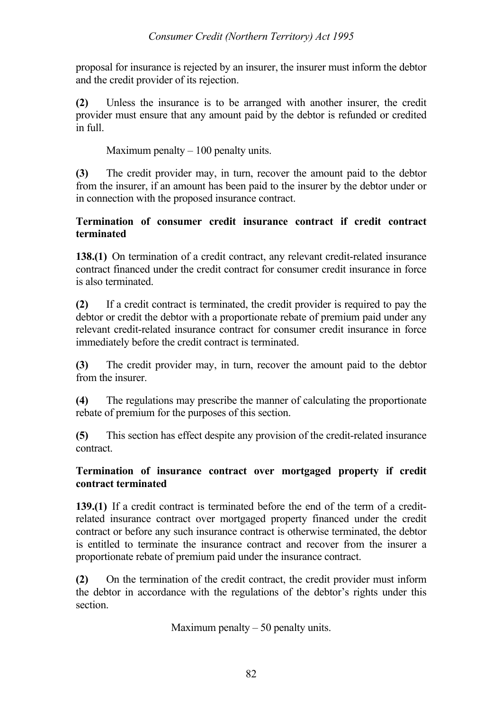proposal for insurance is rejected by an insurer, the insurer must inform the debtor and the credit provider of its rejection.

**(2)** Unless the insurance is to be arranged with another insurer, the credit provider must ensure that any amount paid by the debtor is refunded or credited in full.

Maximum penalty  $-100$  penalty units.

**(3)** The credit provider may, in turn, recover the amount paid to the debtor from the insurer, if an amount has been paid to the insurer by the debtor under or in connection with the proposed insurance contract.

## **Termination of consumer credit insurance contract if credit contract terminated**

**138.(1)** On termination of a credit contract, any relevant credit-related insurance contract financed under the credit contract for consumer credit insurance in force is also terminated.

**(2)** If a credit contract is terminated, the credit provider is required to pay the debtor or credit the debtor with a proportionate rebate of premium paid under any relevant credit-related insurance contract for consumer credit insurance in force immediately before the credit contract is terminated.

**(3)** The credit provider may, in turn, recover the amount paid to the debtor from the insurer.

**(4)** The regulations may prescribe the manner of calculating the proportionate rebate of premium for the purposes of this section.

**(5)** This section has effect despite any provision of the credit-related insurance contract.

## **Termination of insurance contract over mortgaged property if credit contract terminated**

**139.(1)** If a credit contract is terminated before the end of the term of a creditrelated insurance contract over mortgaged property financed under the credit contract or before any such insurance contract is otherwise terminated, the debtor is entitled to terminate the insurance contract and recover from the insurer a proportionate rebate of premium paid under the insurance contract.

**(2)** On the termination of the credit contract, the credit provider must inform the debtor in accordance with the regulations of the debtor's rights under this section.

Maximum penalty  $-50$  penalty units.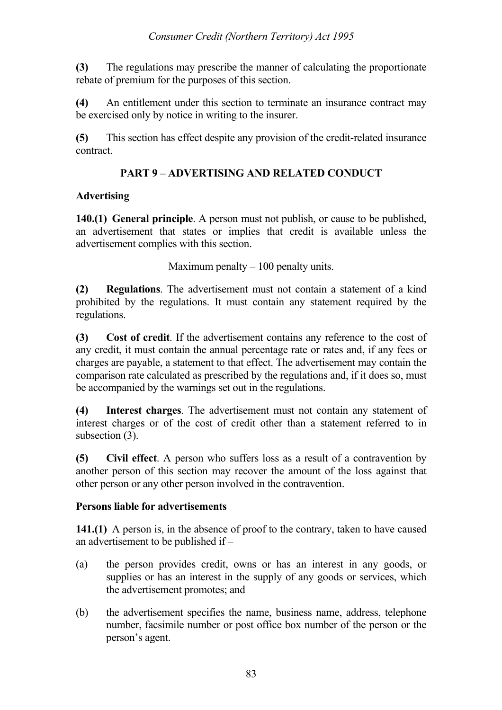**(3)** The regulations may prescribe the manner of calculating the proportionate rebate of premium for the purposes of this section.

**(4)** An entitlement under this section to terminate an insurance contract may be exercised only by notice in writing to the insurer.

**(5)** This section has effect despite any provision of the credit-related insurance contract.

# **PART 9 – ADVERTISING AND RELATED CONDUCT**

# **Advertising**

**140.(1) General principle**. A person must not publish, or cause to be published, an advertisement that states or implies that credit is available unless the advertisement complies with this section.

Maximum penalty  $-100$  penalty units.

**(2) Regulations**. The advertisement must not contain a statement of a kind prohibited by the regulations. It must contain any statement required by the regulations.

**(3) Cost of credit**. If the advertisement contains any reference to the cost of any credit, it must contain the annual percentage rate or rates and, if any fees or charges are payable, a statement to that effect. The advertisement may contain the comparison rate calculated as prescribed by the regulations and, if it does so, must be accompanied by the warnings set out in the regulations.

**(4) Interest charges**. The advertisement must not contain any statement of interest charges or of the cost of credit other than a statement referred to in subsection (3).

**(5) Civil effect**. A person who suffers loss as a result of a contravention by another person of this section may recover the amount of the loss against that other person or any other person involved in the contravention.

## **Persons liable for advertisements**

**141.(1)** A person is, in the absence of proof to the contrary, taken to have caused an advertisement to be published if –

- (a) the person provides credit, owns or has an interest in any goods, or supplies or has an interest in the supply of any goods or services, which the advertisement promotes; and
- (b) the advertisement specifies the name, business name, address, telephone number, facsimile number or post office box number of the person or the person's agent.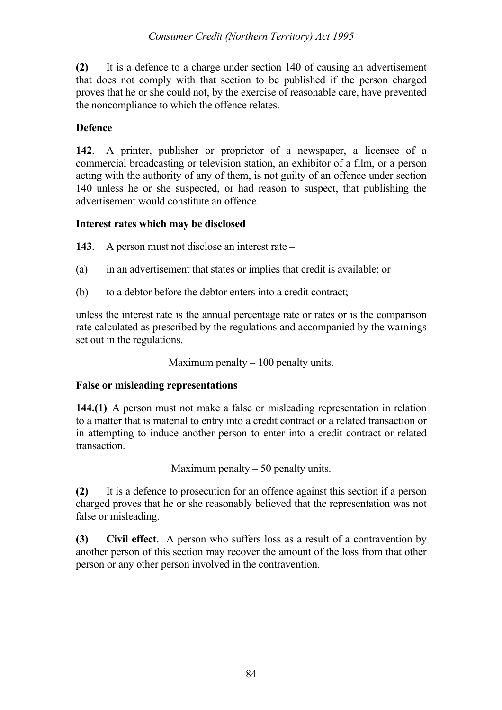**(2)** It is a defence to a charge under section 140 of causing an advertisement that does not comply with that section to be published if the person charged proves that he or she could not, by the exercise of reasonable care, have prevented the noncompliance to which the offence relates.

## **Defence**

**142**. A printer, publisher or proprietor of a newspaper, a licensee of a commercial broadcasting or television station, an exhibitor of a film, or a person acting with the authority of any of them, is not guilty of an offence under section 140 unless he or she suspected, or had reason to suspect, that publishing the advertisement would constitute an offence.

## **Interest rates which may be disclosed**

**143**. A person must not disclose an interest rate –

- (a) in an advertisement that states or implies that credit is available; or
- (b) to a debtor before the debtor enters into a credit contract;

unless the interest rate is the annual percentage rate or rates or is the comparison rate calculated as prescribed by the regulations and accompanied by the warnings set out in the regulations.

Maximum penalty  $-100$  penalty units.

# **False or misleading representations**

**144.(1)** A person must not make a false or misleading representation in relation to a matter that is material to entry into a credit contract or a related transaction or in attempting to induce another person to enter into a credit contract or related transaction.

Maximum penalty  $-50$  penalty units.

**(2)** It is a defence to prosecution for an offence against this section if a person charged proves that he or she reasonably believed that the representation was not false or misleading.

**(3) Civil effect**. A person who suffers loss as a result of a contravention by another person of this section may recover the amount of the loss from that other person or any other person involved in the contravention.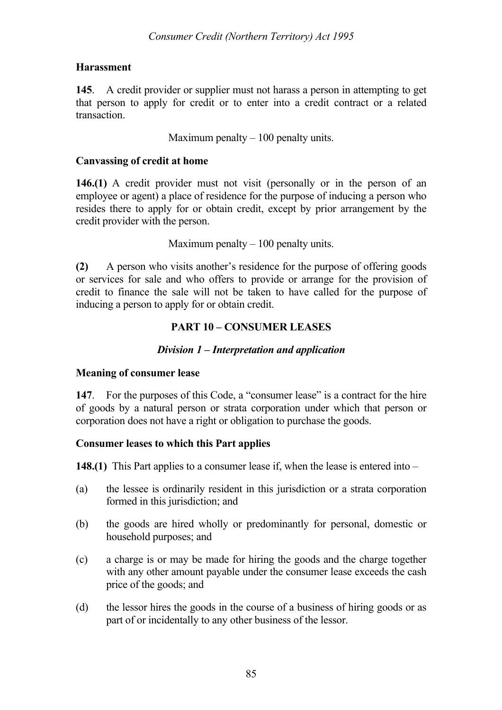### **Harassment**

**145**. A credit provider or supplier must not harass a person in attempting to get that person to apply for credit or to enter into a credit contract or a related transaction.

Maximum penalty  $-100$  penalty units.

#### **Canvassing of credit at home**

**146.(1)** A credit provider must not visit (personally or in the person of an employee or agent) a place of residence for the purpose of inducing a person who resides there to apply for or obtain credit, except by prior arrangement by the credit provider with the person.

Maximum penalty  $-100$  penalty units.

**(2)** A person who visits another's residence for the purpose of offering goods or services for sale and who offers to provide or arrange for the provision of credit to finance the sale will not be taken to have called for the purpose of inducing a person to apply for or obtain credit.

## **PART 10 – CONSUMER LEASES**

## *Division 1 – Interpretation and application*

## **Meaning of consumer lease**

**147**. For the purposes of this Code, a "consumer lease" is a contract for the hire of goods by a natural person or strata corporation under which that person or corporation does not have a right or obligation to purchase the goods.

## **Consumer leases to which this Part applies**

**148.(1)** This Part applies to a consumer lease if, when the lease is entered into –

- (a) the lessee is ordinarily resident in this jurisdiction or a strata corporation formed in this jurisdiction; and
- (b) the goods are hired wholly or predominantly for personal, domestic or household purposes; and
- (c) a charge is or may be made for hiring the goods and the charge together with any other amount payable under the consumer lease exceeds the cash price of the goods; and
- (d) the lessor hires the goods in the course of a business of hiring goods or as part of or incidentally to any other business of the lessor.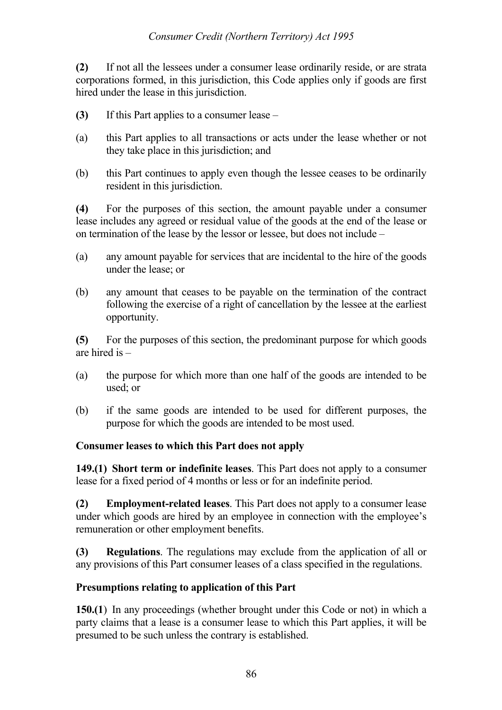#### *Consumer Credit (Northern Territory) Act 1995*

**(2)** If not all the lessees under a consumer lease ordinarily reside, or are strata corporations formed, in this jurisdiction, this Code applies only if goods are first hired under the lease in this jurisdiction.

- **(3)** If this Part applies to a consumer lease –
- (a) this Part applies to all transactions or acts under the lease whether or not they take place in this jurisdiction; and
- (b) this Part continues to apply even though the lessee ceases to be ordinarily resident in this jurisdiction.

**(4)** For the purposes of this section, the amount payable under a consumer lease includes any agreed or residual value of the goods at the end of the lease or on termination of the lease by the lessor or lessee, but does not include –

- (a) any amount payable for services that are incidental to the hire of the goods under the lease; or
- (b) any amount that ceases to be payable on the termination of the contract following the exercise of a right of cancellation by the lessee at the earliest opportunity.

**(5)** For the purposes of this section, the predominant purpose for which goods are hired is –

- (a) the purpose for which more than one half of the goods are intended to be used; or
- (b) if the same goods are intended to be used for different purposes, the purpose for which the goods are intended to be most used.

#### **Consumer leases to which this Part does not apply**

**149.(1) Short term or indefinite leases**. This Part does not apply to a consumer lease for a fixed period of 4 months or less or for an indefinite period.

**(2) Employment-related leases**. This Part does not apply to a consumer lease under which goods are hired by an employee in connection with the employee's remuneration or other employment benefits.

**(3) Regulations**. The regulations may exclude from the application of all or any provisions of this Part consumer leases of a class specified in the regulations.

#### **Presumptions relating to application of this Part**

**150.(1**) In any proceedings (whether brought under this Code or not) in which a party claims that a lease is a consumer lease to which this Part applies, it will be presumed to be such unless the contrary is established.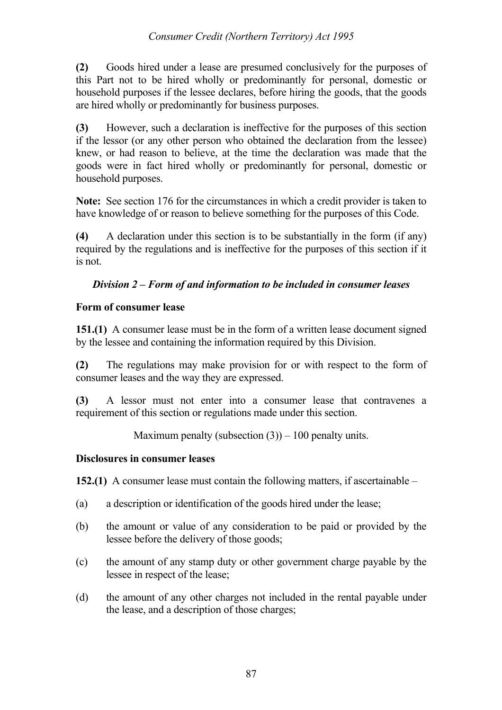### *Consumer Credit (Northern Territory) Act 1995*

**(2)** Goods hired under a lease are presumed conclusively for the purposes of this Part not to be hired wholly or predominantly for personal, domestic or household purposes if the lessee declares, before hiring the goods, that the goods are hired wholly or predominantly for business purposes.

**(3)** However, such a declaration is ineffective for the purposes of this section if the lessor (or any other person who obtained the declaration from the lessee) knew, or had reason to believe, at the time the declaration was made that the goods were in fact hired wholly or predominantly for personal, domestic or household purposes.

**Note:** See section 176 for the circumstances in which a credit provider is taken to have knowledge of or reason to believe something for the purposes of this Code.

**(4)** A declaration under this section is to be substantially in the form (if any) required by the regulations and is ineffective for the purposes of this section if it is not.

## *Division 2 – Form of and information to be included in consumer leases*

### **Form of consumer lease**

**151.(1)** A consumer lease must be in the form of a written lease document signed by the lessee and containing the information required by this Division.

**(2)** The regulations may make provision for or with respect to the form of consumer leases and the way they are expressed.

**(3)** A lessor must not enter into a consumer lease that contravenes a requirement of this section or regulations made under this section.

Maximum penalty (subsection  $(3)$ ) – 100 penalty units.

#### **Disclosures in consumer leases**

**152.(1)** A consumer lease must contain the following matters, if ascertainable –

- (a) a description or identification of the goods hired under the lease;
- (b) the amount or value of any consideration to be paid or provided by the lessee before the delivery of those goods;
- (c) the amount of any stamp duty or other government charge payable by the lessee in respect of the lease;
- (d) the amount of any other charges not included in the rental payable under the lease, and a description of those charges;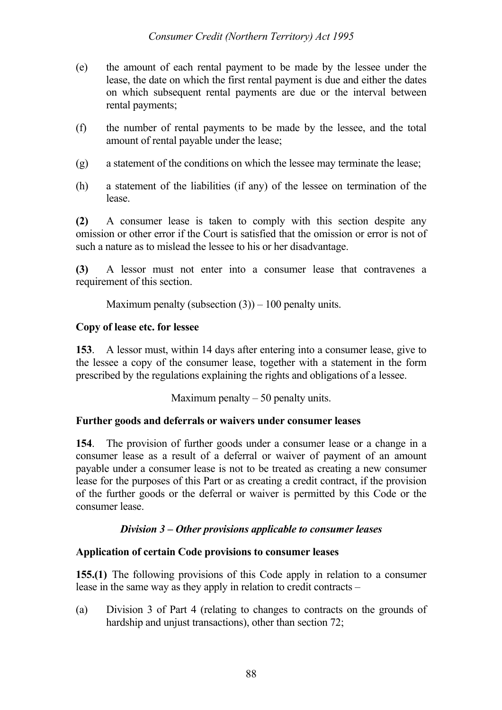- (e) the amount of each rental payment to be made by the lessee under the lease, the date on which the first rental payment is due and either the dates on which subsequent rental payments are due or the interval between rental payments;
- (f) the number of rental payments to be made by the lessee, and the total amount of rental payable under the lease;
- (g) a statement of the conditions on which the lessee may terminate the lease;
- (h) a statement of the liabilities (if any) of the lessee on termination of the lease.

**(2)** A consumer lease is taken to comply with this section despite any omission or other error if the Court is satisfied that the omission or error is not of such a nature as to mislead the lessee to his or her disadvantage.

**(3)** A lessor must not enter into a consumer lease that contravenes a requirement of this section.

Maximum penalty (subsection  $(3)$ ) – 100 penalty units.

### **Copy of lease etc. for lessee**

**153**. A lessor must, within 14 days after entering into a consumer lease, give to the lessee a copy of the consumer lease, together with a statement in the form prescribed by the regulations explaining the rights and obligations of a lessee.

Maximum penalty  $-50$  penalty units.

## **Further goods and deferrals or waivers under consumer leases**

**154**. The provision of further goods under a consumer lease or a change in a consumer lease as a result of a deferral or waiver of payment of an amount payable under a consumer lease is not to be treated as creating a new consumer lease for the purposes of this Part or as creating a credit contract, if the provision of the further goods or the deferral or waiver is permitted by this Code or the consumer lease.

## *Division 3 – Other provisions applicable to consumer leases*

## **Application of certain Code provisions to consumer leases**

**155.(1)** The following provisions of this Code apply in relation to a consumer lease in the same way as they apply in relation to credit contracts –

(a) Division 3 of Part 4 (relating to changes to contracts on the grounds of hardship and unjust transactions), other than section 72;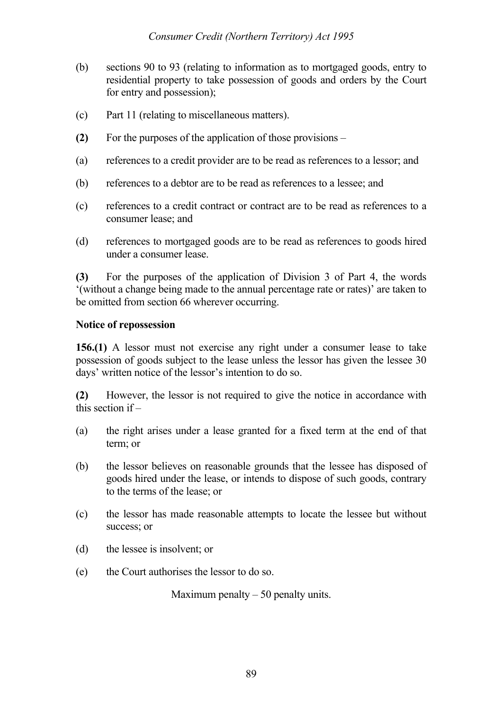- (b) sections 90 to 93 (relating to information as to mortgaged goods, entry to residential property to take possession of goods and orders by the Court for entry and possession);
- (c) Part 11 (relating to miscellaneous matters).
- **(2)** For the purposes of the application of those provisions –
- (a) references to a credit provider are to be read as references to a lessor; and
- (b) references to a debtor are to be read as references to a lessee; and
- (c) references to a credit contract or contract are to be read as references to a consumer lease; and
- (d) references to mortgaged goods are to be read as references to goods hired under a consumer lease.

**(3)** For the purposes of the application of Division 3 of Part 4, the words '(without a change being made to the annual percentage rate or rates)' are taken to be omitted from section 66 wherever occurring.

#### **Notice of repossession**

**156.(1)** A lessor must not exercise any right under a consumer lease to take possession of goods subject to the lease unless the lessor has given the lessee 30 days' written notice of the lessor's intention to do so.

**(2)** However, the lessor is not required to give the notice in accordance with this section if –

- (a) the right arises under a lease granted for a fixed term at the end of that term; or
- (b) the lessor believes on reasonable grounds that the lessee has disposed of goods hired under the lease, or intends to dispose of such goods, contrary to the terms of the lease; or
- (c) the lessor has made reasonable attempts to locate the lessee but without success; or
- (d) the lessee is insolvent; or
- (e) the Court authorises the lessor to do so.

Maximum penalty  $-50$  penalty units.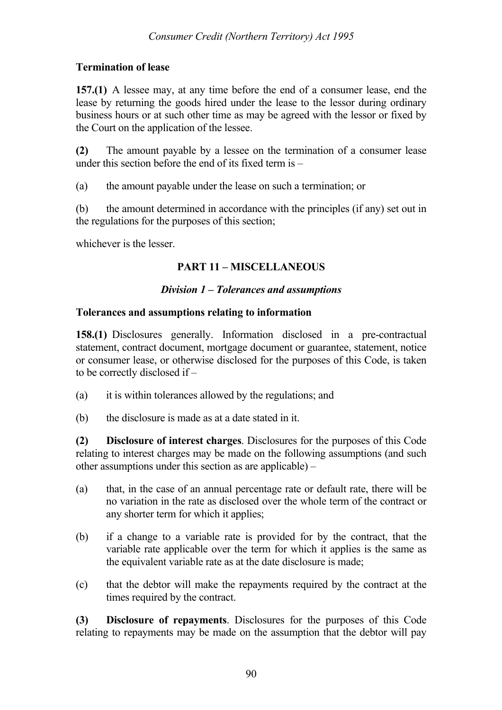## **Termination of lease**

**157.(1)** A lessee may, at any time before the end of a consumer lease, end the lease by returning the goods hired under the lease to the lessor during ordinary business hours or at such other time as may be agreed with the lessor or fixed by the Court on the application of the lessee.

**(2)** The amount payable by a lessee on the termination of a consumer lease under this section before the end of its fixed term is –

(a) the amount payable under the lease on such a termination; or

(b) the amount determined in accordance with the principles (if any) set out in the regulations for the purposes of this section;

whichever is the lesser.

# **PART 11 – MISCELLANEOUS**

## *Division 1 – Tolerances and assumptions*

### **Tolerances and assumptions relating to information**

**158.(1)** Disclosures generally. Information disclosed in a pre-contractual statement, contract document, mortgage document or guarantee, statement, notice or consumer lease, or otherwise disclosed for the purposes of this Code, is taken to be correctly disclosed if –

- (a) it is within tolerances allowed by the regulations; and
- (b) the disclosure is made as at a date stated in it.

**(2) Disclosure of interest charges**. Disclosures for the purposes of this Code relating to interest charges may be made on the following assumptions (and such other assumptions under this section as are applicable) –

- (a) that, in the case of an annual percentage rate or default rate, there will be no variation in the rate as disclosed over the whole term of the contract or any shorter term for which it applies;
- (b) if a change to a variable rate is provided for by the contract, that the variable rate applicable over the term for which it applies is the same as the equivalent variable rate as at the date disclosure is made;
- (c) that the debtor will make the repayments required by the contract at the times required by the contract.

**(3) Disclosure of repayments**. Disclosures for the purposes of this Code relating to repayments may be made on the assumption that the debtor will pay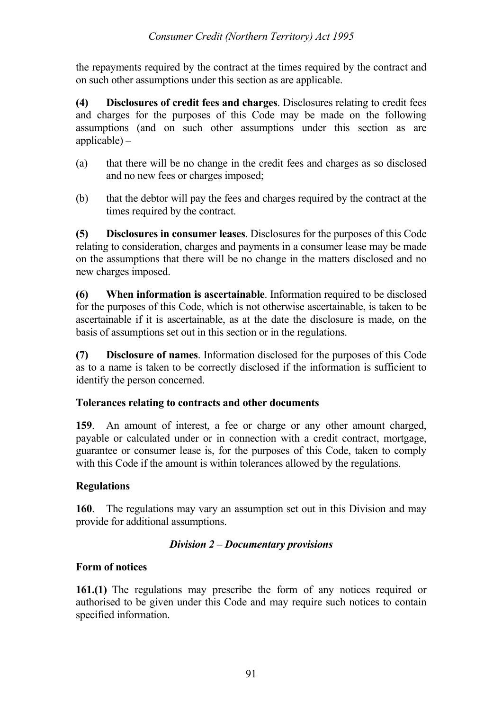the repayments required by the contract at the times required by the contract and on such other assumptions under this section as are applicable.

**(4) Disclosures of credit fees and charges**. Disclosures relating to credit fees and charges for the purposes of this Code may be made on the following assumptions (and on such other assumptions under this section as are applicable) –

- (a) that there will be no change in the credit fees and charges as so disclosed and no new fees or charges imposed;
- (b) that the debtor will pay the fees and charges required by the contract at the times required by the contract.

**(5) Disclosures in consumer leases**. Disclosures for the purposes of this Code relating to consideration, charges and payments in a consumer lease may be made on the assumptions that there will be no change in the matters disclosed and no new charges imposed.

**(6) When information is ascertainable**. Information required to be disclosed for the purposes of this Code, which is not otherwise ascertainable, is taken to be ascertainable if it is ascertainable, as at the date the disclosure is made, on the basis of assumptions set out in this section or in the regulations.

**(7) Disclosure of names**. Information disclosed for the purposes of this Code as to a name is taken to be correctly disclosed if the information is sufficient to identify the person concerned.

## **Tolerances relating to contracts and other documents**

**159**. An amount of interest, a fee or charge or any other amount charged, payable or calculated under or in connection with a credit contract, mortgage, guarantee or consumer lease is, for the purposes of this Code, taken to comply with this Code if the amount is within tolerances allowed by the regulations.

# **Regulations**

**160**. The regulations may vary an assumption set out in this Division and may provide for additional assumptions.

## *Division 2 – Documentary provisions*

## **Form of notices**

**161.(1)** The regulations may prescribe the form of any notices required or authorised to be given under this Code and may require such notices to contain specified information.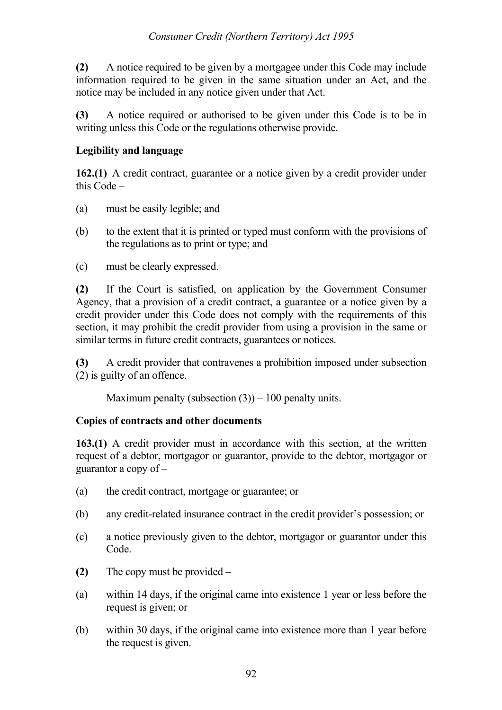**(2)** A notice required to be given by a mortgagee under this Code may include information required to be given in the same situation under an Act, and the notice may be included in any notice given under that Act.

**(3)** A notice required or authorised to be given under this Code is to be in writing unless this Code or the regulations otherwise provide.

## **Legibility and language**

**162.(1)** A credit contract, guarantee or a notice given by a credit provider under this Code –

- (a) must be easily legible; and
- (b) to the extent that it is printed or typed must conform with the provisions of the regulations as to print or type; and
- (c) must be clearly expressed.

**(2)** If the Court is satisfied, on application by the Government Consumer Agency, that a provision of a credit contract, a guarantee or a notice given by a credit provider under this Code does not comply with the requirements of this section, it may prohibit the credit provider from using a provision in the same or similar terms in future credit contracts, guarantees or notices.

**(3)** A credit provider that contravenes a prohibition imposed under subsection (2) is guilty of an offence.

Maximum penalty (subsection  $(3)$ ) – 100 penalty units.

# **Copies of contracts and other documents**

**163.(1)** A credit provider must in accordance with this section, at the written request of a debtor, mortgagor or guarantor, provide to the debtor, mortgagor or guarantor a copy of –

- (a) the credit contract, mortgage or guarantee; or
- (b) any credit-related insurance contract in the credit provider's possession; or
- (c) a notice previously given to the debtor, mortgagor or guarantor under this Code.
- **(2)** The copy must be provided –
- (a) within 14 days, if the original came into existence 1 year or less before the request is given; or
- (b) within 30 days, if the original came into existence more than 1 year before the request is given.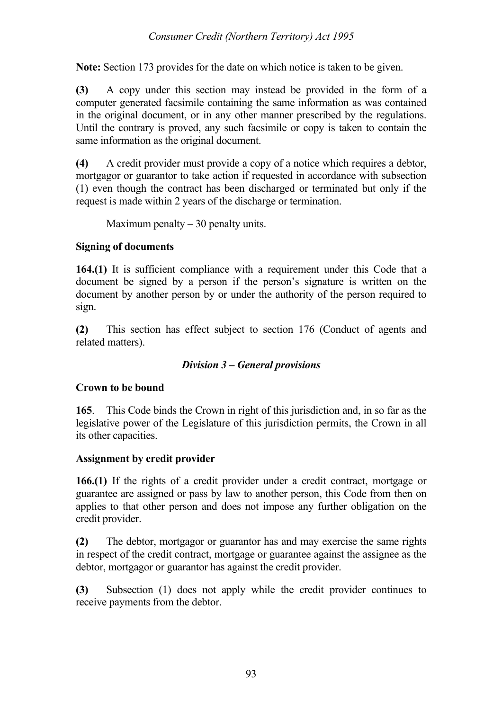**Note:** Section 173 provides for the date on which notice is taken to be given.

**(3)** A copy under this section may instead be provided in the form of a computer generated facsimile containing the same information as was contained in the original document, or in any other manner prescribed by the regulations. Until the contrary is proved, any such facsimile or copy is taken to contain the same information as the original document.

**(4)** A credit provider must provide a copy of a notice which requires a debtor, mortgagor or guarantor to take action if requested in accordance with subsection (1) even though the contract has been discharged or terminated but only if the request is made within 2 years of the discharge or termination.

Maximum penalty  $-30$  penalty units.

# **Signing of documents**

**164.(1)** It is sufficient compliance with a requirement under this Code that a document be signed by a person if the person's signature is written on the document by another person by or under the authority of the person required to sign.

**(2)** This section has effect subject to section 176 (Conduct of agents and related matters).

# *Division 3 – General provisions*

## **Crown to be bound**

**165**. This Code binds the Crown in right of this jurisdiction and, in so far as the legislative power of the Legislature of this jurisdiction permits, the Crown in all its other capacities.

# **Assignment by credit provider**

**166.(1)** If the rights of a credit provider under a credit contract, mortgage or guarantee are assigned or pass by law to another person, this Code from then on applies to that other person and does not impose any further obligation on the credit provider.

**(2)** The debtor, mortgagor or guarantor has and may exercise the same rights in respect of the credit contract, mortgage or guarantee against the assignee as the debtor, mortgagor or guarantor has against the credit provider.

**(3)** Subsection (1) does not apply while the credit provider continues to receive payments from the debtor.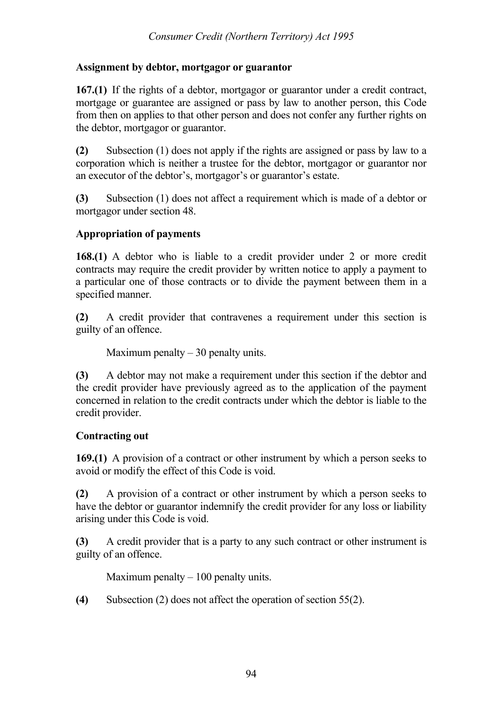### **Assignment by debtor, mortgagor or guarantor**

**167.(1)** If the rights of a debtor, mortgagor or guarantor under a credit contract, mortgage or guarantee are assigned or pass by law to another person, this Code from then on applies to that other person and does not confer any further rights on the debtor, mortgagor or guarantor.

**(2)** Subsection (1) does not apply if the rights are assigned or pass by law to a corporation which is neither a trustee for the debtor, mortgagor or guarantor nor an executor of the debtor's, mortgagor's or guarantor's estate.

**(3)** Subsection (1) does not affect a requirement which is made of a debtor or mortgagor under section 48.

## **Appropriation of payments**

**168.(1)** A debtor who is liable to a credit provider under 2 or more credit contracts may require the credit provider by written notice to apply a payment to a particular one of those contracts or to divide the payment between them in a specified manner.

**(2)** A credit provider that contravenes a requirement under this section is guilty of an offence.

Maximum penalty  $-30$  penalty units.

**(3)** A debtor may not make a requirement under this section if the debtor and the credit provider have previously agreed as to the application of the payment concerned in relation to the credit contracts under which the debtor is liable to the credit provider.

## **Contracting out**

**169.(1)** A provision of a contract or other instrument by which a person seeks to avoid or modify the effect of this Code is void.

**(2)** A provision of a contract or other instrument by which a person seeks to have the debtor or guarantor indemnify the credit provider for any loss or liability arising under this Code is void.

**(3)** A credit provider that is a party to any such contract or other instrument is guilty of an offence.

Maximum penalty  $-100$  penalty units.

**(4)** Subsection (2) does not affect the operation of section 55(2).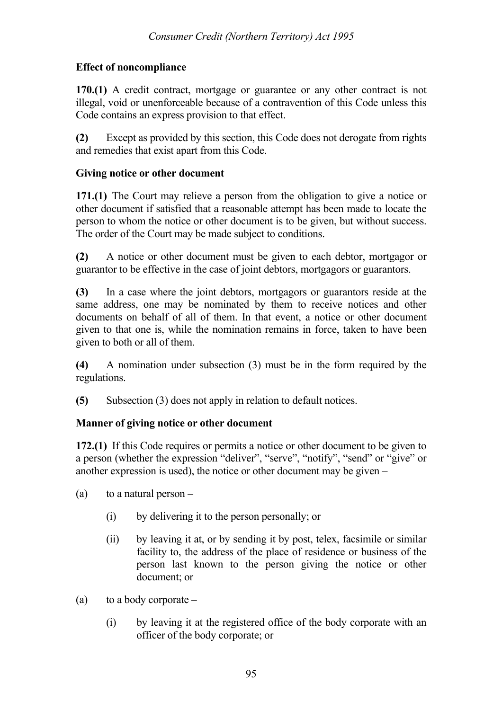## **Effect of noncompliance**

**170.(1)** A credit contract, mortgage or guarantee or any other contract is not illegal, void or unenforceable because of a contravention of this Code unless this Code contains an express provision to that effect.

**(2)** Except as provided by this section, this Code does not derogate from rights and remedies that exist apart from this Code.

### **Giving notice or other document**

**171.(1)** The Court may relieve a person from the obligation to give a notice or other document if satisfied that a reasonable attempt has been made to locate the person to whom the notice or other document is to be given, but without success. The order of the Court may be made subject to conditions.

**(2)** A notice or other document must be given to each debtor, mortgagor or guarantor to be effective in the case of joint debtors, mortgagors or guarantors.

**(3)** In a case where the joint debtors, mortgagors or guarantors reside at the same address, one may be nominated by them to receive notices and other documents on behalf of all of them. In that event, a notice or other document given to that one is, while the nomination remains in force, taken to have been given to both or all of them.

**(4)** A nomination under subsection (3) must be in the form required by the regulations.

**(5)** Subsection (3) does not apply in relation to default notices.

## **Manner of giving notice or other document**

**172.(1)** If this Code requires or permits a notice or other document to be given to a person (whether the expression "deliver", "serve", "notify", "send" or "give" or another expression is used), the notice or other document may be given –

- (a) to a natural person  $-$ 
	- (i) by delivering it to the person personally; or
	- (ii) by leaving it at, or by sending it by post, telex, facsimile or similar facility to, the address of the place of residence or business of the person last known to the person giving the notice or other document; or
- (a) to a body corporate  $-$ 
	- (i) by leaving it at the registered office of the body corporate with an officer of the body corporate; or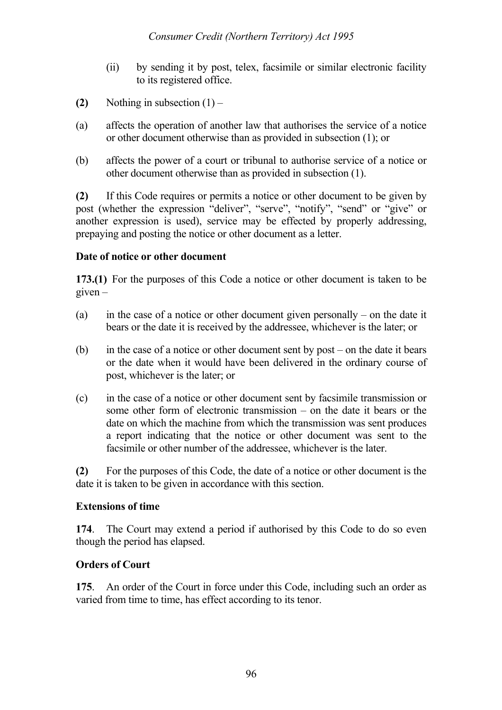- (ii) by sending it by post, telex, facsimile or similar electronic facility to its registered office.
- **(2)** Nothing in subsection  $(1)$  –
- (a) affects the operation of another law that authorises the service of a notice or other document otherwise than as provided in subsection (1); or
- (b) affects the power of a court or tribunal to authorise service of a notice or other document otherwise than as provided in subsection (1).

**(2)** If this Code requires or permits a notice or other document to be given by post (whether the expression "deliver", "serve", "notify", "send" or "give" or another expression is used), service may be effected by properly addressing, prepaying and posting the notice or other document as a letter.

## **Date of notice or other document**

**173.(1)** For the purposes of this Code a notice or other document is taken to be  $e$ iven –

- (a) in the case of a notice or other document given personally on the date it bears or the date it is received by the addressee, whichever is the later; or
- (b) in the case of a notice or other document sent by post on the date it bears or the date when it would have been delivered in the ordinary course of post, whichever is the later; or
- (c) in the case of a notice or other document sent by facsimile transmission or some other form of electronic transmission – on the date it bears or the date on which the machine from which the transmission was sent produces a report indicating that the notice or other document was sent to the facsimile or other number of the addressee, whichever is the later.

**(2)** For the purposes of this Code, the date of a notice or other document is the date it is taken to be given in accordance with this section.

#### **Extensions of time**

**174**. The Court may extend a period if authorised by this Code to do so even though the period has elapsed.

## **Orders of Court**

**175**. An order of the Court in force under this Code, including such an order as varied from time to time, has effect according to its tenor.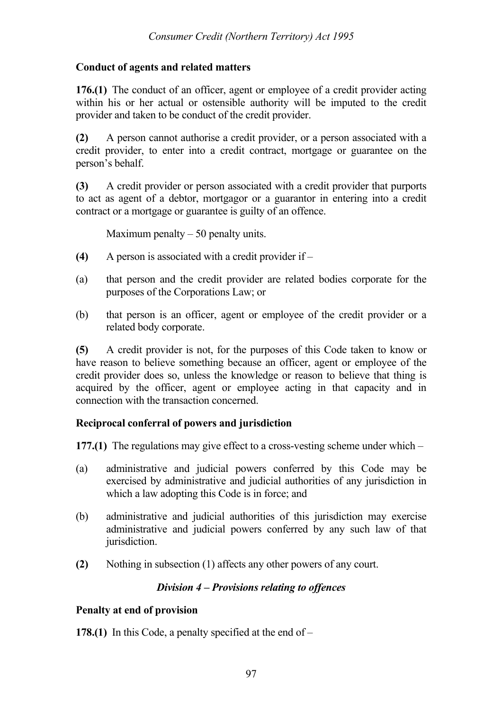## **Conduct of agents and related matters**

**176.(1)** The conduct of an officer, agent or employee of a credit provider acting within his or her actual or ostensible authority will be imputed to the credit provider and taken to be conduct of the credit provider.

**(2)** A person cannot authorise a credit provider, or a person associated with a credit provider, to enter into a credit contract, mortgage or guarantee on the person's behalf.

**(3)** A credit provider or person associated with a credit provider that purports to act as agent of a debtor, mortgagor or a guarantor in entering into a credit contract or a mortgage or guarantee is guilty of an offence.

Maximum penalty  $-50$  penalty units.

- **(4)** A person is associated with a credit provider if –
- (a) that person and the credit provider are related bodies corporate for the purposes of the Corporations Law; or
- (b) that person is an officer, agent or employee of the credit provider or a related body corporate.

**(5)** A credit provider is not, for the purposes of this Code taken to know or have reason to believe something because an officer, agent or employee of the credit provider does so, unless the knowledge or reason to believe that thing is acquired by the officer, agent or employee acting in that capacity and in connection with the transaction concerned.

## **Reciprocal conferral of powers and jurisdiction**

**177.(1)** The regulations may give effect to a cross-vesting scheme under which –

- (a) administrative and judicial powers conferred by this Code may be exercised by administrative and judicial authorities of any jurisdiction in which a law adopting this Code is in force; and
- (b) administrative and judicial authorities of this jurisdiction may exercise administrative and judicial powers conferred by any such law of that jurisdiction.
- **(2)** Nothing in subsection (1) affects any other powers of any court.

## *Division 4 – Provisions relating to offences*

## **Penalty at end of provision**

**178.(1)** In this Code, a penalty specified at the end of –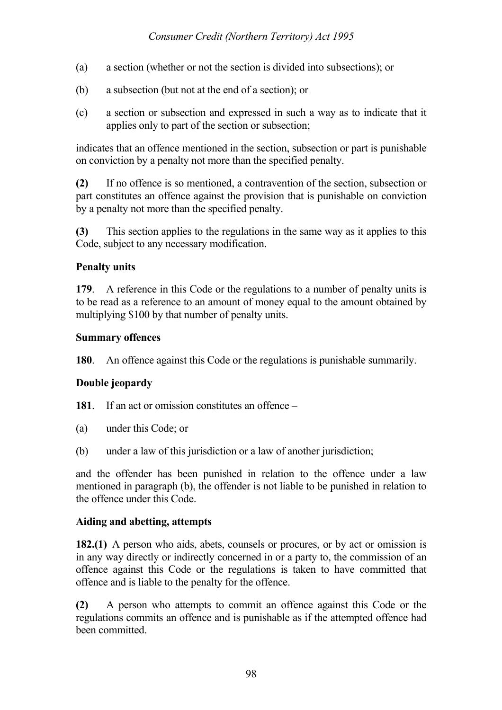- (a) a section (whether or not the section is divided into subsections); or
- (b) a subsection (but not at the end of a section); or
- (c) a section or subsection and expressed in such a way as to indicate that it applies only to part of the section or subsection;

indicates that an offence mentioned in the section, subsection or part is punishable on conviction by a penalty not more than the specified penalty.

**(2)** If no offence is so mentioned, a contravention of the section, subsection or part constitutes an offence against the provision that is punishable on conviction by a penalty not more than the specified penalty.

**(3)** This section applies to the regulations in the same way as it applies to this Code, subject to any necessary modification.

## **Penalty units**

**179**. A reference in this Code or the regulations to a number of penalty units is to be read as a reference to an amount of money equal to the amount obtained by multiplying \$100 by that number of penalty units.

#### **Summary offences**

**180**. An offence against this Code or the regulations is punishable summarily.

## **Double jeopardy**

**181**. If an act or omission constitutes an offence –

- (a) under this Code; or
- (b) under a law of this jurisdiction or a law of another jurisdiction;

and the offender has been punished in relation to the offence under a law mentioned in paragraph (b), the offender is not liable to be punished in relation to the offence under this Code.

#### **Aiding and abetting, attempts**

**182.(1)** A person who aids, abets, counsels or procures, or by act or omission is in any way directly or indirectly concerned in or a party to, the commission of an offence against this Code or the regulations is taken to have committed that offence and is liable to the penalty for the offence.

**(2)** A person who attempts to commit an offence against this Code or the regulations commits an offence and is punishable as if the attempted offence had been committed.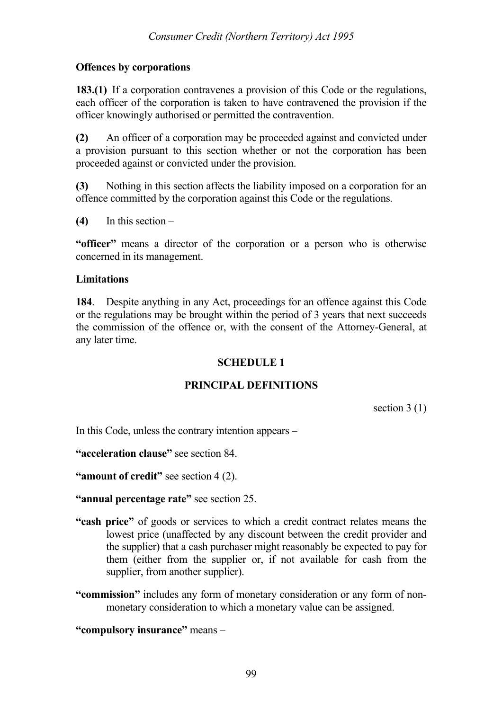### **Offences by corporations**

**183.(1)** If a corporation contravenes a provision of this Code or the regulations, each officer of the corporation is taken to have contravened the provision if the officer knowingly authorised or permitted the contravention.

**(2)** An officer of a corporation may be proceeded against and convicted under a provision pursuant to this section whether or not the corporation has been proceeded against or convicted under the provision.

**(3)** Nothing in this section affects the liability imposed on a corporation for an offence committed by the corporation against this Code or the regulations.

**(4)** In this section –

**"officer"** means a director of the corporation or a person who is otherwise concerned in its management.

#### **Limitations**

**184**. Despite anything in any Act, proceedings for an offence against this Code or the regulations may be brought within the period of 3 years that next succeeds the commission of the offence or, with the consent of the Attorney-General, at any later time.

#### **SCHEDULE 1**

#### **PRINCIPAL DEFINITIONS**

section 3 (1)

In this Code, unless the contrary intention appears –

**"acceleration clause"** see section 84.

**"amount of credit"** see section 4 (2).

#### **"annual percentage rate"** see section 25.

- **"cash price"** of goods or services to which a credit contract relates means the lowest price (unaffected by any discount between the credit provider and the supplier) that a cash purchaser might reasonably be expected to pay for them (either from the supplier or, if not available for cash from the supplier, from another supplier).
- **"commission"** includes any form of monetary consideration or any form of nonmonetary consideration to which a monetary value can be assigned.

**"compulsory insurance"** means –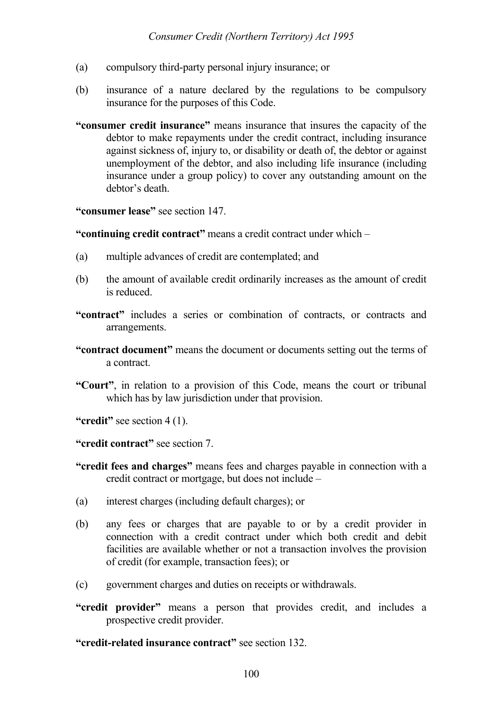- (a) compulsory third-party personal injury insurance; or
- (b) insurance of a nature declared by the regulations to be compulsory insurance for the purposes of this Code.
- **"consumer credit insurance"** means insurance that insures the capacity of the debtor to make repayments under the credit contract, including insurance against sickness of, injury to, or disability or death of, the debtor or against unemployment of the debtor, and also including life insurance (including insurance under a group policy) to cover any outstanding amount on the debtor's death.

**"consumer lease"** see section 147.

**"continuing credit contract"** means a credit contract under which –

- (a) multiple advances of credit are contemplated; and
- (b) the amount of available credit ordinarily increases as the amount of credit is reduced.
- **"contract"** includes a series or combination of contracts, or contracts and arrangements.
- **"contract document"** means the document or documents setting out the terms of a contract.
- **"Court"**, in relation to a provision of this Code, means the court or tribunal which has by law jurisdiction under that provision.

**"credit"** see section 4 (1).

**"credit contract"** see section 7.

- **"credit fees and charges"** means fees and charges payable in connection with a credit contract or mortgage, but does not include –
- (a) interest charges (including default charges); or
- (b) any fees or charges that are payable to or by a credit provider in connection with a credit contract under which both credit and debit facilities are available whether or not a transaction involves the provision of credit (for example, transaction fees); or
- (c) government charges and duties on receipts or withdrawals.
- **"credit provider"** means a person that provides credit, and includes a prospective credit provider.

**"credit-related insurance contract"** see section 132.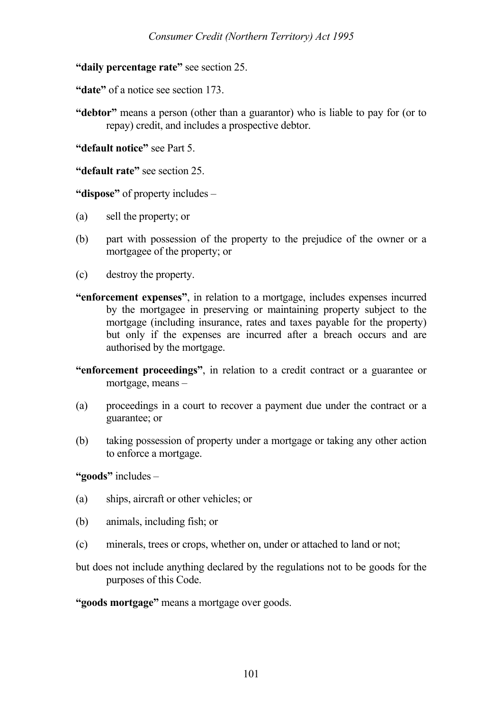**"daily percentage rate"** see section 25.

**"date"** of a notice see section 173.

**"debtor"** means a person (other than a guarantor) who is liable to pay for (or to repay) credit, and includes a prospective debtor.

**"default notice"** see Part 5.

**"default rate"** see section 25.

**"dispose"** of property includes –

- (a) sell the property; or
- (b) part with possession of the property to the prejudice of the owner or a mortgagee of the property; or
- (c) destroy the property.
- **"enforcement expenses"**, in relation to a mortgage, includes expenses incurred by the mortgagee in preserving or maintaining property subject to the mortgage (including insurance, rates and taxes payable for the property) but only if the expenses are incurred after a breach occurs and are authorised by the mortgage.
- **"enforcement proceedings"**, in relation to a credit contract or a guarantee or mortgage, means –
- (a) proceedings in a court to recover a payment due under the contract or a guarantee; or
- (b) taking possession of property under a mortgage or taking any other action to enforce a mortgage.

**"goods"** includes –

- (a) ships, aircraft or other vehicles; or
- (b) animals, including fish; or
- (c) minerals, trees or crops, whether on, under or attached to land or not;
- but does not include anything declared by the regulations not to be goods for the purposes of this Code.

**"goods mortgage"** means a mortgage over goods.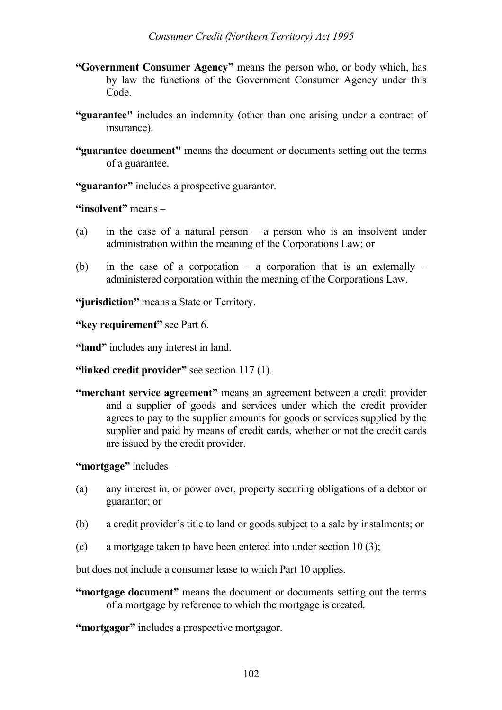- **"Government Consumer Agency"** means the person who, or body which, has by law the functions of the Government Consumer Agency under this Code.
- **"guarantee"** includes an indemnity (other than one arising under a contract of insurance).
- **"guarantee document"** means the document or documents setting out the terms of a guarantee.

**"guarantor"** includes a prospective guarantor.

**"insolvent"** means –

- (a) in the case of a natural person a person who is an insolvent under administration within the meaning of the Corporations Law; or
- (b) in the case of a corporation a corporation that is an externally administered corporation within the meaning of the Corporations Law.

**"jurisdiction"** means a State or Territory.

**"key requirement"** see Part 6.

**"land"** includes any interest in land.

**"linked credit provider"** see section 117 (1).

**"merchant service agreement"** means an agreement between a credit provider and a supplier of goods and services under which the credit provider agrees to pay to the supplier amounts for goods or services supplied by the supplier and paid by means of credit cards, whether or not the credit cards are issued by the credit provider.

**"mortgage"** includes –

- (a) any interest in, or power over, property securing obligations of a debtor or guarantor; or
- (b) a credit provider's title to land or goods subject to a sale by instalments; or
- (c) a mortgage taken to have been entered into under section 10 (3);

but does not include a consumer lease to which Part 10 applies.

**"mortgage document"** means the document or documents setting out the terms of a mortgage by reference to which the mortgage is created.

**"mortgagor"** includes a prospective mortgagor.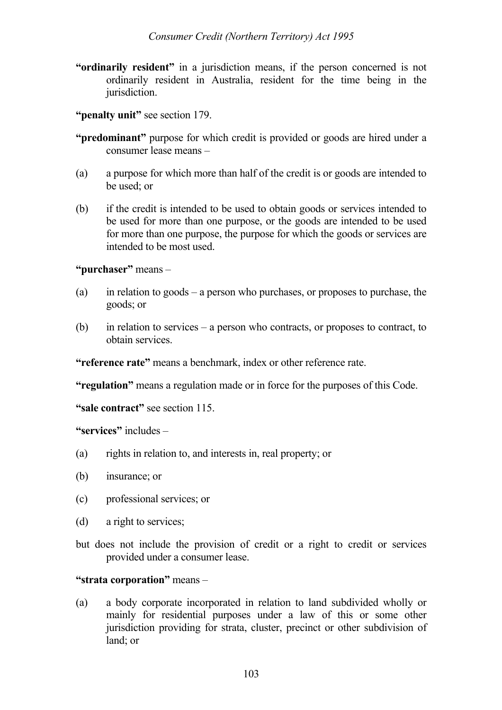- **"ordinarily resident"** in a jurisdiction means, if the person concerned is not ordinarily resident in Australia, resident for the time being in the jurisdiction.
- **"penalty unit"** see section 179.
- **"predominant"** purpose for which credit is provided or goods are hired under a consumer lease means –
- (a) a purpose for which more than half of the credit is or goods are intended to be used; or
- (b) if the credit is intended to be used to obtain goods or services intended to be used for more than one purpose, or the goods are intended to be used for more than one purpose, the purpose for which the goods or services are intended to be most used.

**"purchaser"** means –

- (a) in relation to goods a person who purchases, or proposes to purchase, the goods; or
- (b) in relation to services a person who contracts, or proposes to contract, to obtain services.

**"reference rate"** means a benchmark, index or other reference rate.

**"regulation"** means a regulation made or in force for the purposes of this Code.

**"sale contract"** see section 115.

**"services"** includes –

- (a) rights in relation to, and interests in, real property; or
- (b) insurance; or
- (c) professional services; or
- (d) a right to services;
- but does not include the provision of credit or a right to credit or services provided under a consumer lease.

#### **"strata corporation"** means –

(a) a body corporate incorporated in relation to land subdivided wholly or mainly for residential purposes under a law of this or some other jurisdiction providing for strata, cluster, precinct or other subdivision of land; or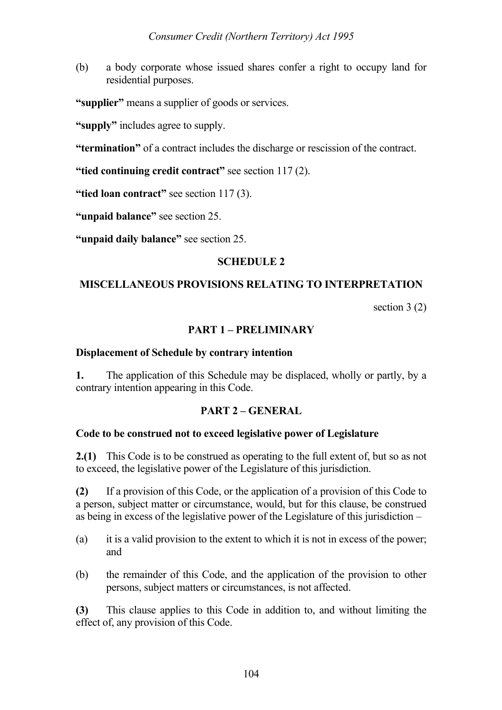(b) a body corporate whose issued shares confer a right to occupy land for residential purposes.

**"supplier"** means a supplier of goods or services.

**"supply"** includes agree to supply.

**"termination"** of a contract includes the discharge or rescission of the contract.

**"tied continuing credit contract"** see section 117 (2).

"tied loan contract" see section 117 (3).

**"unpaid balance"** see section 25.

**"unpaid daily balance"** see section 25.

#### **SCHEDULE 2**

### **MISCELLANEOUS PROVISIONS RELATING TO INTERPRETATION**

section 3 (2)

#### **PART 1 – PRELIMINARY**

#### **Displacement of Schedule by contrary intention**

**1.** The application of this Schedule may be displaced, wholly or partly, by a contrary intention appearing in this Code.

#### **PART 2 – GENERAL**

#### **Code to be construed not to exceed legislative power of Legislature**

**2.(1)** This Code is to be construed as operating to the full extent of, but so as not to exceed, the legislative power of the Legislature of this jurisdiction.

**(2)** If a provision of this Code, or the application of a provision of this Code to a person, subject matter or circumstance, would, but for this clause, be construed as being in excess of the legislative power of the Legislature of this jurisdiction –

- (a) it is a valid provision to the extent to which it is not in excess of the power; and
- (b) the remainder of this Code, and the application of the provision to other persons, subject matters or circumstances, is not affected.

**(3)** This clause applies to this Code in addition to, and without limiting the effect of, any provision of this Code.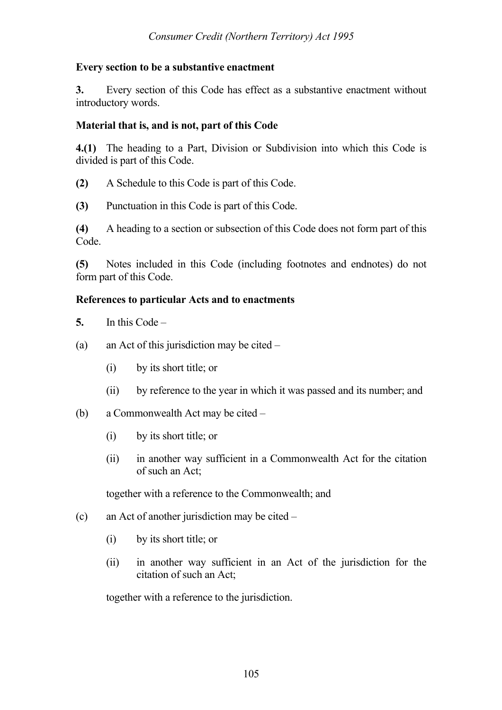#### **Every section to be a substantive enactment**

**3.** Every section of this Code has effect as a substantive enactment without introductory words.

#### **Material that is, and is not, part of this Code**

**4.(1)** The heading to a Part, Division or Subdivision into which this Code is divided is part of this Code.

- **(2)** A Schedule to this Code is part of this Code.
- **(3)** Punctuation in this Code is part of this Code.

**(4)** A heading to a section or subsection of this Code does not form part of this Code.

**(5)** Notes included in this Code (including footnotes and endnotes) do not form part of this Code.

#### **References to particular Acts and to enactments**

**5.** In this Code –

- (a) an Act of this jurisdiction may be cited
	- (i) by its short title; or
	- (ii) by reference to the year in which it was passed and its number; and

#### (b) a Commonwealth Act may be cited –

- (i) by its short title; or
- (ii) in another way sufficient in a Commonwealth Act for the citation of such an Act;

together with a reference to the Commonwealth; and

- (c) an Act of another jurisdiction may be cited
	- (i) by its short title; or
	- (ii) in another way sufficient in an Act of the jurisdiction for the citation of such an Act;

together with a reference to the jurisdiction.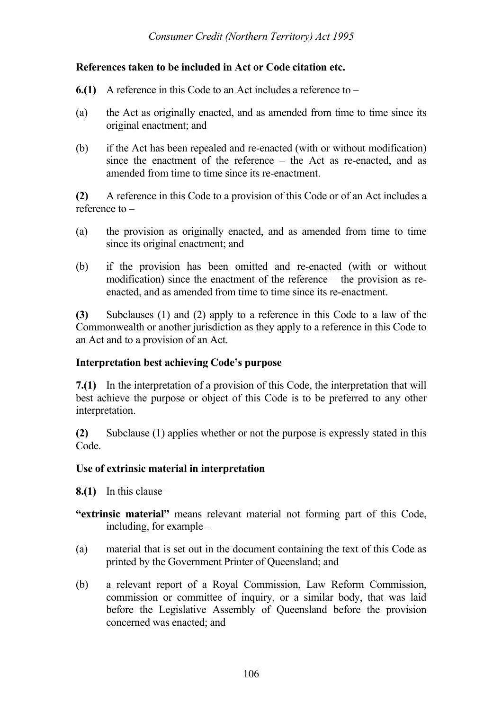#### **References taken to be included in Act or Code citation etc.**

- **6.(1)** A reference in this Code to an Act includes a reference to –
- (a) the Act as originally enacted, and as amended from time to time since its original enactment; and
- (b) if the Act has been repealed and re-enacted (with or without modification) since the enactment of the reference – the Act as re-enacted, and as amended from time to time since its re-enactment.

**(2)** A reference in this Code to a provision of this Code or of an Act includes a reference to –

- (a) the provision as originally enacted, and as amended from time to time since its original enactment; and
- (b) if the provision has been omitted and re-enacted (with or without modification) since the enactment of the reference – the provision as reenacted, and as amended from time to time since its re-enactment.

**(3)** Subclauses (1) and (2) apply to a reference in this Code to a law of the Commonwealth or another jurisdiction as they apply to a reference in this Code to an Act and to a provision of an Act.

#### **Interpretation best achieving Code's purpose**

**7.(1)** In the interpretation of a provision of this Code, the interpretation that will best achieve the purpose or object of this Code is to be preferred to any other interpretation.

**(2)** Subclause (1) applies whether or not the purpose is expressly stated in this Code.

#### **Use of extrinsic material in interpretation**

- **8.(1)** In this clause  $-$
- **"extrinsic material"** means relevant material not forming part of this Code, including, for example –
- (a) material that is set out in the document containing the text of this Code as printed by the Government Printer of Queensland; and
- (b) a relevant report of a Royal Commission, Law Reform Commission, commission or committee of inquiry, or a similar body, that was laid before the Legislative Assembly of Queensland before the provision concerned was enacted; and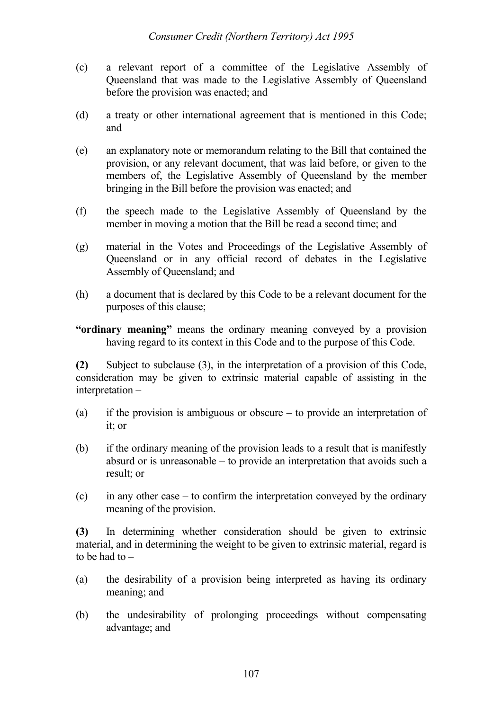- (c) a relevant report of a committee of the Legislative Assembly of Queensland that was made to the Legislative Assembly of Queensland before the provision was enacted; and
- (d) a treaty or other international agreement that is mentioned in this Code; and
- (e) an explanatory note or memorandum relating to the Bill that contained the provision, or any relevant document, that was laid before, or given to the members of, the Legislative Assembly of Queensland by the member bringing in the Bill before the provision was enacted; and
- (f) the speech made to the Legislative Assembly of Queensland by the member in moving a motion that the Bill be read a second time; and
- (g) material in the Votes and Proceedings of the Legislative Assembly of Queensland or in any official record of debates in the Legislative Assembly of Queensland; and
- (h) a document that is declared by this Code to be a relevant document for the purposes of this clause;

**"ordinary meaning"** means the ordinary meaning conveyed by a provision having regard to its context in this Code and to the purpose of this Code.

**(2)** Subject to subclause (3), in the interpretation of a provision of this Code, consideration may be given to extrinsic material capable of assisting in the interpretation –

- (a) if the provision is ambiguous or obscure to provide an interpretation of it; or
- (b) if the ordinary meaning of the provision leads to a result that is manifestly absurd or is unreasonable – to provide an interpretation that avoids such a result; or
- (c) in any other case to confirm the interpretation conveyed by the ordinary meaning of the provision.

**(3)** In determining whether consideration should be given to extrinsic material, and in determining the weight to be given to extrinsic material, regard is to be had to –

- (a) the desirability of a provision being interpreted as having its ordinary meaning; and
- (b) the undesirability of prolonging proceedings without compensating advantage; and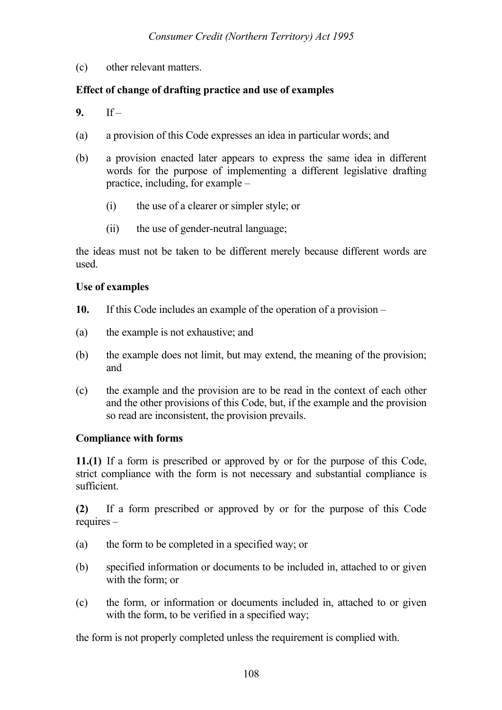(c) other relevant matters.

# **Effect of change of drafting practice and use of examples**

- **9.** If –
- (a) a provision of this Code expresses an idea in particular words; and
- (b) a provision enacted later appears to express the same idea in different words for the purpose of implementing a different legislative drafting practice, including, for example –
	- (i) the use of a clearer or simpler style; or
	- (ii) the use of gender-neutral language;

the ideas must not be taken to be different merely because different words are used.

### **Use of examples**

- **10.** If this Code includes an example of the operation of a provision –
- (a) the example is not exhaustive; and
- (b) the example does not limit, but may extend, the meaning of the provision; and
- (c) the example and the provision are to be read in the context of each other and the other provisions of this Code, but, if the example and the provision so read are inconsistent, the provision prevails.

### **Compliance with forms**

**11.(1)** If a form is prescribed or approved by or for the purpose of this Code, strict compliance with the form is not necessary and substantial compliance is sufficient.

**(2)** If a form prescribed or approved by or for the purpose of this Code requires –

- (a) the form to be completed in a specified way; or
- (b) specified information or documents to be included in, attached to or given with the form; or
- (c) the form, or information or documents included in, attached to or given with the form, to be verified in a specified way:

the form is not properly completed unless the requirement is complied with.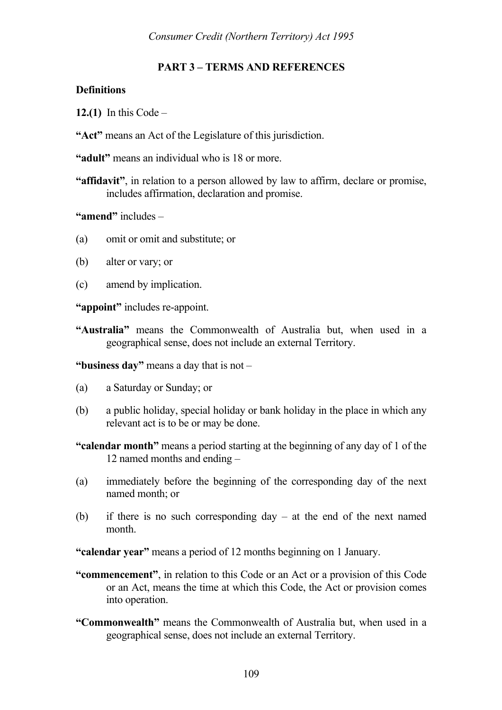# **PART 3 – TERMS AND REFERENCES**

### **Definitions**

- **12.(1)** In this Code –
- **"Act"** means an Act of the Legislature of this jurisdiction.
- **"adult"** means an individual who is 18 or more.
- **"affidavit"**, in relation to a person allowed by law to affirm, declare or promise, includes affirmation, declaration and promise.

**"amend"** includes –

- (a) omit or omit and substitute; or
- (b) alter or vary; or
- (c) amend by implication.

**"appoint"** includes re-appoint.

**"Australia"** means the Commonwealth of Australia but, when used in a geographical sense, does not include an external Territory.

**"business day"** means a day that is not –

- (a) a Saturday or Sunday; or
- (b) a public holiday, special holiday or bank holiday in the place in which any relevant act is to be or may be done.
- **"calendar month"** means a period starting at the beginning of any day of 1 of the 12 named months and ending –
- (a) immediately before the beginning of the corresponding day of the next named month; or
- (b) if there is no such corresponding day at the end of the next named month.

**"calendar year"** means a period of 12 months beginning on 1 January.

- **"commencement"**, in relation to this Code or an Act or a provision of this Code or an Act, means the time at which this Code, the Act or provision comes into operation.
- **"Commonwealth"** means the Commonwealth of Australia but, when used in a geographical sense, does not include an external Territory.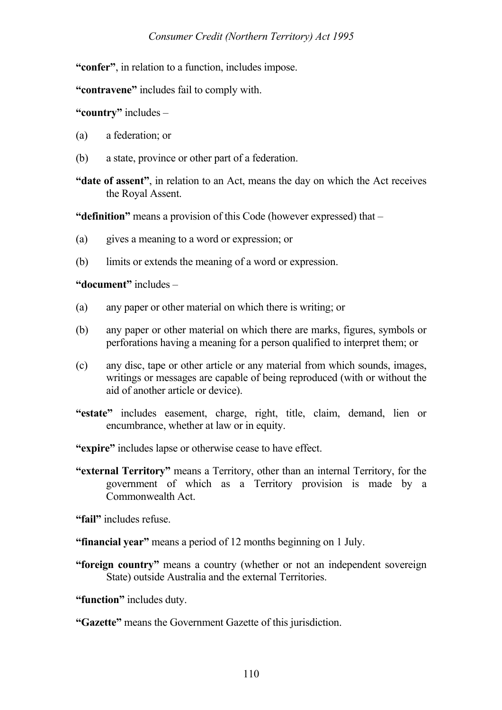**"confer"**, in relation to a function, includes impose.

**"contravene"** includes fail to comply with.

**"country"** includes –

- (a) a federation; or
- (b) a state, province or other part of a federation.
- **"date of assent"**, in relation to an Act, means the day on which the Act receives the Royal Assent.

**"definition"** means a provision of this Code (however expressed) that –

- (a) gives a meaning to a word or expression; or
- (b) limits or extends the meaning of a word or expression.

**"document"** includes –

- (a) any paper or other material on which there is writing; or
- (b) any paper or other material on which there are marks, figures, symbols or perforations having a meaning for a person qualified to interpret them; or
- (c) any disc, tape or other article or any material from which sounds, images, writings or messages are capable of being reproduced (with or without the aid of another article or device).
- **"estate"** includes easement, charge, right, title, claim, demand, lien or encumbrance, whether at law or in equity.
- **"expire"** includes lapse or otherwise cease to have effect.
- **"external Territory"** means a Territory, other than an internal Territory, for the government of which as a Territory provision is made by a Commonwealth Act.

**"fail"** includes refuse.

- **"financial year"** means a period of 12 months beginning on 1 July.
- **"foreign country"** means a country (whether or not an independent sovereign State) outside Australia and the external Territories.

**"function"** includes duty.

### **"Gazette"** means the Government Gazette of this jurisdiction.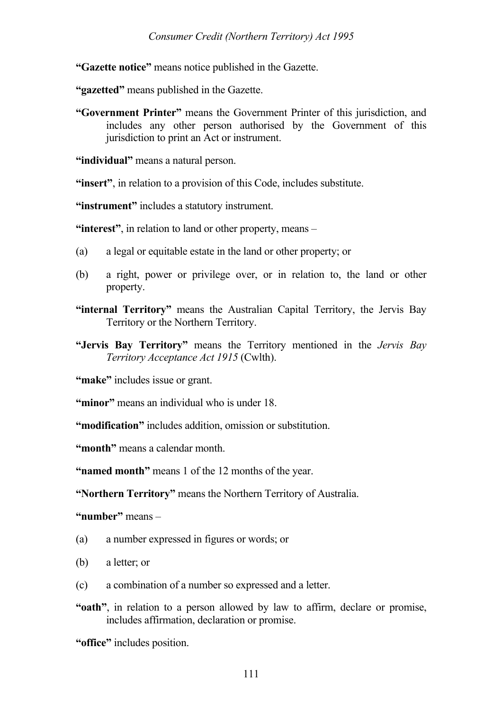**"Gazette notice"** means notice published in the Gazette.

**"gazetted"** means published in the Gazette.

**"Government Printer"** means the Government Printer of this jurisdiction, and includes any other person authorised by the Government of this jurisdiction to print an Act or instrument.

"**individual**" means a natural person.

**"insert"**, in relation to a provision of this Code, includes substitute.

**"instrument"** includes a statutory instrument.

**"interest"**, in relation to land or other property, means –

- (a) a legal or equitable estate in the land or other property; or
- (b) a right, power or privilege over, or in relation to, the land or other property.
- **"internal Territory"** means the Australian Capital Territory, the Jervis Bay Territory or the Northern Territory.
- **"Jervis Bay Territory"** means the Territory mentioned in the *Jervis Bay Territory Acceptance Act 1915* (Cwlth).

"make" includes issue or grant.

**"minor"** means an individual who is under 18.

**"modification"** includes addition, omission or substitution.

**"month"** means a calendar month.

**"named month"** means 1 of the 12 months of the year.

**"Northern Territory"** means the Northern Territory of Australia.

**"number"** means –

- (a) a number expressed in figures or words; or
- (b) a letter; or
- (c) a combination of a number so expressed and a letter.
- **"oath"**, in relation to a person allowed by law to affirm, declare or promise, includes affirmation, declaration or promise.

**"office"** includes position.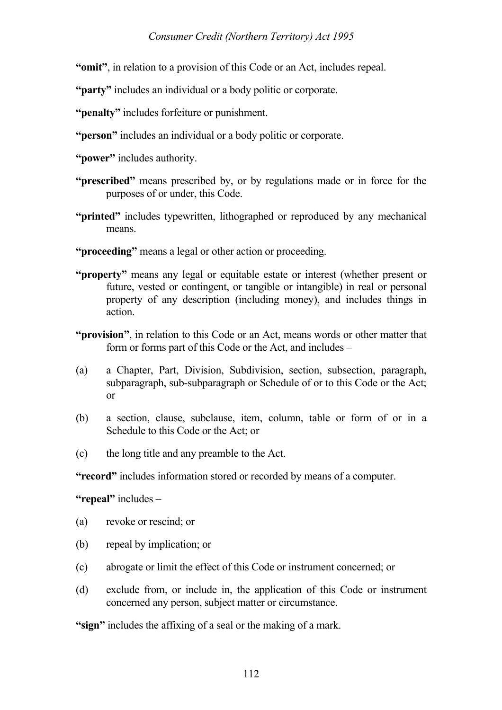**"omit"**, in relation to a provision of this Code or an Act, includes repeal.

**"party"** includes an individual or a body politic or corporate.

**"penalty"** includes forfeiture or punishment.

- **"person"** includes an individual or a body politic or corporate.
- **"power"** includes authority.
- **"prescribed"** means prescribed by, or by regulations made or in force for the purposes of or under, this Code.
- **"printed"** includes typewritten, lithographed or reproduced by any mechanical means.
- **"proceeding"** means a legal or other action or proceeding.
- **"property"** means any legal or equitable estate or interest (whether present or future, vested or contingent, or tangible or intangible) in real or personal property of any description (including money), and includes things in action.
- **"provision"**, in relation to this Code or an Act, means words or other matter that form or forms part of this Code or the Act, and includes –
- (a) a Chapter, Part, Division, Subdivision, section, subsection, paragraph, subparagraph, sub-subparagraph or Schedule of or to this Code or the Act; or
- (b) a section, clause, subclause, item, column, table or form of or in a Schedule to this Code or the Act; or
- (c) the long title and any preamble to the Act.

**"record"** includes information stored or recorded by means of a computer.

**"repeal"** includes –

- (a) revoke or rescind; or
- (b) repeal by implication; or
- (c) abrogate or limit the effect of this Code or instrument concerned; or
- (d) exclude from, or include in, the application of this Code or instrument concerned any person, subject matter or circumstance.

**"sign"** includes the affixing of a seal or the making of a mark.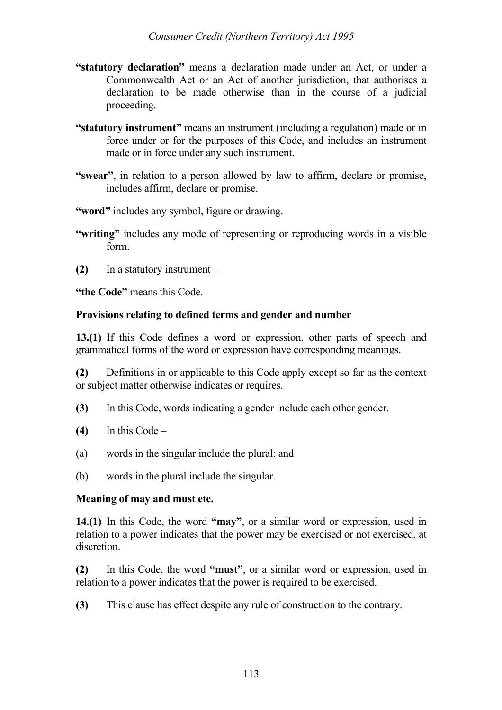- **"statutory declaration"** means a declaration made under an Act, or under a Commonwealth Act or an Act of another jurisdiction, that authorises a declaration to be made otherwise than in the course of a judicial proceeding.
- **"statutory instrument"** means an instrument (including a regulation) made or in force under or for the purposes of this Code, and includes an instrument made or in force under any such instrument.
- **"swear"**, in relation to a person allowed by law to affirm, declare or promise, includes affirm, declare or promise.
- **"word"** includes any symbol, figure or drawing.
- **"writing"** includes any mode of representing or reproducing words in a visible form.
- **(2)** In a statutory instrument –

**"the Code"** means this Code.

## **Provisions relating to defined terms and gender and number**

**13.(1)** If this Code defines a word or expression, other parts of speech and grammatical forms of the word or expression have corresponding meanings.

**(2)** Definitions in or applicable to this Code apply except so far as the context or subject matter otherwise indicates or requires.

- **(3)** In this Code, words indicating a gender include each other gender.
- **(4)** In this Code –
- (a) words in the singular include the plural; and
- (b) words in the plural include the singular.

### **Meaning of may and must etc.**

**14.(1)** In this Code, the word **"may"**, or a similar word or expression, used in relation to a power indicates that the power may be exercised or not exercised, at discretion.

**(2)** In this Code, the word **"must"**, or a similar word or expression, used in relation to a power indicates that the power is required to be exercised.

**(3)** This clause has effect despite any rule of construction to the contrary.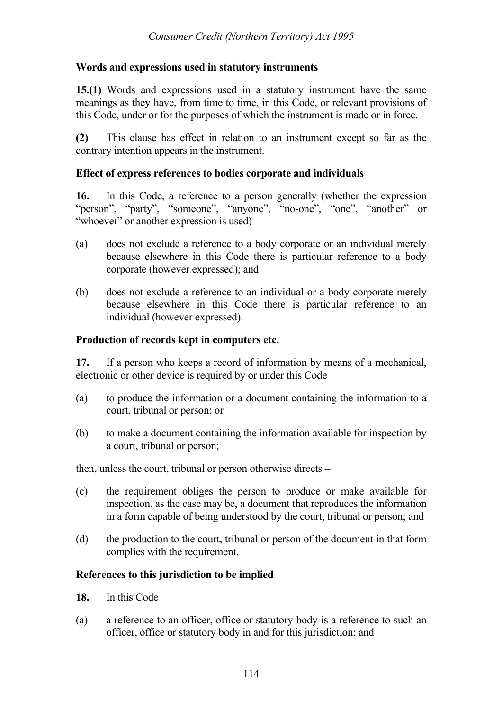### **Words and expressions used in statutory instruments**

**15.(1)** Words and expressions used in a statutory instrument have the same meanings as they have, from time to time, in this Code, or relevant provisions of this Code, under or for the purposes of which the instrument is made or in force.

**(2)** This clause has effect in relation to an instrument except so far as the contrary intention appears in the instrument.

### **Effect of express references to bodies corporate and individuals**

**16.** In this Code, a reference to a person generally (whether the expression "person", "party", "someone", "anyone", "no-one", "one", "another" or "whoever" or another expression is used) –

- (a) does not exclude a reference to a body corporate or an individual merely because elsewhere in this Code there is particular reference to a body corporate (however expressed); and
- (b) does not exclude a reference to an individual or a body corporate merely because elsewhere in this Code there is particular reference to an individual (however expressed).

## **Production of records kept in computers etc.**

**17.** If a person who keeps a record of information by means of a mechanical, electronic or other device is required by or under this Code –

- (a) to produce the information or a document containing the information to a court, tribunal or person; or
- (b) to make a document containing the information available for inspection by a court, tribunal or person;

then, unless the court, tribunal or person otherwise directs –

- (c) the requirement obliges the person to produce or make available for inspection, as the case may be, a document that reproduces the information in a form capable of being understood by the court, tribunal or person; and
- (d) the production to the court, tribunal or person of the document in that form complies with the requirement.

# **References to this jurisdiction to be implied**

- **18.** In this Code –
- (a) a reference to an officer, office or statutory body is a reference to such an officer, office or statutory body in and for this jurisdiction; and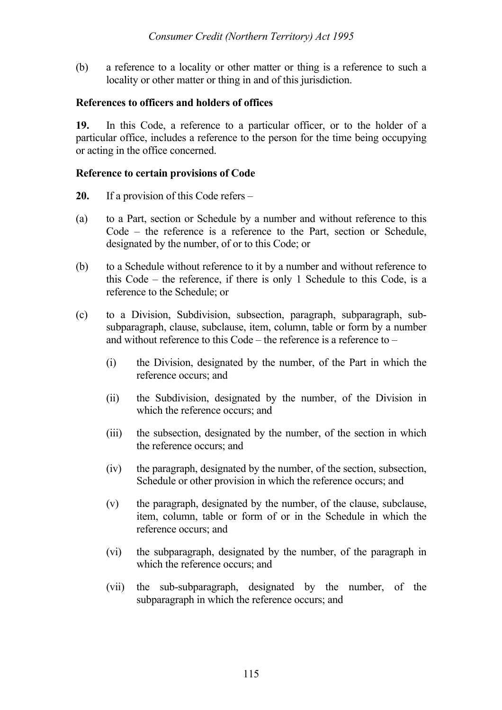(b) a reference to a locality or other matter or thing is a reference to such a locality or other matter or thing in and of this jurisdiction.

#### **References to officers and holders of offices**

**19.** In this Code, a reference to a particular officer, or to the holder of a particular office, includes a reference to the person for the time being occupying or acting in the office concerned.

#### **Reference to certain provisions of Code**

- **20.** If a provision of this Code refers –
- (a) to a Part, section or Schedule by a number and without reference to this Code – the reference is a reference to the Part, section or Schedule, designated by the number, of or to this Code; or
- (b) to a Schedule without reference to it by a number and without reference to this Code – the reference, if there is only 1 Schedule to this Code, is a reference to the Schedule; or
- (c) to a Division, Subdivision, subsection, paragraph, subparagraph, subsubparagraph, clause, subclause, item, column, table or form by a number and without reference to this Code – the reference is a reference to –
	- (i) the Division, designated by the number, of the Part in which the reference occurs; and
	- (ii) the Subdivision, designated by the number, of the Division in which the reference occurs; and
	- (iii) the subsection, designated by the number, of the section in which the reference occurs; and
	- (iv) the paragraph, designated by the number, of the section, subsection, Schedule or other provision in which the reference occurs; and
	- (v) the paragraph, designated by the number, of the clause, subclause, item, column, table or form of or in the Schedule in which the reference occurs; and
	- (vi) the subparagraph, designated by the number, of the paragraph in which the reference occurs; and
	- (vii) the sub-subparagraph, designated by the number, of the subparagraph in which the reference occurs; and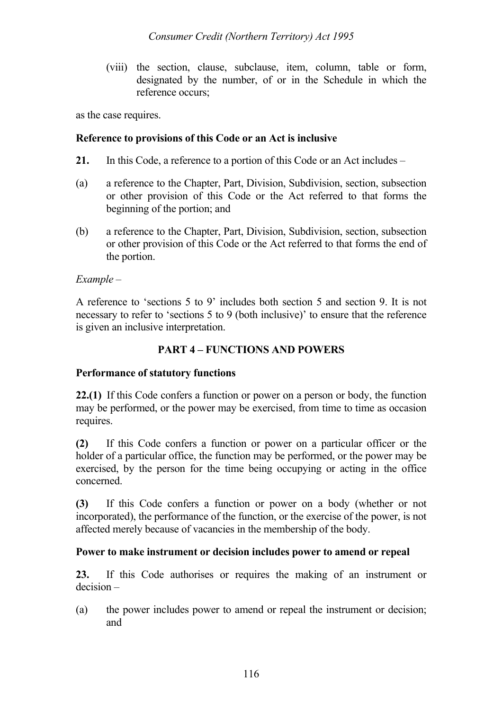(viii) the section, clause, subclause, item, column, table or form, designated by the number, of or in the Schedule in which the reference occurs;

as the case requires.

### **Reference to provisions of this Code or an Act is inclusive**

- **21.** In this Code, a reference to a portion of this Code or an Act includes –
- (a) a reference to the Chapter, Part, Division, Subdivision, section, subsection or other provision of this Code or the Act referred to that forms the beginning of the portion; and
- (b) a reference to the Chapter, Part, Division, Subdivision, section, subsection or other provision of this Code or the Act referred to that forms the end of the portion.

# *Example –*

A reference to 'sections 5 to 9' includes both section 5 and section 9. It is not necessary to refer to 'sections 5 to 9 (both inclusive)' to ensure that the reference is given an inclusive interpretation.

# **PART 4 – FUNCTIONS AND POWERS**

# **Performance of statutory functions**

**22.(1)** If this Code confers a function or power on a person or body, the function may be performed, or the power may be exercised, from time to time as occasion requires.

**(2)** If this Code confers a function or power on a particular officer or the holder of a particular office, the function may be performed, or the power may be exercised, by the person for the time being occupying or acting in the office concerned.

**(3)** If this Code confers a function or power on a body (whether or not incorporated), the performance of the function, or the exercise of the power, is not affected merely because of vacancies in the membership of the body.

# **Power to make instrument or decision includes power to amend or repeal**

**23.** If this Code authorises or requires the making of an instrument or decision –

(a) the power includes power to amend or repeal the instrument or decision; and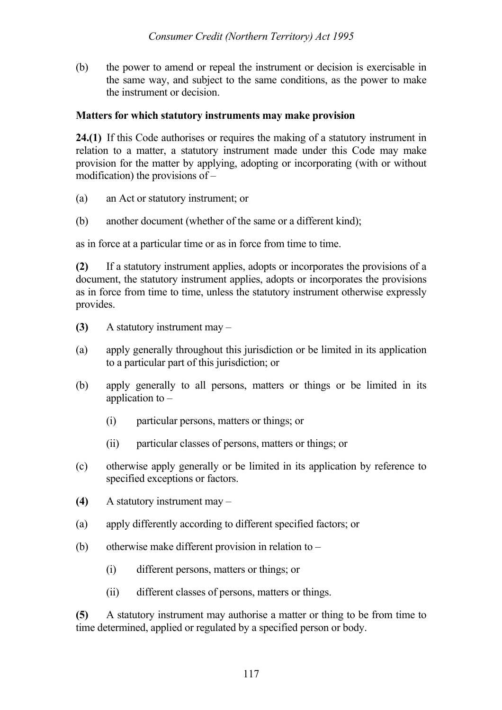(b) the power to amend or repeal the instrument or decision is exercisable in the same way, and subject to the same conditions, as the power to make the instrument or decision.

#### **Matters for which statutory instruments may make provision**

**24.(1)** If this Code authorises or requires the making of a statutory instrument in relation to a matter, a statutory instrument made under this Code may make provision for the matter by applying, adopting or incorporating (with or without modification) the provisions of –

- (a) an Act or statutory instrument; or
- (b) another document (whether of the same or a different kind);

as in force at a particular time or as in force from time to time.

**(2)** If a statutory instrument applies, adopts or incorporates the provisions of a document, the statutory instrument applies, adopts or incorporates the provisions as in force from time to time, unless the statutory instrument otherwise expressly provides.

- **(3)** A statutory instrument may –
- (a) apply generally throughout this jurisdiction or be limited in its application to a particular part of this jurisdiction; or
- (b) apply generally to all persons, matters or things or be limited in its application to –
	- (i) particular persons, matters or things; or
	- (ii) particular classes of persons, matters or things; or
- (c) otherwise apply generally or be limited in its application by reference to specified exceptions or factors.
- **(4)** A statutory instrument may –
- (a) apply differently according to different specified factors; or
- (b) otherwise make different provision in relation to  $-$ 
	- (i) different persons, matters or things; or
	- (ii) different classes of persons, matters or things.

**(5)** A statutory instrument may authorise a matter or thing to be from time to time determined, applied or regulated by a specified person or body.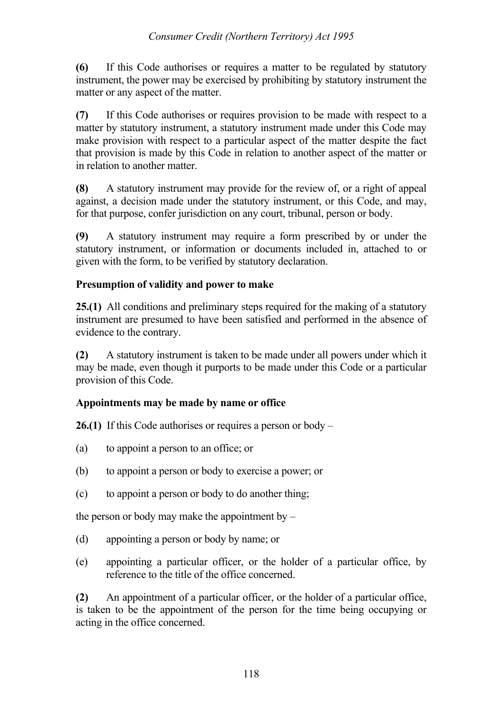## *Consumer Credit (Northern Territory) Act 1995*

**(6)** If this Code authorises or requires a matter to be regulated by statutory instrument, the power may be exercised by prohibiting by statutory instrument the matter or any aspect of the matter.

**(7)** If this Code authorises or requires provision to be made with respect to a matter by statutory instrument, a statutory instrument made under this Code may make provision with respect to a particular aspect of the matter despite the fact that provision is made by this Code in relation to another aspect of the matter or in relation to another matter.

**(8)** A statutory instrument may provide for the review of, or a right of appeal against, a decision made under the statutory instrument, or this Code, and may, for that purpose, confer jurisdiction on any court, tribunal, person or body.

**(9)** A statutory instrument may require a form prescribed by or under the statutory instrument, or information or documents included in, attached to or given with the form, to be verified by statutory declaration.

# **Presumption of validity and power to make**

**25.(1)** All conditions and preliminary steps required for the making of a statutory instrument are presumed to have been satisfied and performed in the absence of evidence to the contrary.

**(2)** A statutory instrument is taken to be made under all powers under which it may be made, even though it purports to be made under this Code or a particular provision of this Code.

# **Appointments may be made by name or office**

**26.(1)** If this Code authorises or requires a person or body –

- (a) to appoint a person to an office; or
- (b) to appoint a person or body to exercise a power; or
- (c) to appoint a person or body to do another thing;

the person or body may make the appointment by  $-$ 

- (d) appointing a person or body by name; or
- (e) appointing a particular officer, or the holder of a particular office, by reference to the title of the office concerned.

**(2)** An appointment of a particular officer, or the holder of a particular office, is taken to be the appointment of the person for the time being occupying or acting in the office concerned.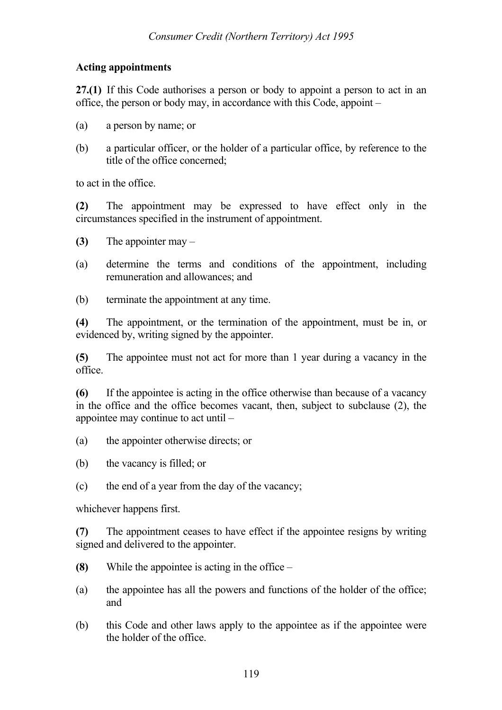### **Acting appointments**

**27.(1)** If this Code authorises a person or body to appoint a person to act in an office, the person or body may, in accordance with this Code, appoint –

- (a) a person by name; or
- (b) a particular officer, or the holder of a particular office, by reference to the title of the office concerned;

to act in the office.

**(2)** The appointment may be expressed to have effect only in the circumstances specified in the instrument of appointment.

- **(3)** The appointer may –
- (a) determine the terms and conditions of the appointment, including remuneration and allowances; and
- (b) terminate the appointment at any time.

**(4)** The appointment, or the termination of the appointment, must be in, or evidenced by, writing signed by the appointer.

**(5)** The appointee must not act for more than 1 year during a vacancy in the office.

**(6)** If the appointee is acting in the office otherwise than because of a vacancy in the office and the office becomes vacant, then, subject to subclause (2), the appointee may continue to act until –

- (a) the appointer otherwise directs; or
- (b) the vacancy is filled; or
- (c) the end of a year from the day of the vacancy;

whichever happens first.

**(7)** The appointment ceases to have effect if the appointee resigns by writing signed and delivered to the appointer.

- **(8)** While the appointee is acting in the office –
- (a) the appointee has all the powers and functions of the holder of the office; and
- (b) this Code and other laws apply to the appointee as if the appointee were the holder of the office.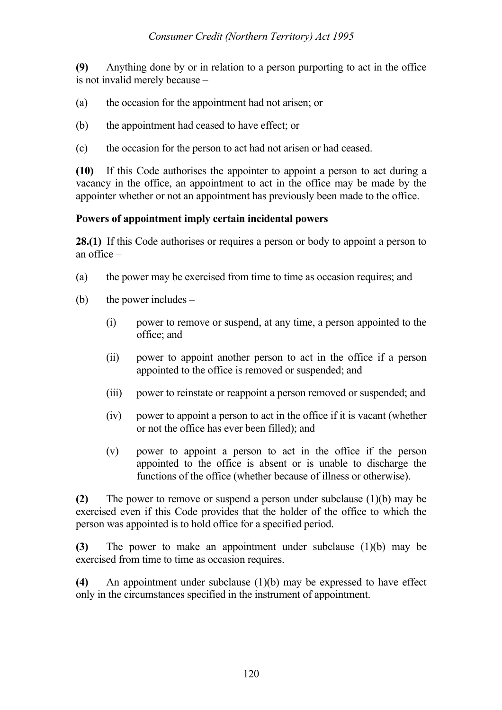**(9)** Anything done by or in relation to a person purporting to act in the office is not invalid merely because –

- (a) the occasion for the appointment had not arisen; or
- (b) the appointment had ceased to have effect; or
- (c) the occasion for the person to act had not arisen or had ceased.

**(10)** If this Code authorises the appointer to appoint a person to act during a vacancy in the office, an appointment to act in the office may be made by the appointer whether or not an appointment has previously been made to the office.

#### **Powers of appointment imply certain incidental powers**

**28.(1)** If this Code authorises or requires a person or body to appoint a person to an office –

- (a) the power may be exercised from time to time as occasion requires; and
- (b) the power includes  $-$ 
	- (i) power to remove or suspend, at any time, a person appointed to the office; and
	- (ii) power to appoint another person to act in the office if a person appointed to the office is removed or suspended; and
	- (iii) power to reinstate or reappoint a person removed or suspended; and
	- (iv) power to appoint a person to act in the office if it is vacant (whether or not the office has ever been filled); and
	- (v) power to appoint a person to act in the office if the person appointed to the office is absent or is unable to discharge the functions of the office (whether because of illness or otherwise).

**(2)** The power to remove or suspend a person under subclause (1)(b) may be exercised even if this Code provides that the holder of the office to which the person was appointed is to hold office for a specified period.

**(3)** The power to make an appointment under subclause (1)(b) may be exercised from time to time as occasion requires.

**(4)** An appointment under subclause (1)(b) may be expressed to have effect only in the circumstances specified in the instrument of appointment.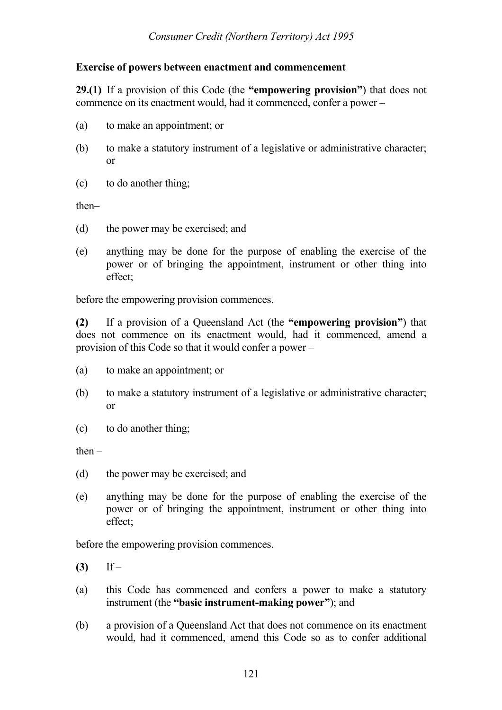## **Exercise of powers between enactment and commencement**

**29.(1)** If a provision of this Code (the **"empowering provision"**) that does not commence on its enactment would, had it commenced, confer a power –

- (a) to make an appointment; or
- (b) to make a statutory instrument of a legislative or administrative character; or
- (c) to do another thing;

then–

- (d) the power may be exercised; and
- (e) anything may be done for the purpose of enabling the exercise of the power or of bringing the appointment, instrument or other thing into effect;

before the empowering provision commences.

**(2)** If a provision of a Queensland Act (the **"empowering provision"**) that does not commence on its enactment would, had it commenced, amend a provision of this Code so that it would confer a power –

- (a) to make an appointment; or
- (b) to make a statutory instrument of a legislative or administrative character; or
- (c) to do another thing;

 $then -$ 

- (d) the power may be exercised; and
- (e) anything may be done for the purpose of enabling the exercise of the power or of bringing the appointment, instrument or other thing into effect;

before the empowering provision commences.

**(3)** If –

- (a) this Code has commenced and confers a power to make a statutory instrument (the **"basic instrument-making power"**); and
- (b) a provision of a Queensland Act that does not commence on its enactment would, had it commenced, amend this Code so as to confer additional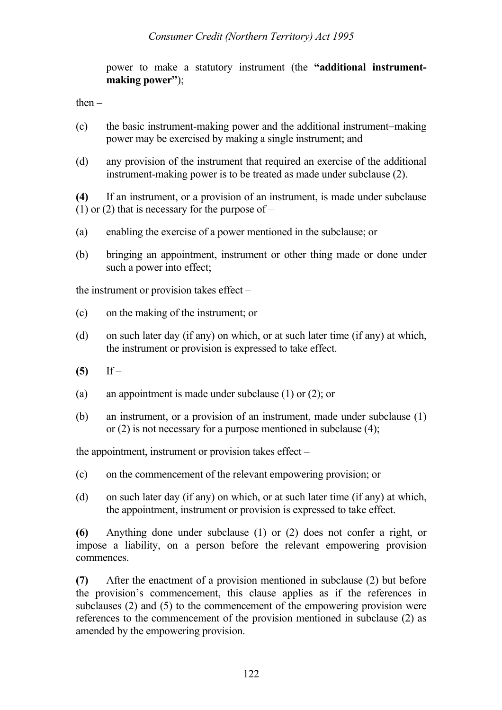power to make a statutory instrument (the **"additional instrumentmaking power"**);

then  $-$ 

- (c) the basic instrument-making power and the additional instrument−making power may be exercised by making a single instrument; and
- (d) any provision of the instrument that required an exercise of the additional instrument-making power is to be treated as made under subclause (2).

**(4)** If an instrument, or a provision of an instrument, is made under subclause (1) or (2) that is necessary for the purpose of  $-$ 

- (a) enabling the exercise of a power mentioned in the subclause; or
- (b) bringing an appointment, instrument or other thing made or done under such a power into effect;

the instrument or provision takes effect –

- (c) on the making of the instrument; or
- (d) on such later day (if any) on which, or at such later time (if any) at which, the instrument or provision is expressed to take effect.
- **(5)** If –
- (a) an appointment is made under subclause (1) or (2); or
- (b) an instrument, or a provision of an instrument, made under subclause (1) or (2) is not necessary for a purpose mentioned in subclause (4);

the appointment, instrument or provision takes effect –

- (c) on the commencement of the relevant empowering provision; or
- (d) on such later day (if any) on which, or at such later time (if any) at which, the appointment, instrument or provision is expressed to take effect.

**(6)** Anything done under subclause (1) or (2) does not confer a right, or impose a liability, on a person before the relevant empowering provision commences.

**(7)** After the enactment of a provision mentioned in subclause (2) but before the provision's commencement, this clause applies as if the references in subclauses (2) and (5) to the commencement of the empowering provision were references to the commencement of the provision mentioned in subclause (2) as amended by the empowering provision.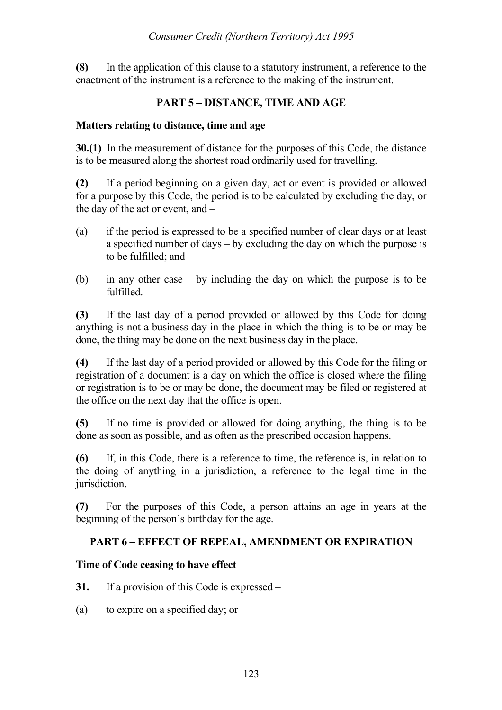**(8)** In the application of this clause to a statutory instrument, a reference to the enactment of the instrument is a reference to the making of the instrument.

# **PART 5 – DISTANCE, TIME AND AGE**

### **Matters relating to distance, time and age**

**30.(1)** In the measurement of distance for the purposes of this Code, the distance is to be measured along the shortest road ordinarily used for travelling.

**(2)** If a period beginning on a given day, act or event is provided or allowed for a purpose by this Code, the period is to be calculated by excluding the day, or the day of the act or event, and –

- (a) if the period is expressed to be a specified number of clear days or at least a specified number of days – by excluding the day on which the purpose is to be fulfilled; and
- (b) in any other case by including the day on which the purpose is to be fulfilled.

**(3)** If the last day of a period provided or allowed by this Code for doing anything is not a business day in the place in which the thing is to be or may be done, the thing may be done on the next business day in the place.

**(4)** If the last day of a period provided or allowed by this Code for the filing or registration of a document is a day on which the office is closed where the filing or registration is to be or may be done, the document may be filed or registered at the office on the next day that the office is open.

**(5)** If no time is provided or allowed for doing anything, the thing is to be done as soon as possible, and as often as the prescribed occasion happens.

**(6)** If, in this Code, there is a reference to time, the reference is, in relation to the doing of anything in a jurisdiction, a reference to the legal time in the jurisdiction.

**(7)** For the purposes of this Code, a person attains an age in years at the beginning of the person's birthday for the age.

# **PART 6 – EFFECT OF REPEAL, AMENDMENT OR EXPIRATION**

### **Time of Code ceasing to have effect**

**31.** If a provision of this Code is expressed –

(a) to expire on a specified day; or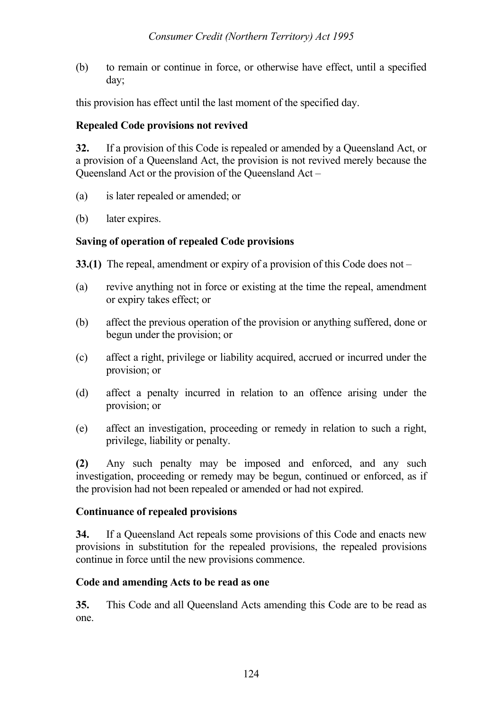(b) to remain or continue in force, or otherwise have effect, until a specified day;

this provision has effect until the last moment of the specified day.

## **Repealed Code provisions not revived**

**32.** If a provision of this Code is repealed or amended by a Queensland Act, or a provision of a Queensland Act, the provision is not revived merely because the Queensland Act or the provision of the Queensland Act –

- (a) is later repealed or amended; or
- (b) later expires.

## **Saving of operation of repealed Code provisions**

**33.(1)** The repeal, amendment or expiry of a provision of this Code does not –

- (a) revive anything not in force or existing at the time the repeal, amendment or expiry takes effect; or
- (b) affect the previous operation of the provision or anything suffered, done or begun under the provision; or
- (c) affect a right, privilege or liability acquired, accrued or incurred under the provision; or
- (d) affect a penalty incurred in relation to an offence arising under the provision; or
- (e) affect an investigation, proceeding or remedy in relation to such a right, privilege, liability or penalty.

**(2)** Any such penalty may be imposed and enforced, and any such investigation, proceeding or remedy may be begun, continued or enforced, as if the provision had not been repealed or amended or had not expired.

### **Continuance of repealed provisions**

**34.** If a Queensland Act repeals some provisions of this Code and enacts new provisions in substitution for the repealed provisions, the repealed provisions continue in force until the new provisions commence.

### **Code and amending Acts to be read as one**

**35.** This Code and all Queensland Acts amending this Code are to be read as one.